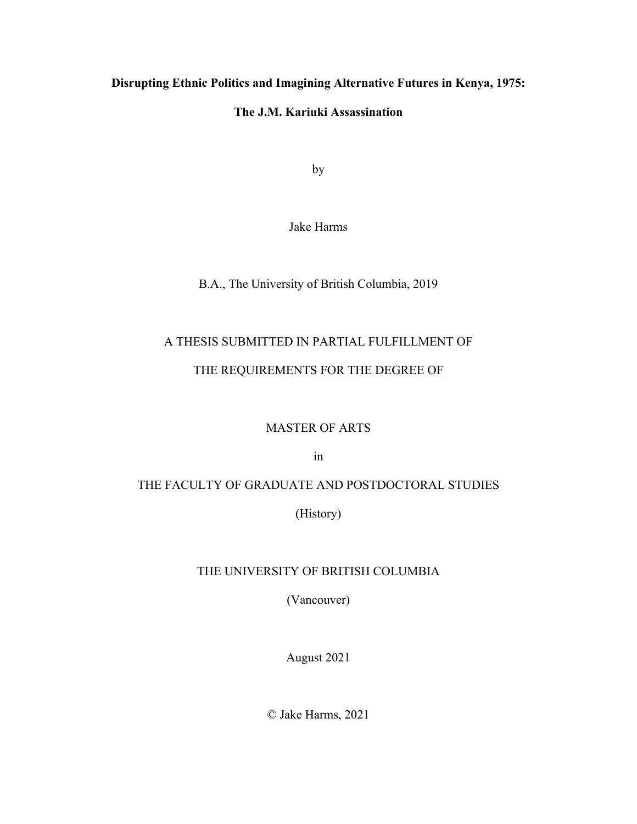## **Disrupting Ethnic Politics and Imagining Alternative Futures in Kenya, 1975:**

## **The J.M. Kariuki Assassination**

by

Jake Harms

B.A., The University of British Columbia, 2019

## A THESIS SUBMITTED IN PARTIAL FULFILLMENT OF

#### THE REQUIREMENTS FOR THE DEGREE OF

#### MASTER OF ARTS

in

## THE FACULTY OF GRADUATE AND POSTDOCTORAL STUDIES

(History)

#### THE UNIVERSITY OF BRITISH COLUMBIA

(Vancouver)

August 2021

© Jake Harms, 2021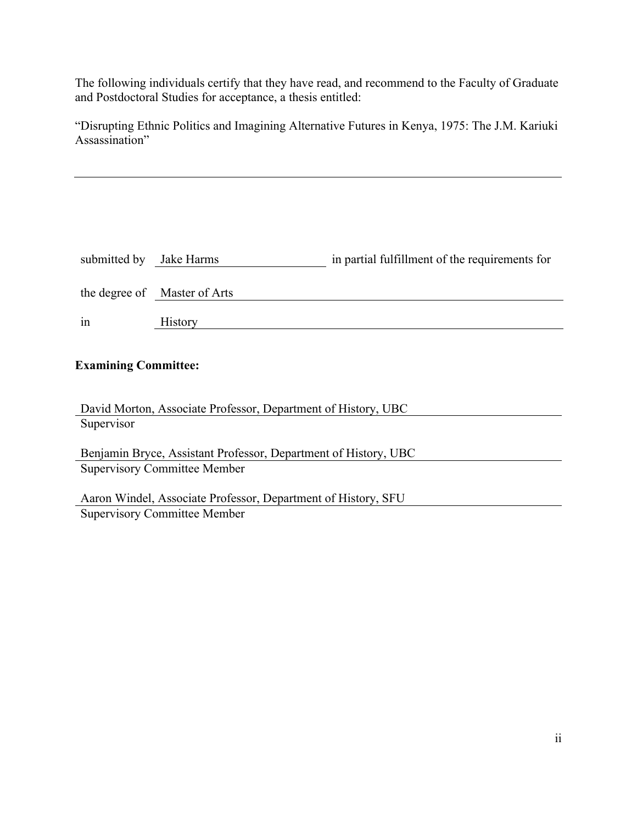The following individuals certify that they have read, and recommend to the Faculty of Graduate and Postdoctoral Studies for acceptance, a thesis entitled:

"Disrupting Ethnic Politics and Imagining Alternative Futures in Kenya, 1975: The J.M. Kariuki Assassination"

| submitted by Jake Harms |                              | in partial fulfillment of the requirements for |
|-------------------------|------------------------------|------------------------------------------------|
|                         | the degree of Master of Arts |                                                |
| in                      | <b>History</b>               |                                                |

## **Examining Committee:**

| David Morton, Associate Professor, Department of History, UBC   |  |  |
|-----------------------------------------------------------------|--|--|
| Supervisor                                                      |  |  |
|                                                                 |  |  |
| Benjamin Bryce, Assistant Professor, Department of History, UBC |  |  |
| <b>Supervisory Committee Member</b>                             |  |  |
|                                                                 |  |  |
| Aaron Windel, Associate Professor, Department of History, SFU   |  |  |

Supervisory Committee Member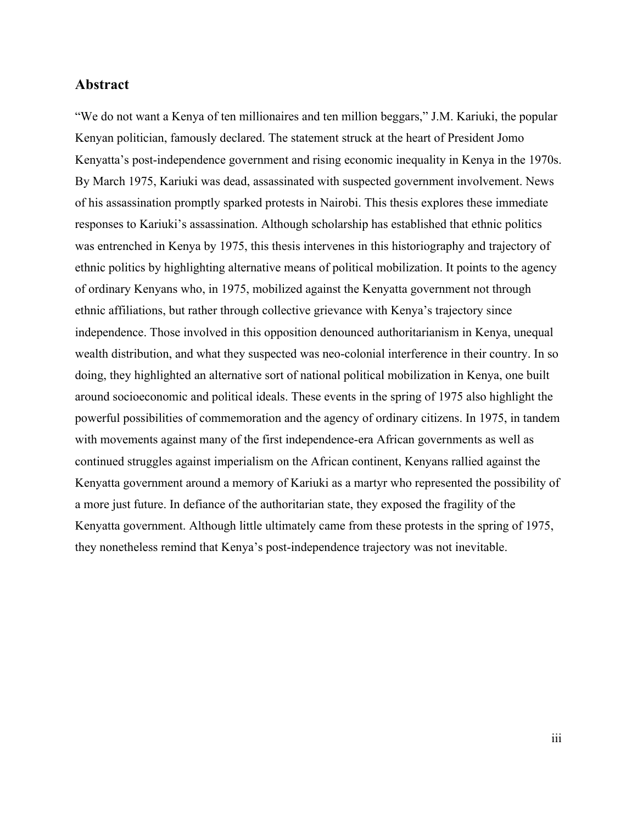#### **Abstract**

"We do not want a Kenya of ten millionaires and ten million beggars," J.M. Kariuki, the popular Kenyan politician, famously declared. The statement struck at the heart of President Jomo Kenyatta's post-independence government and rising economic inequality in Kenya in the 1970s. By March 1975, Kariuki was dead, assassinated with suspected government involvement. News of his assassination promptly sparked protests in Nairobi. This thesis explores these immediate responses to Kariuki's assassination. Although scholarship has established that ethnic politics was entrenched in Kenya by 1975, this thesis intervenes in this historiography and trajectory of ethnic politics by highlighting alternative means of political mobilization. It points to the agency of ordinary Kenyans who, in 1975, mobilized against the Kenyatta government not through ethnic affiliations, but rather through collective grievance with Kenya's trajectory since independence. Those involved in this opposition denounced authoritarianism in Kenya, unequal wealth distribution, and what they suspected was neo-colonial interference in their country. In so doing, they highlighted an alternative sort of national political mobilization in Kenya, one built around socioeconomic and political ideals. These events in the spring of 1975 also highlight the powerful possibilities of commemoration and the agency of ordinary citizens. In 1975, in tandem with movements against many of the first independence-era African governments as well as continued struggles against imperialism on the African continent, Kenyans rallied against the Kenyatta government around a memory of Kariuki as a martyr who represented the possibility of a more just future. In defiance of the authoritarian state, they exposed the fragility of the Kenyatta government. Although little ultimately came from these protests in the spring of 1975, they nonetheless remind that Kenya's post-independence trajectory was not inevitable.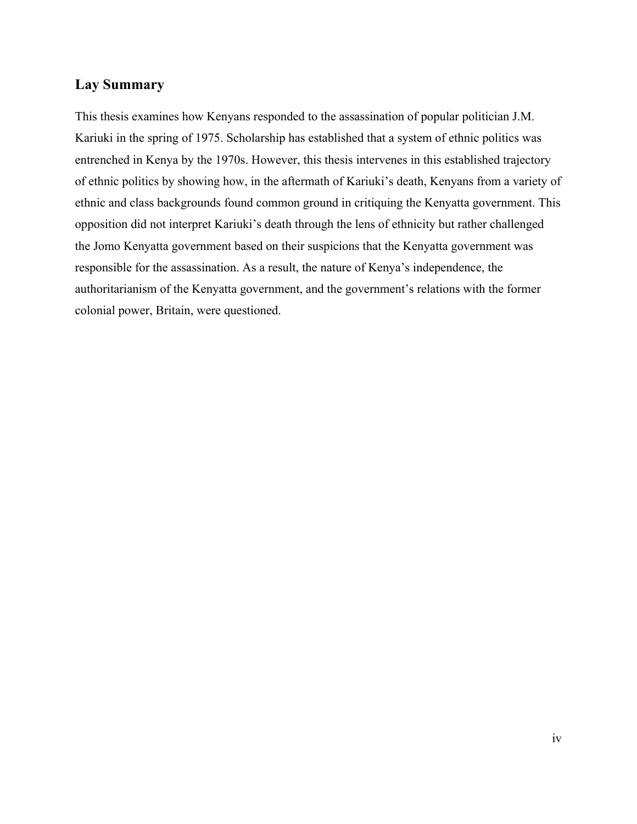## **Lay Summary**

This thesis examines how Kenyans responded to the assassination of popular politician J.M. Kariuki in the spring of 1975. Scholarship has established that a system of ethnic politics was entrenched in Kenya by the 1970s. However, this thesis intervenes in this established trajectory of ethnic politics by showing how, in the aftermath of Kariuki's death, Kenyans from a variety of ethnic and class backgrounds found common ground in critiquing the Kenyatta government. This opposition did not interpret Kariuki's death through the lens of ethnicity but rather challenged the Jomo Kenyatta government based on their suspicions that the Kenyatta government was responsible for the assassination. As a result, the nature of Kenya's independence, the authoritarianism of the Kenyatta government, and the government's relations with the former colonial power, Britain, were questioned.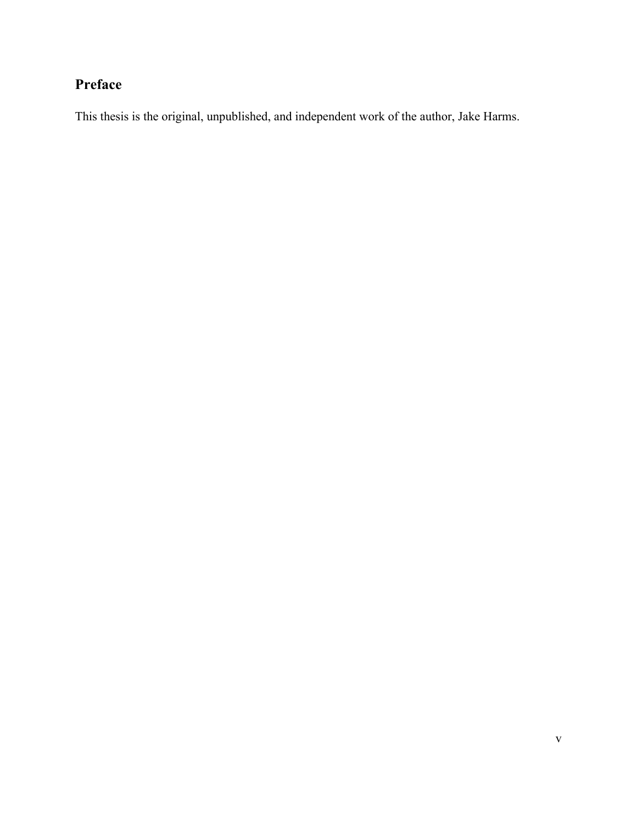# **Preface**

This thesis is the original, unpublished, and independent work of the author, Jake Harms.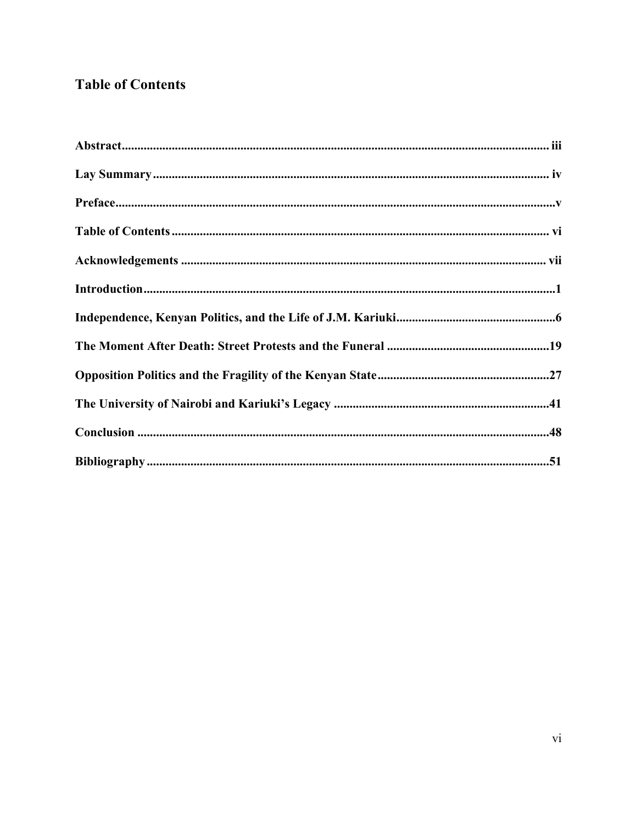# **Table of Contents**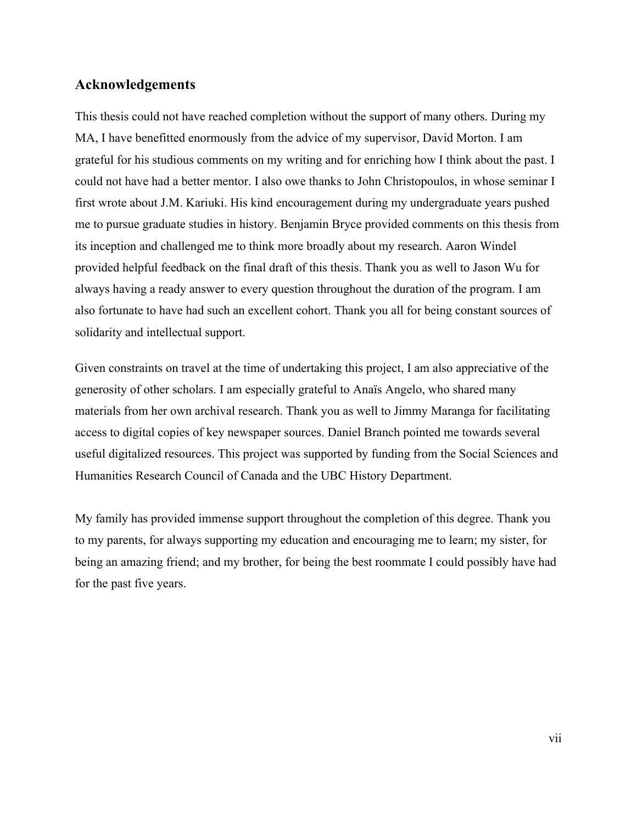## **Acknowledgements**

This thesis could not have reached completion without the support of many others. During my MA, I have benefitted enormously from the advice of my supervisor, David Morton. I am grateful for his studious comments on my writing and for enriching how I think about the past. I could not have had a better mentor. I also owe thanks to John Christopoulos, in whose seminar I first wrote about J.M. Kariuki. His kind encouragement during my undergraduate years pushed me to pursue graduate studies in history. Benjamin Bryce provided comments on this thesis from its inception and challenged me to think more broadly about my research. Aaron Windel provided helpful feedback on the final draft of this thesis. Thank you as well to Jason Wu for always having a ready answer to every question throughout the duration of the program. I am also fortunate to have had such an excellent cohort. Thank you all for being constant sources of solidarity and intellectual support.

Given constraints on travel at the time of undertaking this project, I am also appreciative of the generosity of other scholars. I am especially grateful to Anaïs Angelo, who shared many materials from her own archival research. Thank you as well to Jimmy Maranga for facilitating access to digital copies of key newspaper sources. Daniel Branch pointed me towards several useful digitalized resources. This project was supported by funding from the Social Sciences and Humanities Research Council of Canada and the UBC History Department.

My family has provided immense support throughout the completion of this degree. Thank you to my parents, for always supporting my education and encouraging me to learn; my sister, for being an amazing friend; and my brother, for being the best roommate I could possibly have had for the past five years.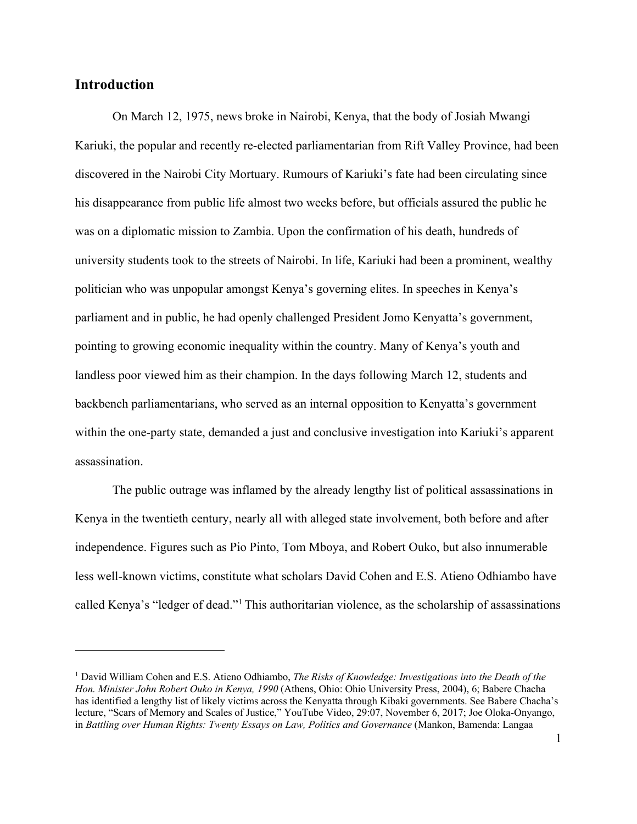## **Introduction**

On March 12, 1975, news broke in Nairobi, Kenya, that the body of Josiah Mwangi Kariuki, the popular and recently re-elected parliamentarian from Rift Valley Province, had been discovered in the Nairobi City Mortuary. Rumours of Kariuki's fate had been circulating since his disappearance from public life almost two weeks before, but officials assured the public he was on a diplomatic mission to Zambia. Upon the confirmation of his death, hundreds of university students took to the streets of Nairobi. In life, Kariuki had been a prominent, wealthy politician who was unpopular amongst Kenya's governing elites. In speeches in Kenya's parliament and in public, he had openly challenged President Jomo Kenyatta's government, pointing to growing economic inequality within the country. Many of Kenya's youth and landless poor viewed him as their champion. In the days following March 12, students and backbench parliamentarians, who served as an internal opposition to Kenyatta's government within the one-party state, demanded a just and conclusive investigation into Kariuki's apparent assassination.

The public outrage was inflamed by the already lengthy list of political assassinations in Kenya in the twentieth century, nearly all with alleged state involvement, both before and after independence. Figures such as Pio Pinto, Tom Mboya, and Robert Ouko, but also innumerable less well-known victims, constitute what scholars David Cohen and E.S. Atieno Odhiambo have called Kenya's "ledger of dead."1 This authoritarian violence, as the scholarship of assassinations

<sup>1</sup> David William Cohen and E.S. Atieno Odhiambo, *The Risks of Knowledge: Investigations into the Death of the Hon. Minister John Robert Ouko in Kenya, 1990* (Athens, Ohio: Ohio University Press, 2004), 6; Babere Chacha has identified a lengthy list of likely victims across the Kenyatta through Kibaki governments. See Babere Chacha's lecture, "Scars of Memory and Scales of Justice," YouTube Video, 29:07, November 6, 2017; Joe Oloka-Onyango, in *Battling over Human Rights: Twenty Essays on Law, Politics and Governance* (Mankon, Bamenda: Langaa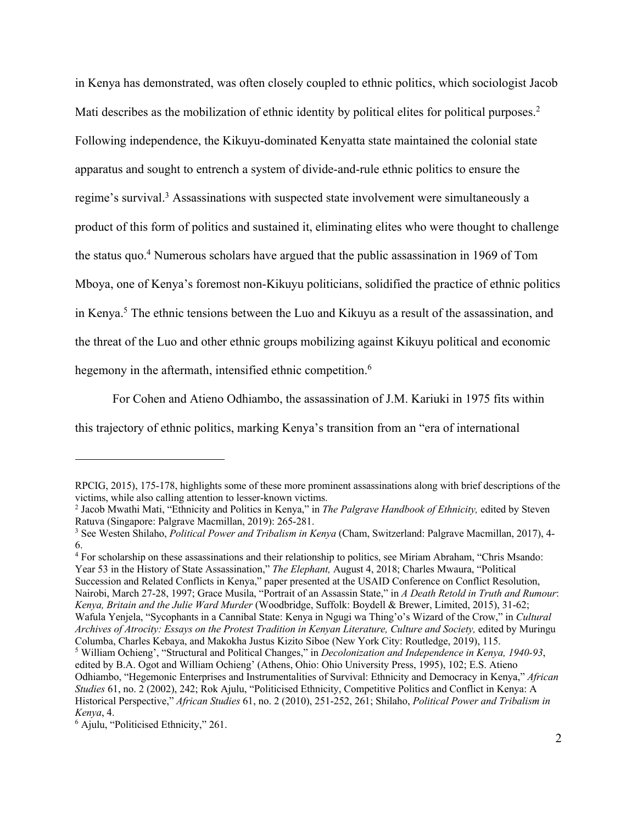in Kenya has demonstrated, was often closely coupled to ethnic politics, which sociologist Jacob Mati describes as the mobilization of ethnic identity by political elites for political purposes.<sup>2</sup> Following independence, the Kikuyu-dominated Kenyatta state maintained the colonial state apparatus and sought to entrench a system of divide-and-rule ethnic politics to ensure the regime's survival.<sup>3</sup> Assassinations with suspected state involvement were simultaneously a product of this form of politics and sustained it, eliminating elites who were thought to challenge the status quo.4 Numerous scholars have argued that the public assassination in 1969 of Tom Mboya, one of Kenya's foremost non-Kikuyu politicians, solidified the practice of ethnic politics in Kenya.5 The ethnic tensions between the Luo and Kikuyu as a result of the assassination, and the threat of the Luo and other ethnic groups mobilizing against Kikuyu political and economic hegemony in the aftermath, intensified ethnic competition.<sup>6</sup>

For Cohen and Atieno Odhiambo, the assassination of J.M. Kariuki in 1975 fits within this trajectory of ethnic politics, marking Kenya's transition from an "era of international

<sup>4</sup> For scholarship on these assassinations and their relationship to politics, see Miriam Abraham, "Chris Msando: Year 53 in the History of State Assassination," *The Elephant,* August 4, 2018; Charles Mwaura, "Political Succession and Related Conflicts in Kenya," paper presented at the USAID Conference on Conflict Resolution, Nairobi, March 27-28, 1997; Grace Musila, "Portrait of an Assassin State," in *A Death Retold in Truth and Rumour*: *Kenya, Britain and the Julie Ward Murder* (Woodbridge, Suffolk: Boydell & Brewer, Limited, 2015), 31-62; Wafula Yenjela, "Sycophants in a Cannibal State: Kenya in Ngugi wa Thing'o's Wizard of the Crow," in *Cultural Archives of Atrocity: Essays on the Protest Tradition in Kenyan Literature, Culture and Society,* edited by Muringu Columba, Charles Kebaya, and Makokha Justus Kizito Siboe (New York City: Routledge, 2019), 115. <sup>5</sup> William Ochieng', "Structural and Political Changes," in *Decolonization and Independence in Kenya, 1940-93*, edited by B.A. Ogot and William Ochieng' (Athens, Ohio: Ohio University Press, 1995), 102; E.S. Atieno Odhiambo, "Hegemonic Enterprises and Instrumentalities of Survival: Ethnicity and Democracy in Kenya," *African* 

RPCIG, 2015), 175-178, highlights some of these more prominent assassinations along with brief descriptions of the

victims, while also calling attention to lesser-known victims.<br><sup>2</sup> Jacob Mwathi Mati, "Ethnicity and Politics in Kenya," in *The Palgrave Handbook of Ethnicity*, edited by Steven<br>Ratuva (Singapore: Palgrave Macmillan, 2019

<sup>&</sup>lt;sup>3</sup> See Westen Shilaho, *Political Power and Tribalism in Kenya* (Cham, Switzerland: Palgrave Macmillan, 2017), 4-6.

*Studies* 61, no. 2 (2002), 242; Rok Ajulu, "Politicised Ethnicity, Competitive Politics and Conflict in Kenya: A Historical Perspective," *African Studies* 61, no. 2 (2010), 251-252, 261; Shilaho, *Political Power and Tribalism in Kenya*, 4. 6 Ajulu, "Politicised Ethnicity," 261.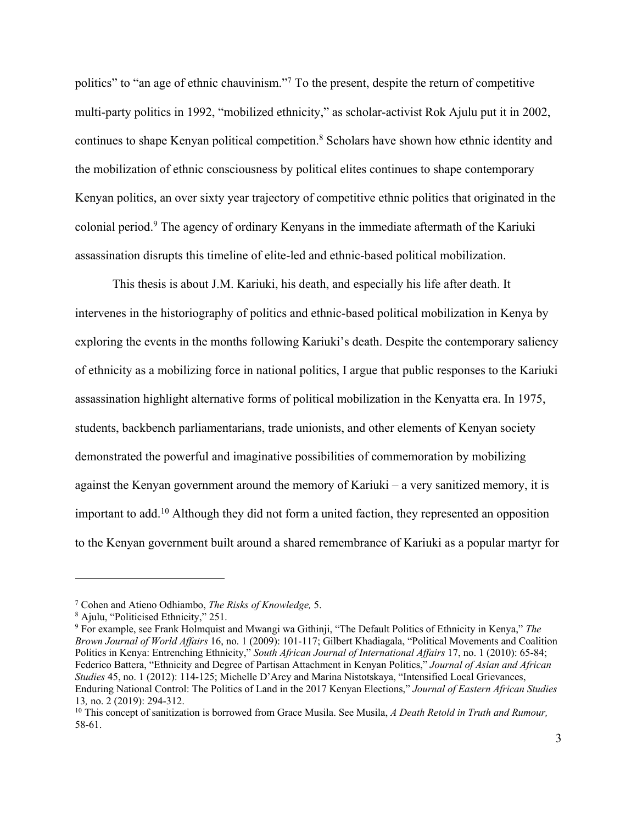politics" to "an age of ethnic chauvinism."7 To the present, despite the return of competitive multi-party politics in 1992, "mobilized ethnicity," as scholar-activist Rok Ajulu put it in 2002, continues to shape Kenyan political competition.<sup>8</sup> Scholars have shown how ethnic identity and the mobilization of ethnic consciousness by political elites continues to shape contemporary Kenyan politics, an over sixty year trajectory of competitive ethnic politics that originated in the colonial period.9 The agency of ordinary Kenyans in the immediate aftermath of the Kariuki assassination disrupts this timeline of elite-led and ethnic-based political mobilization.

This thesis is about J.M. Kariuki, his death, and especially his life after death. It intervenes in the historiography of politics and ethnic-based political mobilization in Kenya by exploring the events in the months following Kariuki's death. Despite the contemporary saliency of ethnicity as a mobilizing force in national politics, I argue that public responses to the Kariuki assassination highlight alternative forms of political mobilization in the Kenyatta era. In 1975, students, backbench parliamentarians, trade unionists, and other elements of Kenyan society demonstrated the powerful and imaginative possibilities of commemoration by mobilizing against the Kenyan government around the memory of Kariuki – a very sanitized memory, it is important to add.<sup>10</sup> Although they did not form a united faction, they represented an opposition to the Kenyan government built around a shared remembrance of Kariuki as a popular martyr for

<sup>7</sup> Cohen and Atieno Odhiambo, *The Risks of Knowledge,* 5. 8 Ajulu, "Politicised Ethnicity," 251.

<sup>9</sup> For example, see Frank Holmquist and Mwangi wa Githinji, "The Default Politics of Ethnicity in Kenya," *The Brown Journal of World Affairs* 16, no. 1 (2009): 101-117; Gilbert Khadiagala, "Political Movements and Coalition Politics in Kenya: Entrenching Ethnicity," *South African Journal of International Affairs* 17, no. 1 (2010): 65-84; Federico Battera, "Ethnicity and Degree of Partisan Attachment in Kenyan Politics," *Journal of Asian and African Studies* 45, no. 1 (2012): 114-125; Michelle D'Arcy and Marina Nistotskaya, "Intensified Local Grievances, Enduring National Control: The Politics of Land in the 2017 Kenyan Elections," *Journal of Eastern African Studies*  13*,* no. 2 (2019): 294-312.

<sup>10</sup> This concept of sanitization is borrowed from Grace Musila. See Musila, *A Death Retold in Truth and Rumour,* 58-61.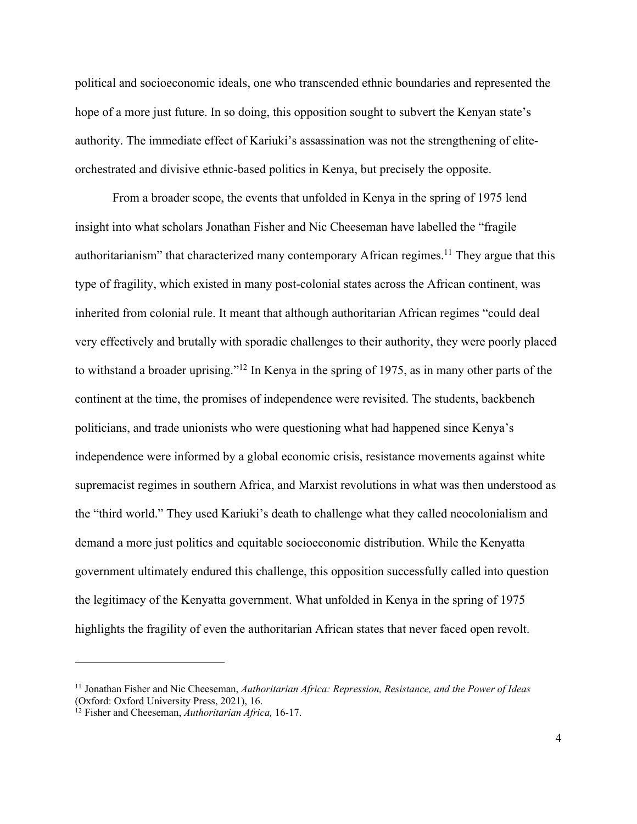political and socioeconomic ideals, one who transcended ethnic boundaries and represented the hope of a more just future. In so doing, this opposition sought to subvert the Kenyan state's authority. The immediate effect of Kariuki's assassination was not the strengthening of eliteorchestrated and divisive ethnic-based politics in Kenya, but precisely the opposite.

From a broader scope, the events that unfolded in Kenya in the spring of 1975 lend insight into what scholars Jonathan Fisher and Nic Cheeseman have labelled the "fragile authoritarianism" that characterized many contemporary African regimes.<sup>11</sup> They argue that this type of fragility, which existed in many post-colonial states across the African continent, was inherited from colonial rule. It meant that although authoritarian African regimes "could deal very effectively and brutally with sporadic challenges to their authority, they were poorly placed to withstand a broader uprising."12 In Kenya in the spring of 1975, as in many other parts of the continent at the time, the promises of independence were revisited. The students, backbench politicians, and trade unionists who were questioning what had happened since Kenya's independence were informed by a global economic crisis, resistance movements against white supremacist regimes in southern Africa, and Marxist revolutions in what was then understood as the "third world." They used Kariuki's death to challenge what they called neocolonialism and demand a more just politics and equitable socioeconomic distribution. While the Kenyatta government ultimately endured this challenge, this opposition successfully called into question the legitimacy of the Kenyatta government. What unfolded in Kenya in the spring of 1975 highlights the fragility of even the authoritarian African states that never faced open revolt.

<sup>&</sup>lt;sup>11</sup> Jonathan Fisher and Nic Cheeseman, *Authoritarian Africa: Repression, Resistance, and the Power of Ideas* (Oxford: Oxford University Press, 2021), 16.

<sup>&</sup>lt;sup>12</sup> Fisher and Cheeseman, *Authoritarian Africa*, 16-17.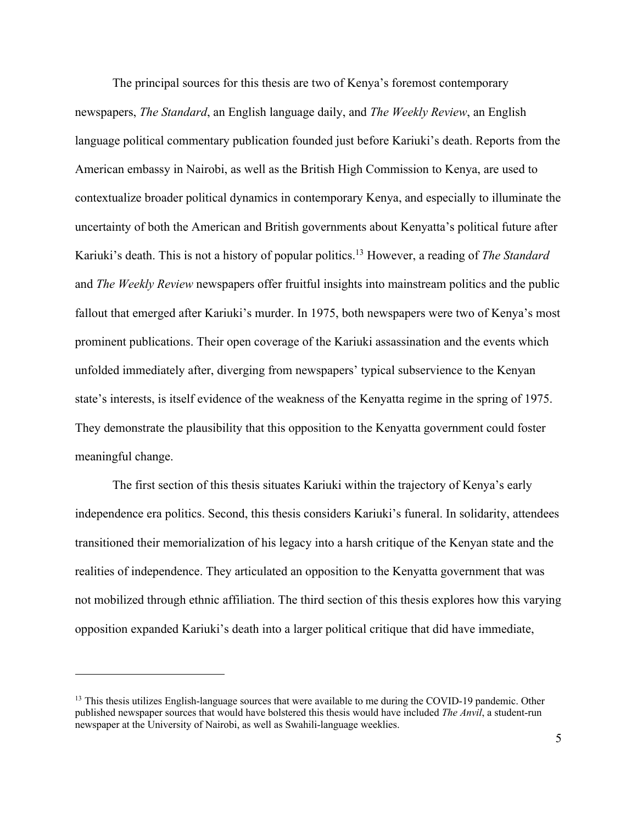The principal sources for this thesis are two of Kenya's foremost contemporary newspapers, *The Standard*, an English language daily, and *The Weekly Review*, an English language political commentary publication founded just before Kariuki's death. Reports from the American embassy in Nairobi, as well as the British High Commission to Kenya, are used to contextualize broader political dynamics in contemporary Kenya, and especially to illuminate the uncertainty of both the American and British governments about Kenyatta's political future after Kariuki's death. This is not a history of popular politics.13 However, a reading of *The Standard*  and *The Weekly Review* newspapers offer fruitful insights into mainstream politics and the public fallout that emerged after Kariuki's murder. In 1975, both newspapers were two of Kenya's most prominent publications. Their open coverage of the Kariuki assassination and the events which unfolded immediately after, diverging from newspapers' typical subservience to the Kenyan state's interests, is itself evidence of the weakness of the Kenyatta regime in the spring of 1975. They demonstrate the plausibility that this opposition to the Kenyatta government could foster meaningful change.

The first section of this thesis situates Kariuki within the trajectory of Kenya's early independence era politics. Second, this thesis considers Kariuki's funeral. In solidarity, attendees transitioned their memorialization of his legacy into a harsh critique of the Kenyan state and the realities of independence. They articulated an opposition to the Kenyatta government that was not mobilized through ethnic affiliation. The third section of this thesis explores how this varying opposition expanded Kariuki's death into a larger political critique that did have immediate,

<sup>&</sup>lt;sup>13</sup> This thesis utilizes English-language sources that were available to me during the COVID-19 pandemic. Other published newspaper sources that would have bolstered this thesis would have included *The Anvil*, a student-run newspaper at the University of Nairobi, as well as Swahili-language weeklies.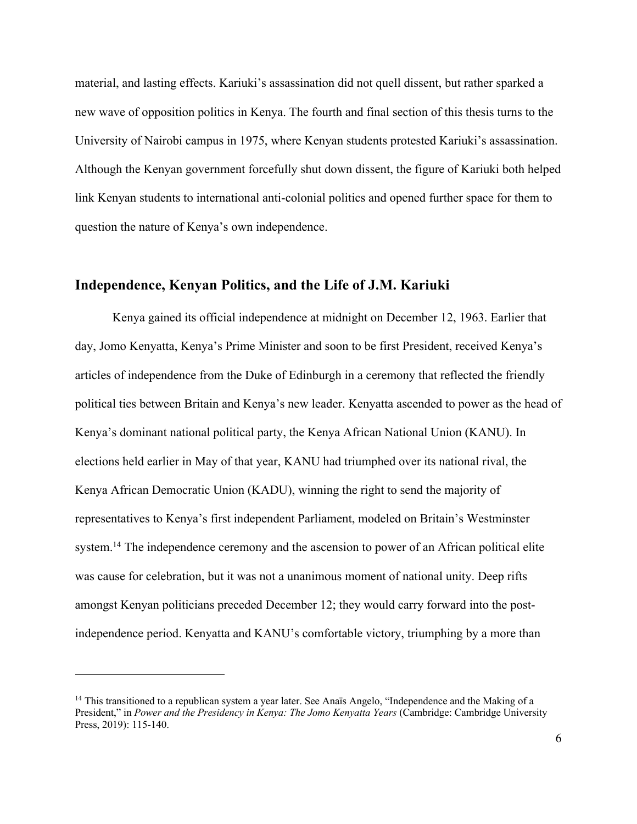material, and lasting effects. Kariuki's assassination did not quell dissent, but rather sparked a new wave of opposition politics in Kenya. The fourth and final section of this thesis turns to the University of Nairobi campus in 1975, where Kenyan students protested Kariuki's assassination. Although the Kenyan government forcefully shut down dissent, the figure of Kariuki both helped link Kenyan students to international anti-colonial politics and opened further space for them to question the nature of Kenya's own independence.

#### **Independence, Kenyan Politics, and the Life of J.M. Kariuki**

Kenya gained its official independence at midnight on December 12, 1963. Earlier that day, Jomo Kenyatta, Kenya's Prime Minister and soon to be first President, received Kenya's articles of independence from the Duke of Edinburgh in a ceremony that reflected the friendly political ties between Britain and Kenya's new leader. Kenyatta ascended to power as the head of Kenya's dominant national political party, the Kenya African National Union (KANU). In elections held earlier in May of that year, KANU had triumphed over its national rival, the Kenya African Democratic Union (KADU), winning the right to send the majority of representatives to Kenya's first independent Parliament, modeled on Britain's Westminster system.<sup>14</sup> The independence ceremony and the ascension to power of an African political elite was cause for celebration, but it was not a unanimous moment of national unity. Deep rifts amongst Kenyan politicians preceded December 12; they would carry forward into the postindependence period. Kenyatta and KANU's comfortable victory, triumphing by a more than

<sup>&</sup>lt;sup>14</sup> This transitioned to a republican system a year later. See Anaïs Angelo, "Independence and the Making of a President," in *Power and the Presidency in Kenya: The Jomo Kenyatta Years* (Cambridge: Cambridge University Press, 2019): 115-140.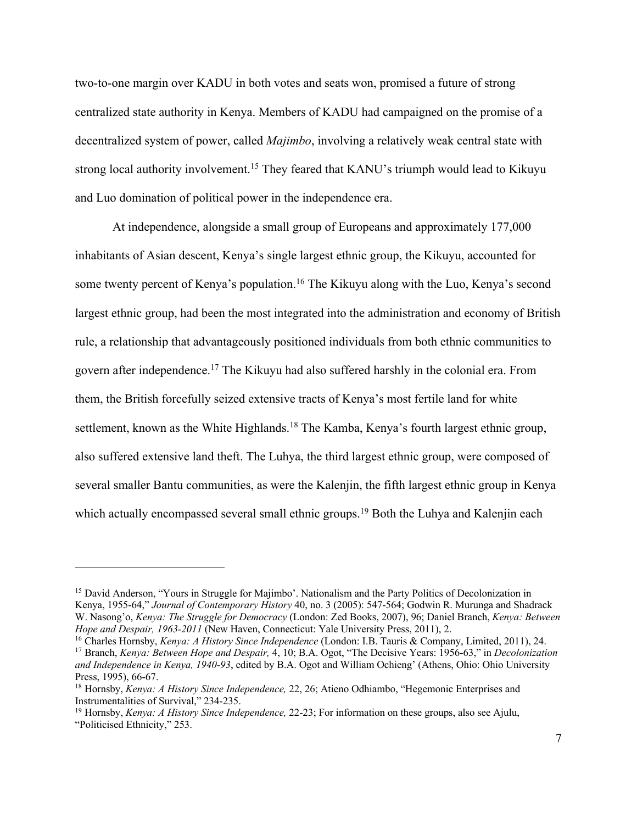two-to-one margin over KADU in both votes and seats won, promised a future of strong centralized state authority in Kenya. Members of KADU had campaigned on the promise of a decentralized system of power, called *Majimbo*, involving a relatively weak central state with strong local authority involvement.<sup>15</sup> They feared that KANU's triumph would lead to Kikuyu and Luo domination of political power in the independence era.

At independence, alongside a small group of Europeans and approximately 177,000 inhabitants of Asian descent, Kenya's single largest ethnic group, the Kikuyu, accounted for some twenty percent of Kenya's population.<sup>16</sup> The Kikuyu along with the Luo, Kenya's second largest ethnic group, had been the most integrated into the administration and economy of British rule, a relationship that advantageously positioned individuals from both ethnic communities to govern after independence.17 The Kikuyu had also suffered harshly in the colonial era. From them, the British forcefully seized extensive tracts of Kenya's most fertile land for white settlement, known as the White Highlands.<sup>18</sup> The Kamba, Kenya's fourth largest ethnic group, also suffered extensive land theft. The Luhya, the third largest ethnic group, were composed of several smaller Bantu communities, as were the Kalenjin, the fifth largest ethnic group in Kenya which actually encompassed several small ethnic groups.<sup>19</sup> Both the Luhya and Kalenjin each

Hope and Despair, 1963-2011 (New Haven, Connecticut: Yale University Press, 2011), 2.<br><sup>16</sup> Charles Hornsby, *Kenya: A History Since Independence* (London: I.B. Tauris & Company, Limited, 2011), 24.<br><sup>17</sup> Branch, *Kenya: Bet and Independence in Kenya, 1940-93*, edited by B.A. Ogot and William Ochieng' (Athens, Ohio: Ohio University

<sup>&</sup>lt;sup>15</sup> David Anderson, "Yours in Struggle for Majimbo'. Nationalism and the Party Politics of Decolonization in Kenya, 1955-64," *Journal of Contemporary History* 40, no. 3 (2005): 547-564; Godwin R. Murunga and Shadrack W. Nasong'o, *Kenya: The Struggle for Democracy* (London: Zed Books, 2007), 96; Daniel Branch, *Kenya: Between* 

<sup>&</sup>lt;sup>18</sup> Hornsby, *Kenya: A History Since Independence*, 22, 26; Atieno Odhiambo, "Hegemonic Enterprises and Instrumentalities of Survival," 234-235.

<sup>19</sup> Hornsby, *Kenya: A History Since Independence,* 22-23; For information on these groups, also see Ajulu, "Politicised Ethnicity," 253.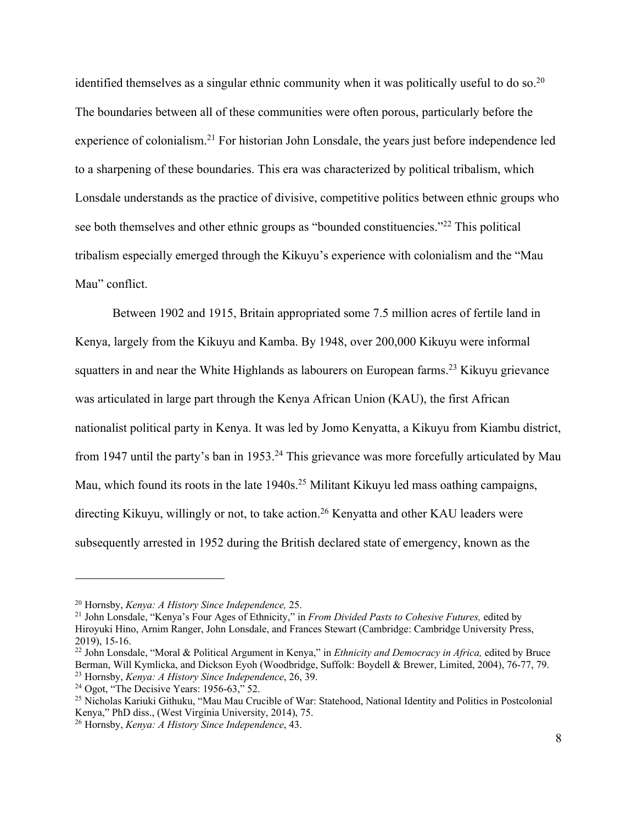identified themselves as a singular ethnic community when it was politically useful to do so.<sup>20</sup> The boundaries between all of these communities were often porous, particularly before the experience of colonialism.21 For historian John Lonsdale, the years just before independence led to a sharpening of these boundaries. This era was characterized by political tribalism, which Lonsdale understands as the practice of divisive, competitive politics between ethnic groups who see both themselves and other ethnic groups as "bounded constituencies."<sup>22</sup> This political tribalism especially emerged through the Kikuyu's experience with colonialism and the "Mau Mau" conflict.

Between 1902 and 1915, Britain appropriated some 7.5 million acres of fertile land in Kenya, largely from the Kikuyu and Kamba. By 1948, over 200,000 Kikuyu were informal squatters in and near the White Highlands as labourers on European farms.<sup>23</sup> Kikuyu grievance was articulated in large part through the Kenya African Union (KAU), the first African nationalist political party in Kenya. It was led by Jomo Kenyatta, a Kikuyu from Kiambu district, from 1947 until the party's ban in 1953.<sup>24</sup> This grievance was more forcefully articulated by Mau Mau, which found its roots in the late 1940s.<sup>25</sup> Militant Kikuyu led mass oathing campaigns, directing Kikuyu, willingly or not, to take action.<sup>26</sup> Kenyatta and other KAU leaders were subsequently arrested in 1952 during the British declared state of emergency, known as the

<sup>20</sup> Hornsby, *Kenya: A History Since Independence,* 25. 21 John Lonsdale, "Kenya's Four Ages of Ethnicity," in *From Divided Pasts to Cohesive Futures,* edited by Hiroyuki Hino, Arnim Ranger, John Lonsdale, and Frances Stewart (Cambridge: Cambridge University Press, 2019), 15-16.

<sup>22</sup> John Lonsdale, "Moral & Political Argument in Kenya," in *Ethnicity and Democracy in Africa,* edited by Bruce Berman, Will Kymlicka, and Dickson Eyoh (Woodbridge, Suffolk: Boydell & Brewer, Limited, 2004), 76-77, 79. <sup>23</sup> Hornsby, *Kenya: A History Since Independence*, 26, 39.

<sup>24</sup> Ogot, "The Decisive Years: 1956-63," 52.

<sup>&</sup>lt;sup>25</sup> Nicholas Kariuki Githuku, "Mau Mau Crucible of War: Statehood, National Identity and Politics in Postcolonial Kenya," PhD diss., (West Virginia University, 2014), 75.

<sup>&</sup>lt;sup>26</sup> Hornsby, *Kenya: A History Since Independence*, 43.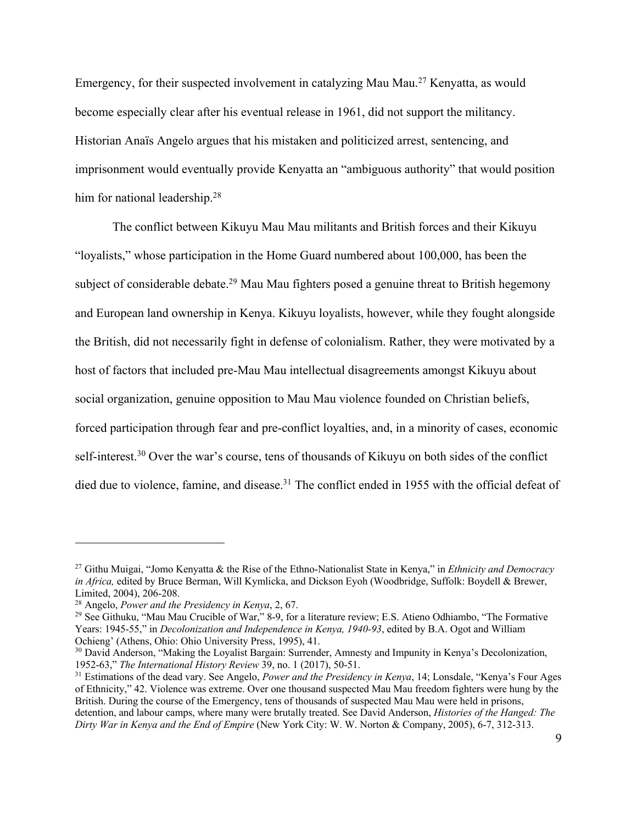Emergency, for their suspected involvement in catalyzing Mau Mau.27 Kenyatta, as would become especially clear after his eventual release in 1961, did not support the militancy. Historian Anaïs Angelo argues that his mistaken and politicized arrest, sentencing, and imprisonment would eventually provide Kenyatta an "ambiguous authority" that would position him for national leadership.<sup>28</sup>

The conflict between Kikuyu Mau Mau militants and British forces and their Kikuyu "loyalists," whose participation in the Home Guard numbered about 100,000, has been the subject of considerable debate.<sup>29</sup> Mau Mau fighters posed a genuine threat to British hegemony and European land ownership in Kenya. Kikuyu loyalists, however, while they fought alongside the British, did not necessarily fight in defense of colonialism. Rather, they were motivated by a host of factors that included pre-Mau Mau intellectual disagreements amongst Kikuyu about social organization, genuine opposition to Mau Mau violence founded on Christian beliefs, forced participation through fear and pre-conflict loyalties, and, in a minority of cases, economic self-interest.<sup>30</sup> Over the war's course, tens of thousands of Kikuyu on both sides of the conflict died due to violence, famine, and disease.<sup>31</sup> The conflict ended in 1955 with the official defeat of

<sup>27</sup> Githu Muigai, "Jomo Kenyatta & the Rise of the Ethno-Nationalist State in Kenya," in *Ethnicity and Democracy in Africa,* edited by Bruce Berman, Will Kymlicka, and Dickson Eyoh (Woodbridge, Suffolk: Boydell & Brewer, Limited, 2004), 206-208.<br><sup>28</sup> Angelo, *Power and the Presidency in Kenya*, 2, 67.

<sup>&</sup>lt;sup>29</sup> See Githuku, "Mau Mau Crucible of War," 8-9, for a literature review; E.S. Atieno Odhiambo, "The Formative Years: 1945-55," in *Decolonization and Independence in Kenya, 1940-93*, edited by B.A. Ogot and William

<sup>&</sup>lt;sup>30</sup> David Anderson, "Making the Loyalist Bargain: Surrender, Amnesty and Impunity in Kenya's Decolonization, 1952-63," *The International History Review* 39, no. 1 (2017), 50-51. 31 Estimations of the dead vary. See Angelo, *Power and the Presidency in Kenya*, 14; Lonsdale, "Kenya's Four Ages

of Ethnicity," 42. Violence was extreme. Over one thousand suspected Mau Mau freedom fighters were hung by the British. During the course of the Emergency, tens of thousands of suspected Mau Mau were held in prisons, detention, and labour camps, where many were brutally treated. See David Anderson, *Histories of the Hanged: The Dirty War in Kenya and the End of Empire* (New York City: W. W. Norton & Company, 2005), 6-7, 312-313.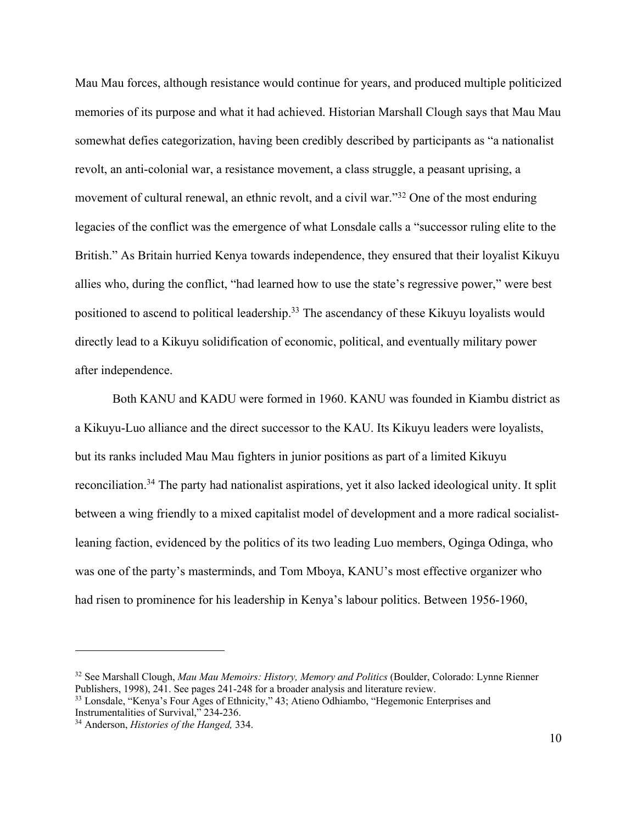Mau Mau forces, although resistance would continue for years, and produced multiple politicized memories of its purpose and what it had achieved. Historian Marshall Clough says that Mau Mau somewhat defies categorization, having been credibly described by participants as "a nationalist revolt, an anti-colonial war, a resistance movement, a class struggle, a peasant uprising, a movement of cultural renewal, an ethnic revolt, and a civil war."32 One of the most enduring legacies of the conflict was the emergence of what Lonsdale calls a "successor ruling elite to the British." As Britain hurried Kenya towards independence, they ensured that their loyalist Kikuyu allies who, during the conflict, "had learned how to use the state's regressive power," were best positioned to ascend to political leadership.<sup>33</sup> The ascendancy of these Kikuyu loyalists would directly lead to a Kikuyu solidification of economic, political, and eventually military power after independence.

Both KANU and KADU were formed in 1960. KANU was founded in Kiambu district as a Kikuyu-Luo alliance and the direct successor to the KAU. Its Kikuyu leaders were loyalists, but its ranks included Mau Mau fighters in junior positions as part of a limited Kikuyu reconciliation.34 The party had nationalist aspirations, yet it also lacked ideological unity. It split between a wing friendly to a mixed capitalist model of development and a more radical socialistleaning faction, evidenced by the politics of its two leading Luo members, Oginga Odinga, who was one of the party's masterminds, and Tom Mboya, KANU's most effective organizer who had risen to prominence for his leadership in Kenya's labour politics. Between 1956-1960,

<sup>32</sup> See Marshall Clough, *Mau Mau Memoirs: History, Memory and Politics* (Boulder, Colorado: Lynne Rienner Publishers, 1998), 241. See pages 241-248 for a broader analysis and literature review.

 $33$  Lonsdale, "Kenya's Four Ages of Ethnicity," 43; Atieno Odhiambo, "Hegemonic Enterprises and Instrumentalities of Survival,"  $234-236$ .

<sup>&</sup>lt;sup>34</sup> Anderson, *Histories of the Hanged*, 334.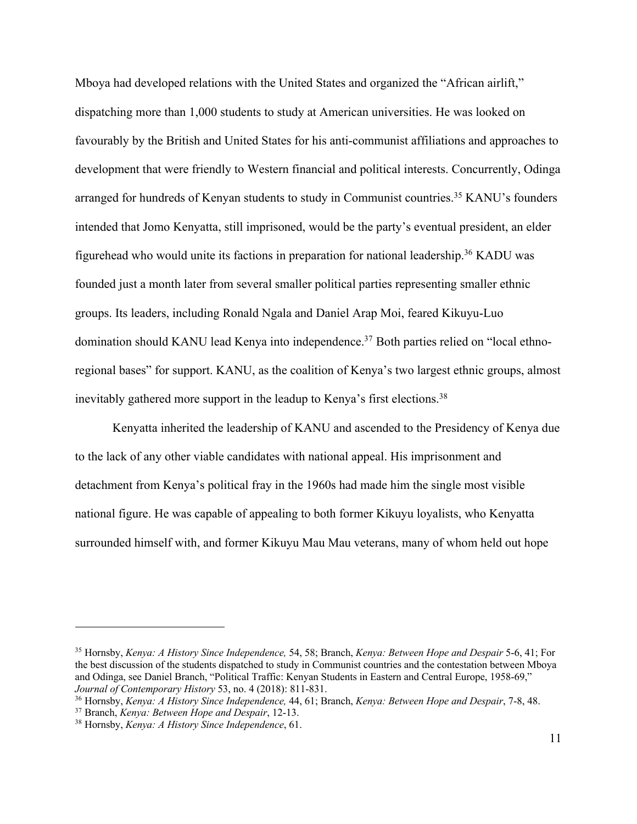Mboya had developed relations with the United States and organized the "African airlift," dispatching more than 1,000 students to study at American universities. He was looked on favourably by the British and United States for his anti-communist affiliations and approaches to development that were friendly to Western financial and political interests. Concurrently, Odinga arranged for hundreds of Kenyan students to study in Communist countries.35 KANU's founders intended that Jomo Kenyatta, still imprisoned, would be the party's eventual president, an elder figurehead who would unite its factions in preparation for national leadership.<sup>36</sup> KADU was founded just a month later from several smaller political parties representing smaller ethnic groups. Its leaders, including Ronald Ngala and Daniel Arap Moi, feared Kikuyu-Luo domination should KANU lead Kenya into independence.<sup>37</sup> Both parties relied on "local ethnoregional bases" for support. KANU, as the coalition of Kenya's two largest ethnic groups, almost inevitably gathered more support in the leadup to Kenya's first elections.<sup>38</sup>

Kenyatta inherited the leadership of KANU and ascended to the Presidency of Kenya due to the lack of any other viable candidates with national appeal. His imprisonment and detachment from Kenya's political fray in the 1960s had made him the single most visible national figure. He was capable of appealing to both former Kikuyu loyalists, who Kenyatta surrounded himself with, and former Kikuyu Mau Mau veterans, many of whom held out hope

<sup>35</sup> Hornsby, *Kenya: A History Since Independence,* 54, 58; Branch, *Kenya: Between Hope and Despair* 5-6, 41; For the best discussion of the students dispatched to study in Communist countries and the contestation between Mboya and Odinga, see Daniel Branch, "Political Traffic: Kenyan Students in Eastern and Central Europe, 1958-69,"<br>Journal of Contemporary History 53, no. 4 (2018): 811-831.

<sup>&</sup>lt;sup>36</sup> Hornsby, *Kenya: A History Since Independence*, 44, 61; Branch, *Kenya: Between Hope and Despair*, 7-8, 48.<br><sup>37</sup> Branch, *Kenya: Between Hope and Despair*, 12-13.<br><sup>38</sup> Hornsby, *Kenya: A History Since Independence*,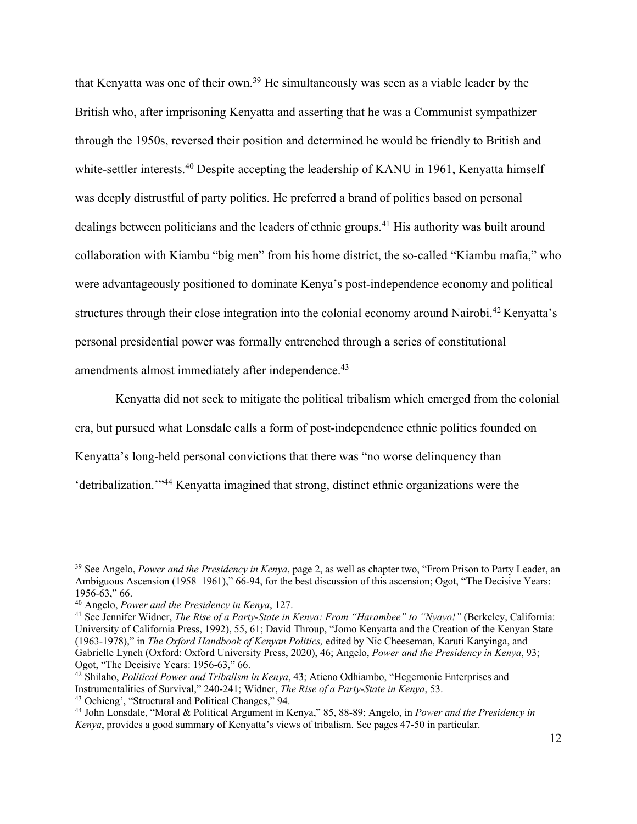that Kenyatta was one of their own.39 He simultaneously was seen as a viable leader by the British who, after imprisoning Kenyatta and asserting that he was a Communist sympathizer through the 1950s, reversed their position and determined he would be friendly to British and white-settler interests.<sup>40</sup> Despite accepting the leadership of KANU in 1961, Kenyatta himself was deeply distrustful of party politics. He preferred a brand of politics based on personal dealings between politicians and the leaders of ethnic groups. <sup>41</sup> His authority was built around collaboration with Kiambu "big men" from his home district, the so-called "Kiambu mafia," who were advantageously positioned to dominate Kenya's post-independence economy and political structures through their close integration into the colonial economy around Nairobi.<sup>42</sup> Kenyatta's personal presidential power was formally entrenched through a series of constitutional amendments almost immediately after independence.<sup>43</sup>

Kenyatta did not seek to mitigate the political tribalism which emerged from the colonial era, but pursued what Lonsdale calls a form of post-independence ethnic politics founded on Kenyatta's long-held personal convictions that there was "no worse delinquency than 'detribalization.'"44 Kenyatta imagined that strong, distinct ethnic organizations were the

<sup>39</sup> See Angelo, *Power and the Presidency in Kenya*, page 2, as well as chapter two, "From Prison to Party Leader, an Ambiguous Ascension (1958–1961)," 66-94, for the best discussion of this ascension; Ogot, "The Decisive Years: 1956-63," 66.

<sup>&</sup>lt;sup>40</sup> Angelo, *Power and the Presidency in Kenya*, 127.<br><sup>41</sup> See Jennifer Widner, *The Rise of a Party-State in Kenya: From "Harambee" to "Nyayo!" (Berkeley, California:* University of California Press, 1992), 55, 61; David Throup, "Jomo Kenyatta and the Creation of the Kenyan State (1963-1978)," in *The Oxford Handbook of Kenyan Politics,* edited by Nic Cheeseman, Karuti Kanyinga, and Gabrielle Lynch (Oxford: Oxford University Press, 2020), 46; Angelo, *Power and the Presidency in Kenya*, 93; Ogot, "The Decisive Years: 1956-63," 66.

<sup>&</sup>lt;sup>42</sup> Shilaho, *Political Power and Tribalism in Kenya*, 43; Atieno Odhiambo, "Hegemonic Enterprises and Instrumentalities of Survival," 240-241; Widner, *The Rise of a Party-State in Kenya*, 53.

<sup>&</sup>lt;sup>43</sup> Ochieng', "Structural and Political Changes," 94.<br><sup>44</sup> John Lonsdale, "Moral & Political Argument in Kenya," 85, 88-89; Angelo, in *Power and the Presidency in Kenya*, provides a good summary of Kenyatta's views of tribalism. See pages 47-50 in particular.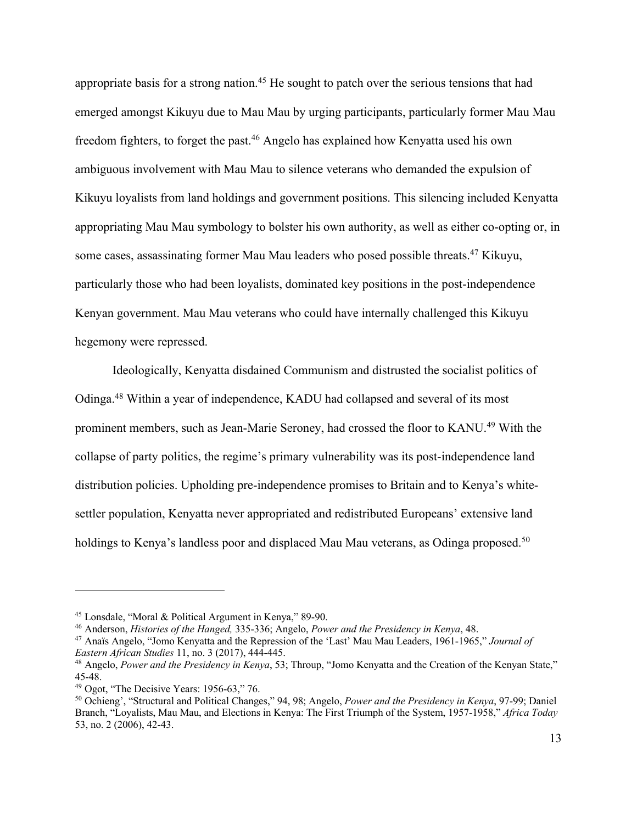appropriate basis for a strong nation.<sup>45</sup> He sought to patch over the serious tensions that had emerged amongst Kikuyu due to Mau Mau by urging participants, particularly former Mau Mau freedom fighters, to forget the past. <sup>46</sup> Angelo has explained how Kenyatta used his own ambiguous involvement with Mau Mau to silence veterans who demanded the expulsion of Kikuyu loyalists from land holdings and government positions. This silencing included Kenyatta appropriating Mau Mau symbology to bolster his own authority, as well as either co-opting or, in some cases, assassinating former Mau Mau leaders who posed possible threats.<sup>47</sup> Kikuyu, particularly those who had been loyalists, dominated key positions in the post-independence Kenyan government. Mau Mau veterans who could have internally challenged this Kikuyu hegemony were repressed.

Ideologically, Kenyatta disdained Communism and distrusted the socialist politics of Odinga.48 Within a year of independence, KADU had collapsed and several of its most prominent members, such as Jean-Marie Seroney, had crossed the floor to KANU.<sup>49</sup> With the collapse of party politics, the regime's primary vulnerability was its post-independence land distribution policies. Upholding pre-independence promises to Britain and to Kenya's whitesettler population, Kenyatta never appropriated and redistributed Europeans' extensive land holdings to Kenya's landless poor and displaced Mau Mau veterans, as Odinga proposed.<sup>50</sup>

<sup>&</sup>lt;sup>45</sup> Lonsdale, "Moral & Political Argument in Kenya," 89-90.<br><sup>46</sup> Anderson, *Histories of the Hanged*, 335-336; Angelo, *Power and the Presidency in Kenya*, 48.<br><sup>47</sup> Anaïs Angelo, "Jomo Kenyatta and the Repression of the *Eastern African Studies* 11, no. 3 (2017), 444-445.

<sup>&</sup>lt;sup>48</sup> Angelo, *Power and the Presidency in Kenya*, 53; Throup, "Jomo Kenyatta and the Creation of the Kenyan State," 45-48.<br><sup>49</sup> Ogot, "The Decisive Years: 1956-63," 76.

<sup>&</sup>lt;sup>50</sup> Ochieng', "Structural and Political Changes," 94, 98; Angelo, *Power and the Presidency in Kenya*, 97-99; Daniel Branch, "Loyalists, Mau Mau, and Elections in Kenya: The First Triumph of the System, 1957-1958," *Africa Today*  53, no. 2 (2006), 42-43.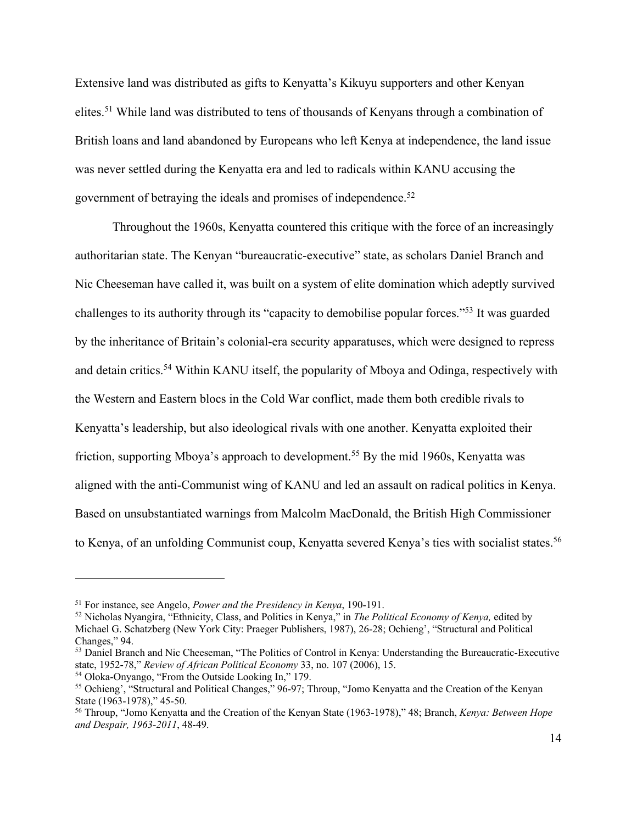Extensive land was distributed as gifts to Kenyatta's Kikuyu supporters and other Kenyan elites.51 While land was distributed to tens of thousands of Kenyans through a combination of British loans and land abandoned by Europeans who left Kenya at independence, the land issue was never settled during the Kenyatta era and led to radicals within KANU accusing the government of betraying the ideals and promises of independence.<sup>52</sup>

Throughout the 1960s, Kenyatta countered this critique with the force of an increasingly authoritarian state. The Kenyan "bureaucratic-executive" state, as scholars Daniel Branch and Nic Cheeseman have called it, was built on a system of elite domination which adeptly survived challenges to its authority through its "capacity to demobilise popular forces."53 It was guarded by the inheritance of Britain's colonial-era security apparatuses, which were designed to repress and detain critics.54 Within KANU itself, the popularity of Mboya and Odinga, respectively with the Western and Eastern blocs in the Cold War conflict, made them both credible rivals to Kenyatta's leadership, but also ideological rivals with one another. Kenyatta exploited their friction, supporting Mboya's approach to development. <sup>55</sup> By the mid 1960s, Kenyatta was aligned with the anti-Communist wing of KANU and led an assault on radical politics in Kenya. Based on unsubstantiated warnings from Malcolm MacDonald, the British High Commissioner to Kenya, of an unfolding Communist coup, Kenyatta severed Kenya's ties with socialist states.<sup>56</sup>

<sup>51</sup> For instance, see Angelo, *Power and the Presidency in Kenya*, 190-191. 52 Nicholas Nyangira, "Ethnicity, Class, and Politics in Kenya," in *The Political Economy of Kenya,* edited by Michael G. Schatzberg (New York City: Praeger Publishers, 1987), 26-28; Ochieng', "Structural and Political Changes," 94.

<sup>&</sup>lt;sup>53</sup> Daniel Branch and Nic Cheeseman, "The Politics of Control in Kenya: Understanding the Bureaucratic-Executive state, 1952-78," *Review of African Political Economy* 33, no. 107 (2006), 15.<br><sup>54</sup> Oloka-Onyango, "From the Outside Looking In," 179.

<sup>&</sup>lt;sup>55</sup> Ochieng', "Structural and Political Changes," 96-97; Throup, "Jomo Kenyatta and the Creation of the Kenyan State (1963-1978)," 45-50.<br><sup>56</sup> Throup, "Jomo Kenyatta and the Creation of the Kenyan State (1963-1978)," 48; Branch, *Kenya: Between Hope* 

*and Despair, 1963-2011*, 48-49.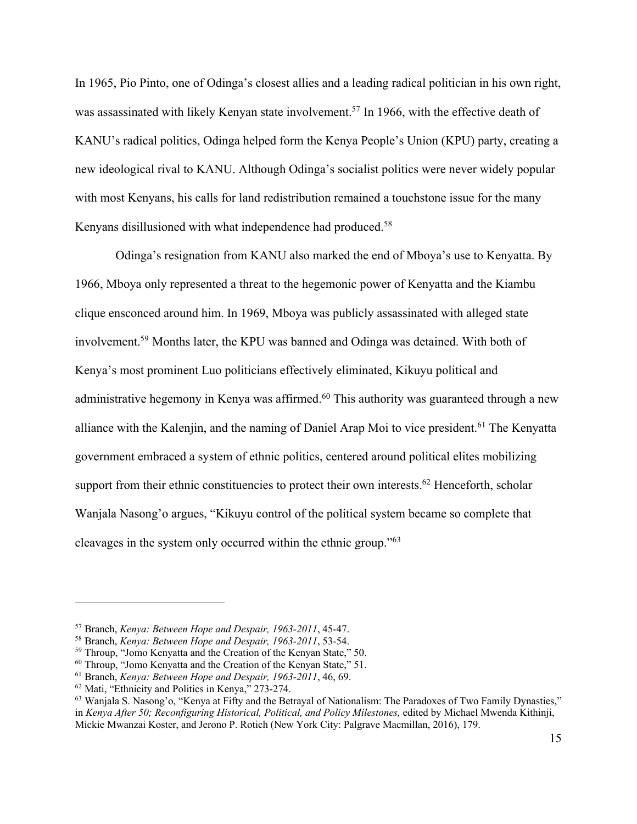In 1965, Pio Pinto, one of Odinga's closest allies and a leading radical politician in his own right, was assassinated with likely Kenyan state involvement.<sup>57</sup> In 1966, with the effective death of KANU's radical politics, Odinga helped form the Kenya People's Union (KPU) party, creating a new ideological rival to KANU. Although Odinga's socialist politics were never widely popular with most Kenyans, his calls for land redistribution remained a touchstone issue for the many Kenyans disillusioned with what independence had produced.<sup>58</sup>

Odinga's resignation from KANU also marked the end of Mboya's use to Kenyatta. By 1966, Mboya only represented a threat to the hegemonic power of Kenyatta and the Kiambu clique ensconced around him. In 1969, Mboya was publicly assassinated with alleged state involvement. <sup>59</sup> Months later, the KPU was banned and Odinga was detained. With both of Kenya's most prominent Luo politicians effectively eliminated, Kikuyu political and administrative hegemony in Kenya was affirmed.<sup>60</sup> This authority was guaranteed through a new alliance with the Kalenjin, and the naming of Daniel Arap Moi to vice president.<sup>61</sup> The Kenyatta government embraced a system of ethnic politics, centered around political elites mobilizing support from their ethnic constituencies to protect their own interests.<sup>62</sup> Henceforth, scholar Wanjala Nasong'o argues, "Kikuyu control of the political system became so complete that cleavages in the system only occurred within the ethnic group."63

<sup>57</sup> Branch, *Kenya: Between Hope and Despair, 1963-2011*, 45-47.

<sup>58</sup> Branch, *Kenya: Between Hope and Despair, 1963-2011*, 53-54.

 $59$  Throup, "Jomo Kenyatta and the Creation of the Kenyan State," 50.<br> $60$  Throup, "Jomo Kenyatta and the Creation of the Kenyan State," 51.

<sup>&</sup>lt;sup>61</sup> Branch, *Kenya: Between Hope and Despair*, 1963-2011, 46, 69.<br><sup>62</sup> Mati, "Ethnicity and Politics in Kenya," 273-274.<br><sup>63</sup> Wanjala S. Nasong'o, "Kenya at Fifty and the Betrayal of Nationalism: The Paradoxes of Two Fam in *Kenya After 50; Reconfiguring Historical, Political, and Policy Milestones,* edited by Michael Mwenda Kithinji, Mickie Mwanzai Koster, and Jerono P. Rotich (New York City: Palgrave Macmillan, 2016), 179.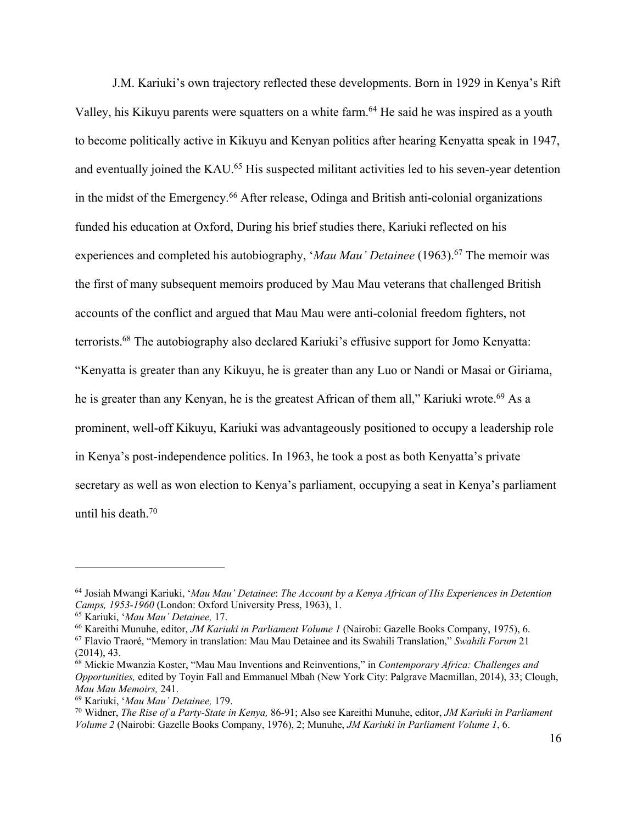J.M. Kariuki's own trajectory reflected these developments. Born in 1929 in Kenya's Rift Valley, his Kikuyu parents were squatters on a white farm.<sup>64</sup> He said he was inspired as a youth to become politically active in Kikuyu and Kenyan politics after hearing Kenyatta speak in 1947, and eventually joined the KAU.<sup>65</sup> His suspected militant activities led to his seven-year detention in the midst of the Emergency. <sup>66</sup> After release, Odinga and British anti-colonial organizations funded his education at Oxford, During his brief studies there, Kariuki reflected on his experiences and completed his autobiography, '*Mau Mau' Detainee* (1963).<sup>67</sup> The memoir was the first of many subsequent memoirs produced by Mau Mau veterans that challenged British accounts of the conflict and argued that Mau Mau were anti-colonial freedom fighters, not terrorists.68 The autobiography also declared Kariuki's effusive support for Jomo Kenyatta: "Kenyatta is greater than any Kikuyu, he is greater than any Luo or Nandi or Masai or Giriama, he is greater than any Kenyan, he is the greatest African of them all," Kariuki wrote.<sup>69</sup> As a prominent, well-off Kikuyu, Kariuki was advantageously positioned to occupy a leadership role in Kenya's post-independence politics. In 1963, he took a post as both Kenyatta's private secretary as well as won election to Kenya's parliament, occupying a seat in Kenya's parliament until his death.70

<sup>64</sup> Josiah Mwangi Kariuki, '*Mau Mau' Detainee*: *The Account by a Kenya African of His Experiences in Detention Camps, 1953-1960* (London: Oxford University Press, 1963), 1. 65 Kariuki, '*Mau Mau' Detainee,* 17. 66 Kareithi Munuhe, editor, *JM Kariuki in Parliament Volume 1* (Nairobi: Gazelle Books Company, 1975), 6.

<sup>67</sup> Flavio Traoré, "Memory in translation: Mau Mau Detainee and its Swahili Translation," *Swahili Forum* 21 (2014), 43.

<sup>68</sup> Mickie Mwanzia Koster, "Mau Mau Inventions and Reinventions," in *Contemporary Africa: Challenges and Opportunities,* edited by Toyin Fall and Emmanuel Mbah (New York City: Palgrave Macmillan, 2014), 33; Clough, *Mau Mau Memoirs,* 241.

<sup>69</sup> Kariuki, '*Mau Mau' Detainee,* 179. 70 Widner, *The Rise of a Party-State in Kenya,* 86-91; Also see Kareithi Munuhe, editor, *JM Kariuki in Parliament Volume 2* (Nairobi: Gazelle Books Company, 1976), 2; Munuhe, *JM Kariuki in Parliament Volume 1*, 6.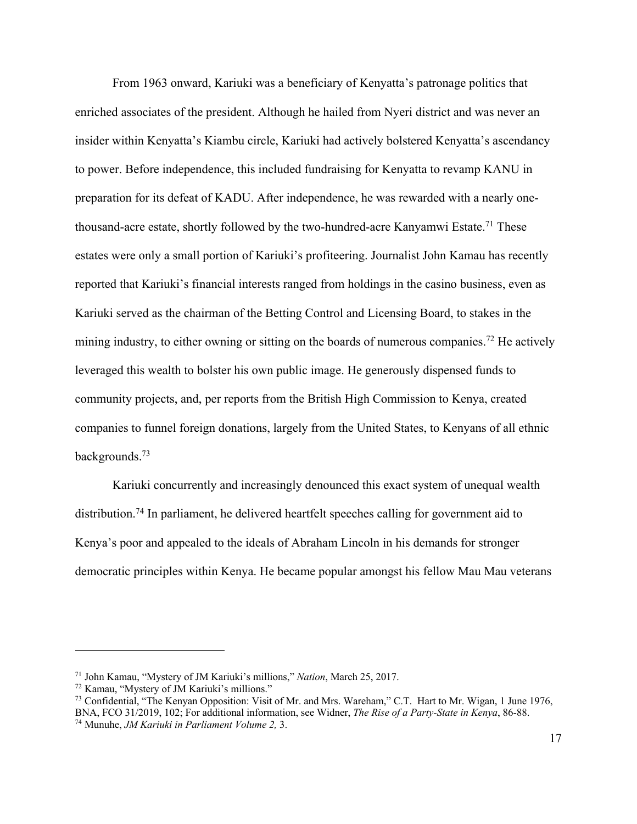From 1963 onward, Kariuki was a beneficiary of Kenyatta's patronage politics that enriched associates of the president. Although he hailed from Nyeri district and was never an insider within Kenyatta's Kiambu circle, Kariuki had actively bolstered Kenyatta's ascendancy to power. Before independence, this included fundraising for Kenyatta to revamp KANU in preparation for its defeat of KADU. After independence, he was rewarded with a nearly onethousand-acre estate, shortly followed by the two-hundred-acre Kanyamwi Estate.<sup>71</sup> These estates were only a small portion of Kariuki's profiteering. Journalist John Kamau has recently reported that Kariuki's financial interests ranged from holdings in the casino business, even as Kariuki served as the chairman of the Betting Control and Licensing Board, to stakes in the mining industry, to either owning or sitting on the boards of numerous companies.<sup>72</sup> He actively leveraged this wealth to bolster his own public image. He generously dispensed funds to community projects, and, per reports from the British High Commission to Kenya, created companies to funnel foreign donations, largely from the United States, to Kenyans of all ethnic backgrounds.73

Kariuki concurrently and increasingly denounced this exact system of unequal wealth distribution.74 In parliament, he delivered heartfelt speeches calling for government aid to Kenya's poor and appealed to the ideals of Abraham Lincoln in his demands for stronger democratic principles within Kenya. He became popular amongst his fellow Mau Mau veterans

<sup>&</sup>lt;sup>71</sup> John Kamau, "Mystery of JM Kariuki's millions," *Nation*, March 25, 2017.<br><sup>72</sup> Kamau, "Mystery of JM Kariuki's millions."<br><sup>73</sup> Confidential, "The Kenyan Opposition: Visit of Mr. and Mrs. Wareham," C.T. Hart to Mr. Wi BNA, FCO 31/2019, 102; For additional information, see Widner, *The Rise of a Party-State in Kenya*, 86-88.

<sup>74</sup> Munuhe, *JM Kariuki in Parliament Volume 2,* 3.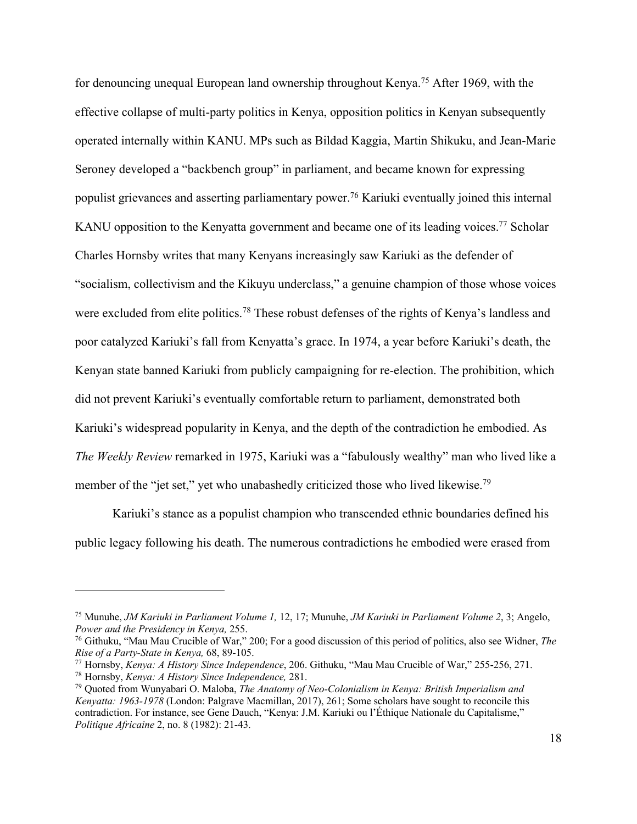for denouncing unequal European land ownership throughout Kenya.75 After 1969, with the effective collapse of multi-party politics in Kenya, opposition politics in Kenyan subsequently operated internally within KANU. MPs such as Bildad Kaggia, Martin Shikuku, and Jean-Marie Seroney developed a "backbench group" in parliament, and became known for expressing populist grievances and asserting parliamentary power.76 Kariuki eventually joined this internal KANU opposition to the Kenyatta government and became one of its leading voices.<sup>77</sup> Scholar Charles Hornsby writes that many Kenyans increasingly saw Kariuki as the defender of "socialism, collectivism and the Kikuyu underclass," a genuine champion of those whose voices were excluded from elite politics.78 These robust defenses of the rights of Kenya's landless and poor catalyzed Kariuki's fall from Kenyatta's grace. In 1974, a year before Kariuki's death, the Kenyan state banned Kariuki from publicly campaigning for re-election. The prohibition, which did not prevent Kariuki's eventually comfortable return to parliament, demonstrated both Kariuki's widespread popularity in Kenya, and the depth of the contradiction he embodied. As *The Weekly Review* remarked in 1975, Kariuki was a "fabulously wealthy" man who lived like a member of the "jet set," yet who unabashedly criticized those who lived likewise.<sup>79</sup>

Kariuki's stance as a populist champion who transcended ethnic boundaries defined his public legacy following his death. The numerous contradictions he embodied were erased from

<sup>75</sup> Munuhe, *JM Kariuki in Parliament Volume 1,* 12, 17; Munuhe, *JM Kariuki in Parliament Volume 2*, 3; Angelo,

*Power and the Presidency in Kenya, 255.*<br><sup>76</sup> Githuku, "Mau Mau Crucible of War," 200; For a good discussion of this period of politics, also see Widner, *The Rise of a Party-State in Kenya, 68, 89-105.* 

*Rise of a Party-State in Kenya,* 68, 89-105. 77 Hornsby, *Kenya: A History Since Independence*, 206. Githuku, "Mau Mau Crucible of War," 255-256, 271.

<sup>78</sup> Hornsby, *Kenya: A History Since Independence,* 281.

<sup>79</sup> Quoted from Wunyabari O. Maloba, *The Anatomy of Neo-Colonialism in Kenya: British Imperialism and Kenyatta: 1963-1978* (London: Palgrave Macmillan, 2017), 261; Some scholars have sought to reconcile this contradiction. For instance, see Gene Dauch, "Kenya: J.M. Kariuki ou l'Éthique Nationale du Capitalisme," *Politique Africaine* 2, no. 8 (1982): 21-43.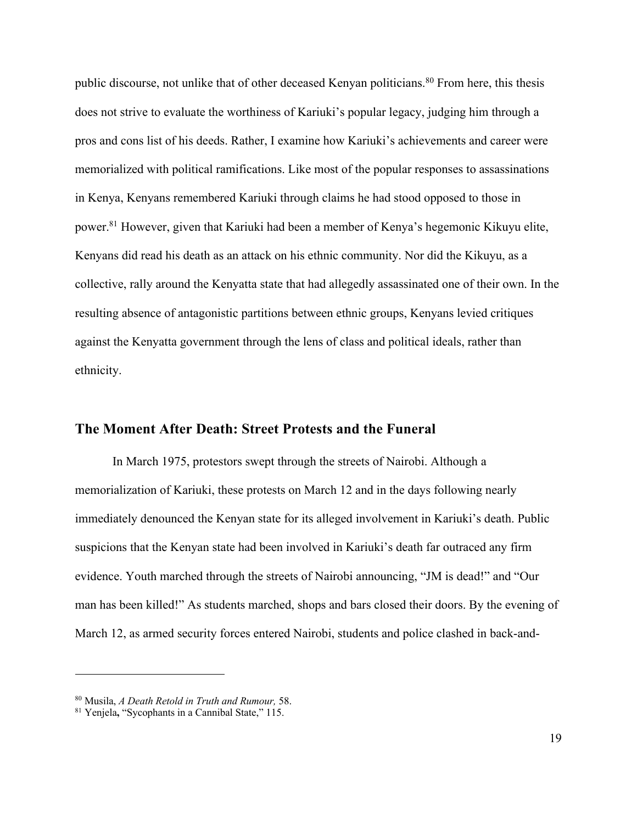public discourse, not unlike that of other deceased Kenyan politicians.<sup>80</sup> From here, this thesis does not strive to evaluate the worthiness of Kariuki's popular legacy, judging him through a pros and cons list of his deeds. Rather, I examine how Kariuki's achievements and career were memorialized with political ramifications. Like most of the popular responses to assassinations in Kenya, Kenyans remembered Kariuki through claims he had stood opposed to those in power.81 However, given that Kariuki had been a member of Kenya's hegemonic Kikuyu elite, Kenyans did read his death as an attack on his ethnic community. Nor did the Kikuyu, as a collective, rally around the Kenyatta state that had allegedly assassinated one of their own. In the resulting absence of antagonistic partitions between ethnic groups, Kenyans levied critiques against the Kenyatta government through the lens of class and political ideals, rather than ethnicity.

#### **The Moment After Death: Street Protests and the Funeral**

In March 1975, protestors swept through the streets of Nairobi. Although a memorialization of Kariuki, these protests on March 12 and in the days following nearly immediately denounced the Kenyan state for its alleged involvement in Kariuki's death. Public suspicions that the Kenyan state had been involved in Kariuki's death far outraced any firm evidence. Youth marched through the streets of Nairobi announcing, "JM is dead!" and "Our man has been killed!" As students marched, shops and bars closed their doors. By the evening of March 12, as armed security forces entered Nairobi, students and police clashed in back-and-

<sup>80</sup> Musila, *A Death Retold in Truth and Rumour,* 58.

<sup>81</sup> Yenjela**,** "Sycophants in a Cannibal State," 115.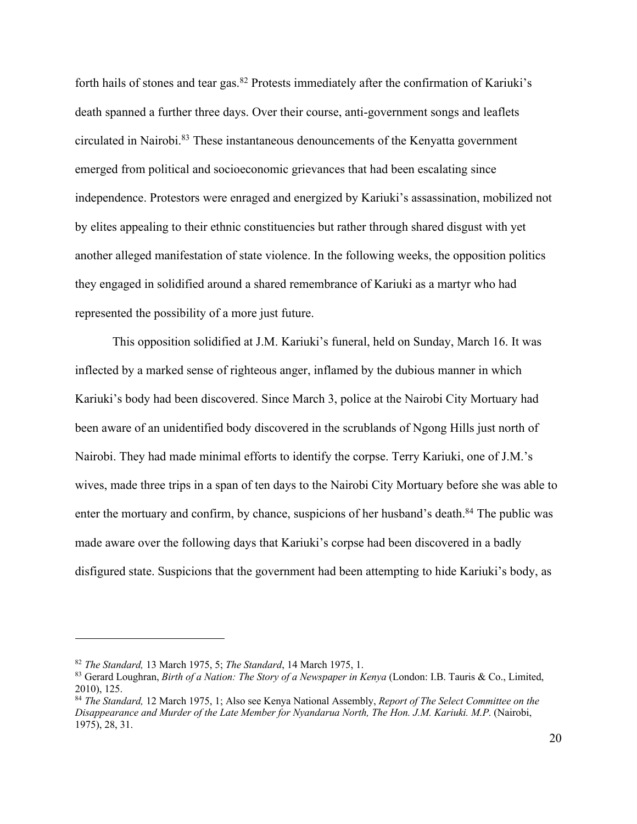forth hails of stones and tear gas.82 Protests immediately after the confirmation of Kariuki's death spanned a further three days. Over their course, anti-government songs and leaflets circulated in Nairobi.83 These instantaneous denouncements of the Kenyatta government emerged from political and socioeconomic grievances that had been escalating since independence. Protestors were enraged and energized by Kariuki's assassination, mobilized not by elites appealing to their ethnic constituencies but rather through shared disgust with yet another alleged manifestation of state violence. In the following weeks, the opposition politics they engaged in solidified around a shared remembrance of Kariuki as a martyr who had represented the possibility of a more just future.

This opposition solidified at J.M. Kariuki's funeral, held on Sunday, March 16. It was inflected by a marked sense of righteous anger, inflamed by the dubious manner in which Kariuki's body had been discovered. Since March 3, police at the Nairobi City Mortuary had been aware of an unidentified body discovered in the scrublands of Ngong Hills just north of Nairobi. They had made minimal efforts to identify the corpse. Terry Kariuki, one of J.M.'s wives, made three trips in a span of ten days to the Nairobi City Mortuary before she was able to enter the mortuary and confirm, by chance, suspicions of her husband's death.<sup>84</sup> The public was made aware over the following days that Kariuki's corpse had been discovered in a badly disfigured state. Suspicions that the government had been attempting to hide Kariuki's body, as

<sup>82</sup> *The Standard,* 13 March 1975, 5; *The Standard*, 14 March 1975, 1.

<sup>83</sup> Gerard Loughran, *Birth of a Nation: The Story of a Newspaper in Kenya* (London: I.B. Tauris & Co., Limited, 2010), 125.

<sup>84</sup> *The Standard,* 12 March 1975, 1; Also see Kenya National Assembly, *Report of The Select Committee on the Disappearance and Murder of the Late Member for Nyandarua North, The Hon. J.M. Kariuki. M.P.* (Nairobi, 1975), 28, 31.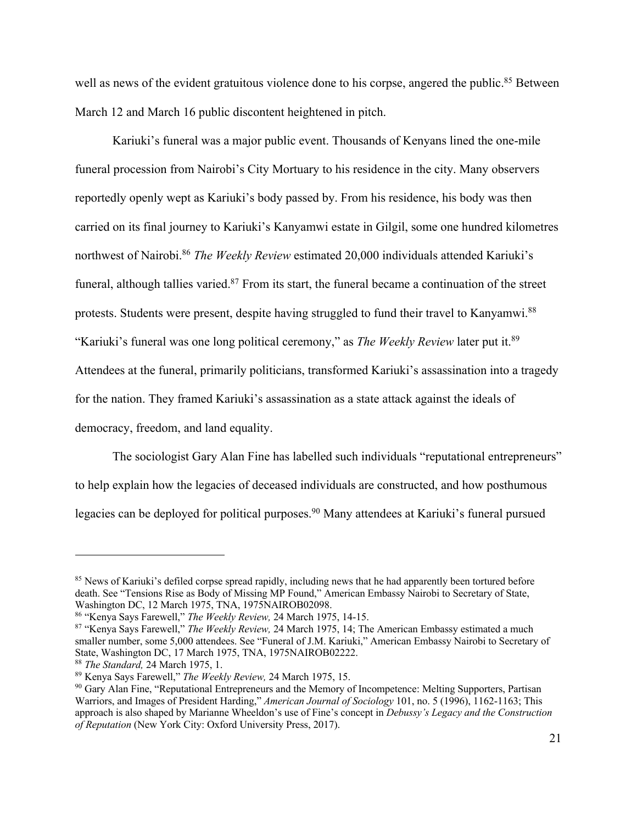well as news of the evident gratuitous violence done to his corpse, angered the public.<sup>85</sup> Between March 12 and March 16 public discontent heightened in pitch.

Kariuki's funeral was a major public event. Thousands of Kenyans lined the one-mile funeral procession from Nairobi's City Mortuary to his residence in the city. Many observers reportedly openly wept as Kariuki's body passed by. From his residence, his body was then carried on its final journey to Kariuki's Kanyamwi estate in Gilgil, some one hundred kilometres northwest of Nairobi.86 *The Weekly Review* estimated 20,000 individuals attended Kariuki's funeral, although tallies varied.<sup>87</sup> From its start, the funeral became a continuation of the street protests. Students were present, despite having struggled to fund their travel to Kanyamwi.88 "Kariuki's funeral was one long political ceremony," as *The Weekly Review* later put it.89 Attendees at the funeral, primarily politicians, transformed Kariuki's assassination into a tragedy for the nation. They framed Kariuki's assassination as a state attack against the ideals of democracy, freedom, and land equality.

The sociologist Gary Alan Fine has labelled such individuals "reputational entrepreneurs" to help explain how the legacies of deceased individuals are constructed, and how posthumous legacies can be deployed for political purposes.<sup>90</sup> Many attendees at Kariuki's funeral pursued

<sup>&</sup>lt;sup>85</sup> News of Kariuki's defiled corpse spread rapidly, including news that he had apparently been tortured before death. See "Tensions Rise as Body of Missing MP Found," American Embassy Nairobi to Secretary of State, Washington DC, 12 March 1975, TNA, 1975NAIROB02098.

<sup>86</sup> "Kenya Says Farewell," *The Weekly Review,* <sup>24</sup> March 1975, 14-15. 87 "Kenya Says Farewell," *The Weekly Review,* 24 March 1975, 14; The American Embassy estimated a much smaller number, some 5,000 attendees. See "Funeral of J.M. Kariuki," American Embassy Nairobi to Secretary of State, Washington DC, 17 March 1975, TNA, 1975NAIROB02222.

<sup>&</sup>lt;sup>88</sup> *The Standard, 24 March 1975, 1.*<br><sup>89</sup> Kenya Says Farewell," *The Weekly Review, 24 March 1975, 15.* 

<sup>&</sup>lt;sup>90</sup> Gary Alan Fine, "Reputational Entrepreneurs and the Memory of Incompetence: Melting Supporters, Partisan Warriors, and Images of President Harding," *American Journal of Sociology* 101, no. 5 (1996), 1162-1163; This approach is also shaped by Marianne Wheeldon's use of Fine's concept in *Debussy's Legacy and the Construction of Reputation* (New York City: Oxford University Press, 2017).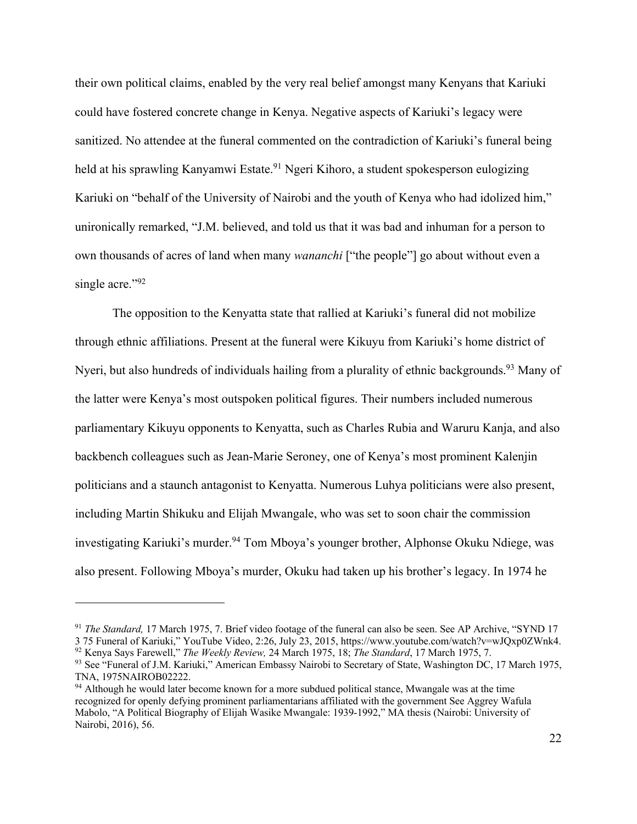their own political claims, enabled by the very real belief amongst many Kenyans that Kariuki could have fostered concrete change in Kenya. Negative aspects of Kariuki's legacy were sanitized. No attendee at the funeral commented on the contradiction of Kariuki's funeral being held at his sprawling Kanyamwi Estate.<sup>91</sup> Ngeri Kihoro, a student spokesperson eulogizing Kariuki on "behalf of the University of Nairobi and the youth of Kenya who had idolized him," unironically remarked, "J.M. believed, and told us that it was bad and inhuman for a person to own thousands of acres of land when many *wananchi* ["the people"] go about without even a single acre."92

The opposition to the Kenyatta state that rallied at Kariuki's funeral did not mobilize through ethnic affiliations. Present at the funeral were Kikuyu from Kariuki's home district of Nyeri, but also hundreds of individuals hailing from a plurality of ethnic backgrounds.<sup>93</sup> Many of the latter were Kenya's most outspoken political figures. Their numbers included numerous parliamentary Kikuyu opponents to Kenyatta, such as Charles Rubia and Waruru Kanja, and also backbench colleagues such as Jean-Marie Seroney, one of Kenya's most prominent Kalenjin politicians and a staunch antagonist to Kenyatta. Numerous Luhya politicians were also present, including Martin Shikuku and Elijah Mwangale, who was set to soon chair the commission investigating Kariuki's murder.<sup>94</sup> Tom Mboya's younger brother, Alphonse Okuku Ndiege, was also present. Following Mboya's murder, Okuku had taken up his brother's legacy. In 1974 he

<sup>91</sup> *The Standard,* 17 March 1975, 7. Brief video footage of the funeral can also be seen. See AP Archive, "SYND 17 3 75 Funeral of Kariuki," YouTube Video, 2:26, July 23, 2015, https://www.youtube.com/watch?v=wJQxp0ZWnk4.

<sup>92</sup> Kenya Says Farewell," *The Weekly Review,* 24 March 1975, 18; *The Standard*, 17 March 1975, 7.

<sup>&</sup>lt;sup>93</sup> See "Funeral of J.M. Kariuki," American Embassy Nairobi to Secretary of State, Washington DC, 17 March 1975, TNA, 1975NAIROB02222.

<sup>&</sup>lt;sup>94</sup> Although he would later become known for a more subdued political stance, Mwangale was at the time recognized for openly defying prominent parliamentarians affiliated with the government See Aggrey Wafula Mabolo, "A Political Biography of Elijah Wasike Mwangale: 1939-1992," MA thesis (Nairobi: University of Nairobi, 2016), 56.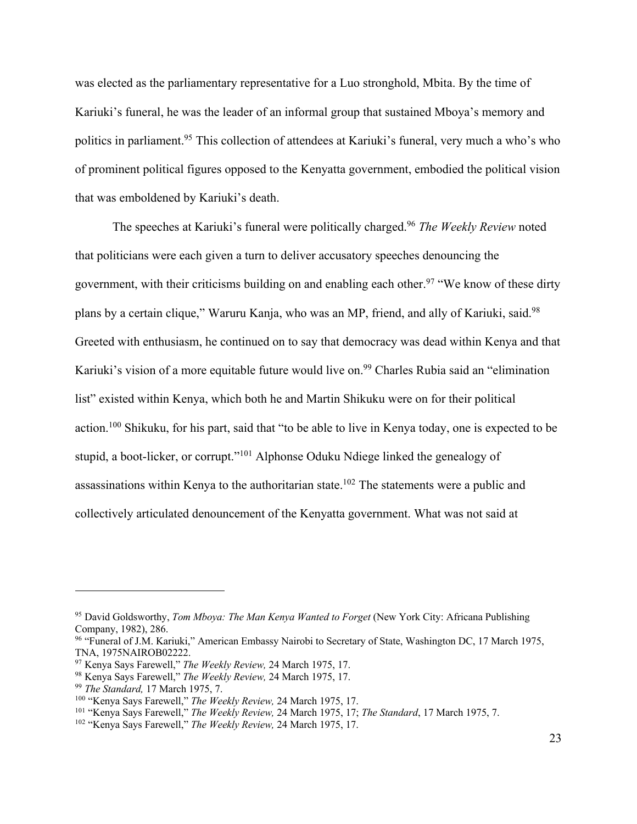was elected as the parliamentary representative for a Luo stronghold, Mbita. By the time of Kariuki's funeral, he was the leader of an informal group that sustained Mboya's memory and politics in parliament.<sup>95</sup> This collection of attendees at Kariuki's funeral, very much a who's who of prominent political figures opposed to the Kenyatta government, embodied the political vision that was emboldened by Kariuki's death.

The speeches at Kariuki's funeral were politically charged.96 *The Weekly Review* noted that politicians were each given a turn to deliver accusatory speeches denouncing the government, with their criticisms building on and enabling each other.<sup>97</sup> "We know of these dirty plans by a certain clique," Waruru Kanja, who was an MP, friend, and ally of Kariuki, said.<sup>98</sup> Greeted with enthusiasm, he continued on to say that democracy was dead within Kenya and that Kariuki's vision of a more equitable future would live on.<sup>99</sup> Charles Rubia said an "elimination" list" existed within Kenya, which both he and Martin Shikuku were on for their political action.100 Shikuku, for his part, said that "to be able to live in Kenya today, one is expected to be stupid, a boot-licker, or corrupt."<sup>101</sup> Alphonse Oduku Ndiege linked the genealogy of assassinations within Kenya to the authoritarian state.102 The statements were a public and collectively articulated denouncement of the Kenyatta government. What was not said at

<sup>95</sup> David Goldsworthy, *Tom Mboya: The Man Kenya Wanted to Forget* (New York City: Africana Publishing Company, 1982), 286.<br><sup>96</sup> "Funeral of J.M. Kariuki," American Embassy Nairobi to Secretary of State, Washington DC, 17 March 1975,

TNA, 1975NAIROB02222.

<sup>97</sup> Kenya Says Farewell," *The Weekly Review,* 24 March 1975, 17.

<sup>98</sup> Kenya Says Farewell," *The Weekly Review,* 24 March 1975, 17. 99 *The Standard,* 17 March 1975, 7.

<sup>100</sup> "Kenya Says Farewell," *The Weekly Review,* 24 March 1975, 17. 101 "Kenya Says Farewell," *The Weekly Review,* 24 March 1975, 17; *The Standard*, 17 March 1975, 7.

<sup>102</sup> "Kenya Says Farewell," *The Weekly Review,* 24 March 1975, 17.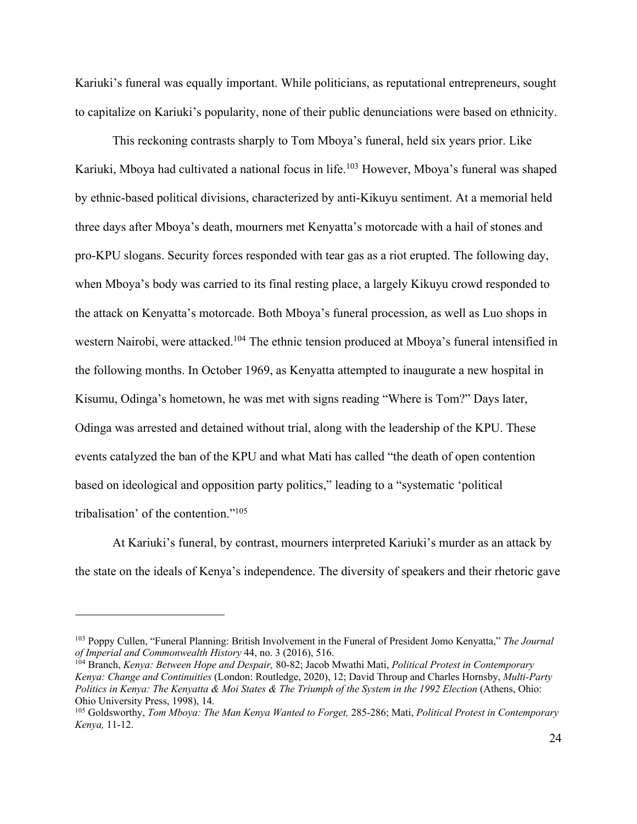Kariuki's funeral was equally important. While politicians, as reputational entrepreneurs, sought to capitalize on Kariuki's popularity, none of their public denunciations were based on ethnicity.

This reckoning contrasts sharply to Tom Mboya's funeral, held six years prior. Like Kariuki, Mboya had cultivated a national focus in life.<sup>103</sup> However, Mboya's funeral was shaped by ethnic-based political divisions, characterized by anti-Kikuyu sentiment. At a memorial held three days after Mboya's death, mourners met Kenyatta's motorcade with a hail of stones and pro-KPU slogans. Security forces responded with tear gas as a riot erupted. The following day, when Mboya's body was carried to its final resting place, a largely Kikuyu crowd responded to the attack on Kenyatta's motorcade. Both Mboya's funeral procession, as well as Luo shops in western Nairobi, were attacked.<sup>104</sup> The ethnic tension produced at Mboya's funeral intensified in the following months. In October 1969, as Kenyatta attempted to inaugurate a new hospital in Kisumu, Odinga's hometown, he was met with signs reading "Where is Tom?" Days later, Odinga was arrested and detained without trial, along with the leadership of the KPU. These events catalyzed the ban of the KPU and what Mati has called "the death of open contention based on ideological and opposition party politics," leading to a "systematic 'political tribalisation' of the contention."105

At Kariuki's funeral, by contrast, mourners interpreted Kariuki's murder as an attack by the state on the ideals of Kenya's independence. The diversity of speakers and their rhetoric gave

<sup>&</sup>lt;sup>103</sup> Poppy Cullen, "Funeral Planning: British Involvement in the Funeral of President Jomo Kenyatta," *The Journal* of Imperial and Commonwealth History 44, no. 3 (2016), 516.

<sup>&</sup>lt;sup>104</sup> Branch, *Kenya: Between Hope and Despair*, 80-82; Jacob Mwathi Mati, *Political Protest in Contemporary Kenya: Change and Continuities* (London: Routledge, 2020), 12; David Throup and Charles Hornsby, *Multi-Party Politics in Kenya: The Kenyatta & Moi States & The Triumph of the System in the 1992 Election (Athens, Ohio:* Ohio University Press, 1998), 14.

<sup>105</sup> Goldsworthy, *Tom Mboya: The Man Kenya Wanted to Forget,* 285-286; Mati, *Political Protest in Contemporary Kenya,* 11-12.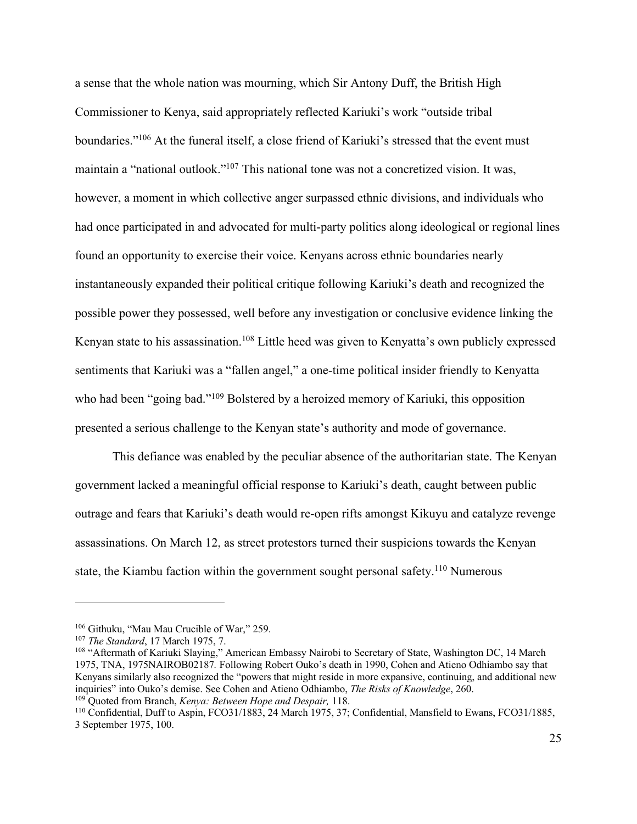a sense that the whole nation was mourning, which Sir Antony Duff, the British High Commissioner to Kenya, said appropriately reflected Kariuki's work "outside tribal boundaries."106 At the funeral itself, a close friend of Kariuki's stressed that the event must maintain a "national outlook."107 This national tone was not a concretized vision. It was, however, a moment in which collective anger surpassed ethnic divisions, and individuals who had once participated in and advocated for multi-party politics along ideological or regional lines found an opportunity to exercise their voice. Kenyans across ethnic boundaries nearly instantaneously expanded their political critique following Kariuki's death and recognized the possible power they possessed, well before any investigation or conclusive evidence linking the Kenyan state to his assassination.<sup>108</sup> Little heed was given to Kenyatta's own publicly expressed sentiments that Kariuki was a "fallen angel," a one-time political insider friendly to Kenyatta who had been "going bad."<sup>109</sup> Bolstered by a heroized memory of Kariuki, this opposition presented a serious challenge to the Kenyan state's authority and mode of governance.

This defiance was enabled by the peculiar absence of the authoritarian state. The Kenyan government lacked a meaningful official response to Kariuki's death, caught between public outrage and fears that Kariuki's death would re-open rifts amongst Kikuyu and catalyze revenge assassinations. On March 12, as street protestors turned their suspicions towards the Kenyan state, the Kiambu faction within the government sought personal safety.<sup>110</sup> Numerous

<sup>106</sup> Githuku, "Mau Mau Crucible of War," 259. 107 *The Standard*, 17 March 1975, 7.

<sup>&</sup>lt;sup>108</sup> "Aftermath of Kariuki Slaying," American Embassy Nairobi to Secretary of State, Washington DC, 14 March 1975, TNA, 1975NAIROB02187*.* Following Robert Ouko's death in 1990, Cohen and Atieno Odhiambo say that Kenyans similarly also recognized the "powers that might reside in more expansive, continuing, and additional new inquiries" into Ouko's demise. See Cohen and Atieno Odhiambo, *The Risks of Knowledge*, 260.

<sup>&</sup>lt;sup>109</sup> Quoted from Branch, *Kenya: Between Hope and Despair*, 118.<br><sup>110</sup> Confidential, Duff to Aspin, FCO31/1883, 24 March 1975, 37; Confidential, Mansfield to Ewans, FCO31/1885, 3 September 1975, 100.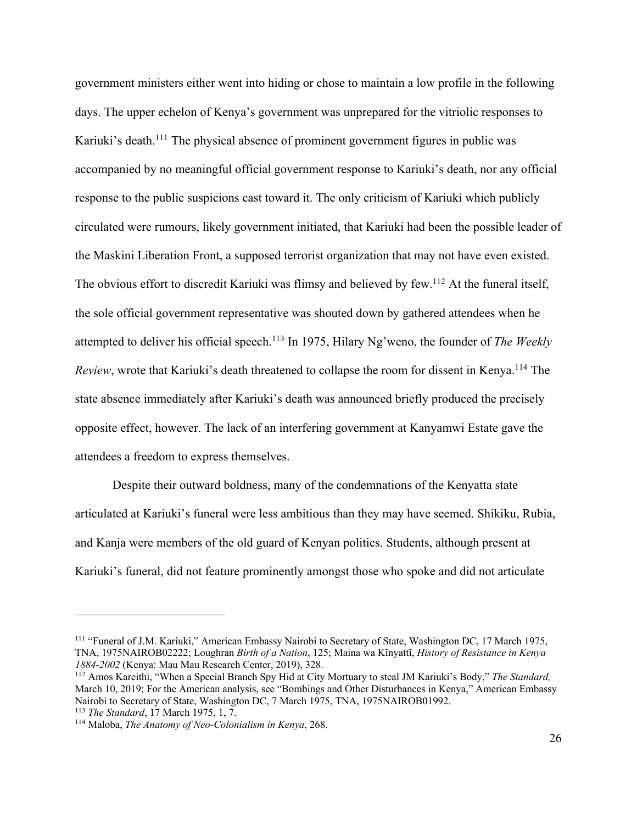government ministers either went into hiding or chose to maintain a low profile in the following days. The upper echelon of Kenya's government was unprepared for the vitriolic responses to Kariuki's death.<sup>111</sup> The physical absence of prominent government figures in public was accompanied by no meaningful official government response to Kariuki's death, nor any official response to the public suspicions cast toward it. The only criticism of Kariuki which publicly circulated were rumours, likely government initiated, that Kariuki had been the possible leader of the Maskini Liberation Front, a supposed terrorist organization that may not have even existed. The obvious effort to discredit Kariuki was flimsy and believed by few.<sup>112</sup> At the funeral itself, the sole official government representative was shouted down by gathered attendees when he attempted to deliver his official speech.113 In 1975, Hilary Ng'weno, the founder of *The Weekly Review*, wrote that Kariuki's death threatened to collapse the room for dissent in Kenya.<sup>114</sup> The state absence immediately after Kariuki's death was announced briefly produced the precisely opposite effect, however. The lack of an interfering government at Kanyamwi Estate gave the attendees a freedom to express themselves.

Despite their outward boldness, many of the condemnations of the Kenyatta state articulated at Kariuki's funeral were less ambitious than they may have seemed. Shikiku, Rubia, and Kanja were members of the old guard of Kenyan politics. Students, although present at Kariuki's funeral, did not feature prominently amongst those who spoke and did not articulate

<sup>&</sup>lt;sup>111</sup> "Funeral of J.M. Kariuki," American Embassy Nairobi to Secretary of State, Washington DC, 17 March 1975, TNA, 1975NAIROB02222; Loughran *Birth of a Nation*, 125; Maina wa Kĩnyattĩ, *History of Resistance in Kenya 1884-2002* (Kenya: Mau Mau Research Center, 2019), 328. 112 Amos Kareithi, "When a Special Branch Spy Hid at City Mortuary to steal JM Kariuki's Body," *The Standard,*

March 10, 2019; For the American analysis, see "Bombings and Other Disturbances in Kenya," American Embassy Nairobi to Secretary of State, Washington DC, 7 March 1975, TNA, 1975NAIROB01992. 113 *The Standard*, 17 March 1975, 1, 7.

<sup>114</sup> Maloba, *The Anatomy of Neo-Colonialism in Kenya*, 268.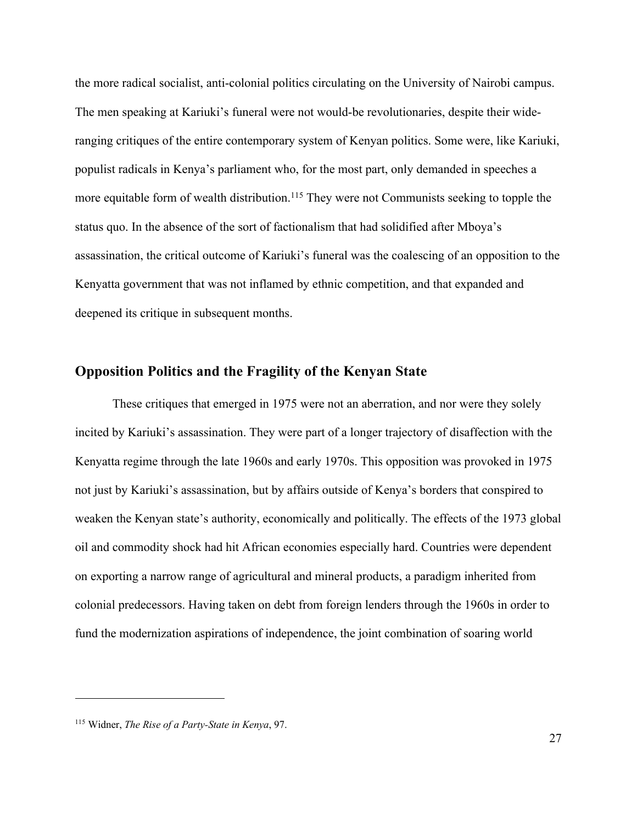the more radical socialist, anti-colonial politics circulating on the University of Nairobi campus. The men speaking at Kariuki's funeral were not would-be revolutionaries, despite their wideranging critiques of the entire contemporary system of Kenyan politics. Some were, like Kariuki, populist radicals in Kenya's parliament who, for the most part, only demanded in speeches a more equitable form of wealth distribution.<sup>115</sup> They were not Communists seeking to topple the status quo. In the absence of the sort of factionalism that had solidified after Mboya's assassination, the critical outcome of Kariuki's funeral was the coalescing of an opposition to the Kenyatta government that was not inflamed by ethnic competition, and that expanded and deepened its critique in subsequent months.

## **Opposition Politics and the Fragility of the Kenyan State**

These critiques that emerged in 1975 were not an aberration, and nor were they solely incited by Kariuki's assassination. They were part of a longer trajectory of disaffection with the Kenyatta regime through the late 1960s and early 1970s. This opposition was provoked in 1975 not just by Kariuki's assassination, but by affairs outside of Kenya's borders that conspired to weaken the Kenyan state's authority, economically and politically. The effects of the 1973 global oil and commodity shock had hit African economies especially hard. Countries were dependent on exporting a narrow range of agricultural and mineral products, a paradigm inherited from colonial predecessors. Having taken on debt from foreign lenders through the 1960s in order to fund the modernization aspirations of independence, the joint combination of soaring world

<sup>115</sup> Widner, *The Rise of a Party-State in Kenya*, 97.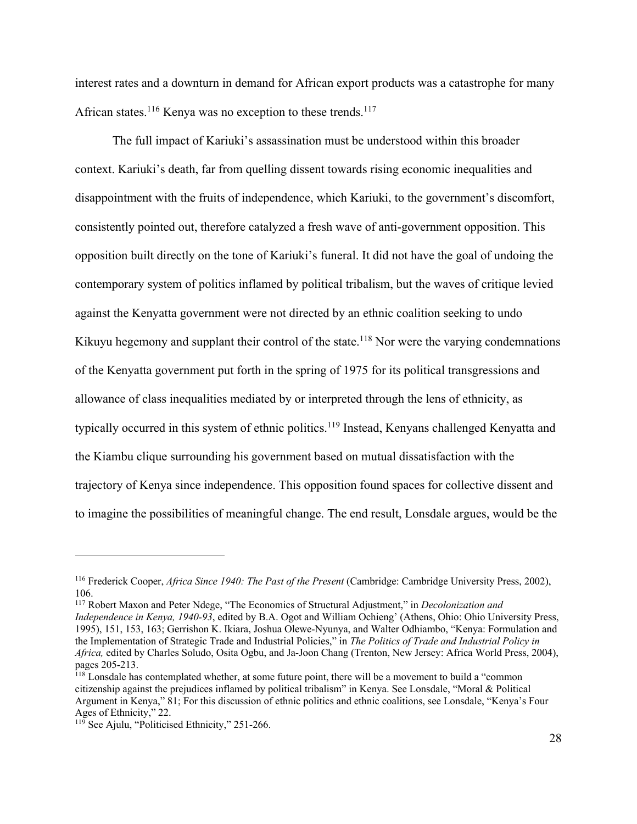interest rates and a downturn in demand for African export products was a catastrophe for many African states.<sup>116</sup> Kenya was no exception to these trends.<sup>117</sup>

The full impact of Kariuki's assassination must be understood within this broader context. Kariuki's death, far from quelling dissent towards rising economic inequalities and disappointment with the fruits of independence, which Kariuki, to the government's discomfort, consistently pointed out, therefore catalyzed a fresh wave of anti-government opposition. This opposition built directly on the tone of Kariuki's funeral. It did not have the goal of undoing the contemporary system of politics inflamed by political tribalism, but the waves of critique levied against the Kenyatta government were not directed by an ethnic coalition seeking to undo Kikuyu hegemony and supplant their control of the state.<sup>118</sup> Nor were the varying condemnations of the Kenyatta government put forth in the spring of 1975 for its political transgressions and allowance of class inequalities mediated by or interpreted through the lens of ethnicity, as typically occurred in this system of ethnic politics.<sup>119</sup> Instead, Kenyans challenged Kenyatta and the Kiambu clique surrounding his government based on mutual dissatisfaction with the trajectory of Kenya since independence. This opposition found spaces for collective dissent and to imagine the possibilities of meaningful change. The end result, Lonsdale argues, would be the

<sup>117</sup> Robert Maxon and Peter Ndege, "The Economics of Structural Adjustment," in *Decolonization and Independence in Kenya, 1940-93*, edited by B.A. Ogot and William Ochieng' (Athens, Ohio: Ohio University Press, 1995), 151, 153, 163; Gerrishon K. Ikiara, Joshua Olewe-Nyunya, and Walter Odhiambo, "Kenya: Formulation and the Implementation of Strategic Trade and Industrial Policies," in *The Politics of Trade and Industrial Policy in Africa,* edited by Charles Soludo, Osita Ogbu, and Ja-Joon Chang (Trenton, New Jersey: Africa World Press, 2004),

<sup>&</sup>lt;sup>116</sup> Frederick Cooper, *Africa Since 1940: The Past of the Present* (Cambridge: Cambridge University Press, 2002), 106.

 $118$  Lonsdale has contemplated whether, at some future point, there will be a movement to build a "common" citizenship against the prejudices inflamed by political tribalism" in Kenya. See Lonsdale, "Moral & Political Argument in Kenya," 81; For this discussion of ethnic politics and ethnic coalitions, see Lonsdale, "Kenya's Four Ages of Ethnicity," 22.<br><sup>119</sup> See Ajulu, "Politicised Ethnicity," 251-266.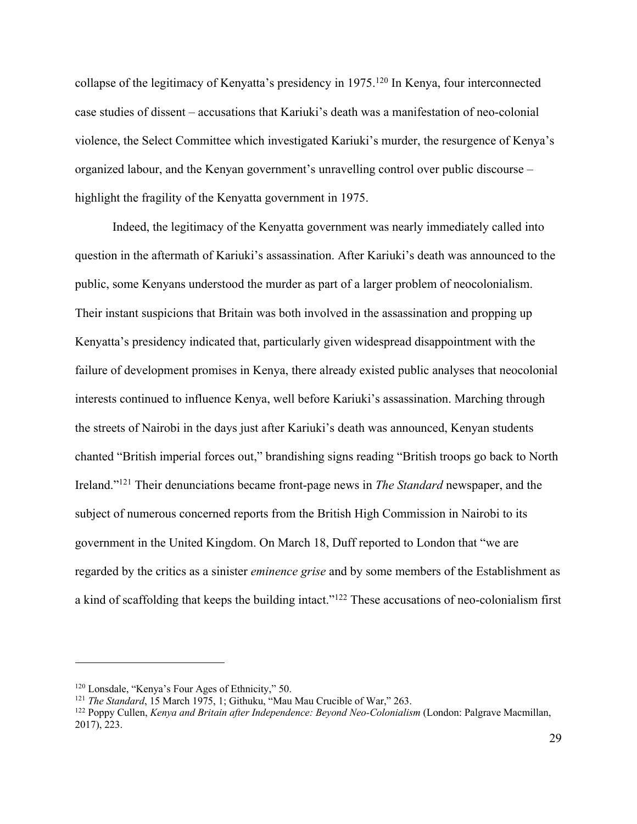collapse of the legitimacy of Kenyatta's presidency in 1975.120 In Kenya, four interconnected case studies of dissent – accusations that Kariuki's death was a manifestation of neo-colonial violence, the Select Committee which investigated Kariuki's murder, the resurgence of Kenya's organized labour, and the Kenyan government's unravelling control over public discourse – highlight the fragility of the Kenyatta government in 1975.

Indeed, the legitimacy of the Kenyatta government was nearly immediately called into question in the aftermath of Kariuki's assassination. After Kariuki's death was announced to the public, some Kenyans understood the murder as part of a larger problem of neocolonialism. Their instant suspicions that Britain was both involved in the assassination and propping up Kenyatta's presidency indicated that, particularly given widespread disappointment with the failure of development promises in Kenya, there already existed public analyses that neocolonial interests continued to influence Kenya, well before Kariuki's assassination. Marching through the streets of Nairobi in the days just after Kariuki's death was announced, Kenyan students chanted "British imperial forces out," brandishing signs reading "British troops go back to North Ireland."121 Their denunciations became front-page news in *The Standard* newspaper, and the subject of numerous concerned reports from the British High Commission in Nairobi to its government in the United Kingdom. On March 18, Duff reported to London that "we are regarded by the critics as a sinister *eminence grise* and by some members of the Establishment as a kind of scaffolding that keeps the building intact."122 These accusations of neo-colonialism first

<sup>&</sup>lt;sup>120</sup> Lonsdale, "Kenya's Four Ages of Ethnicity," 50.<br><sup>121</sup> *The Standard*, 15 March 1975, 1; Githuku, "Mau Mau Crucible of War," 263.

<sup>122</sup> Poppy Cullen, *Kenya and Britain after Independence: Beyond Neo-Colonialism* (London: Palgrave Macmillan, 2017), 223.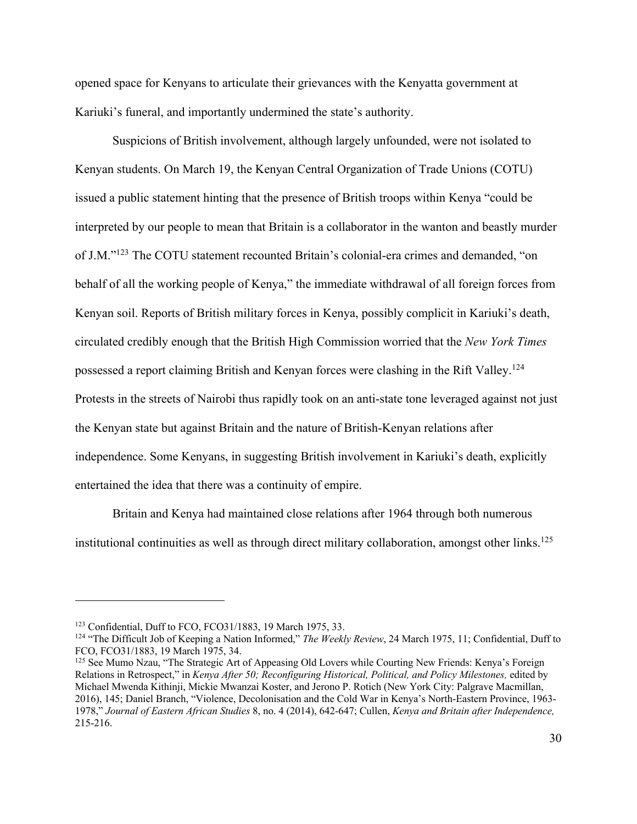opened space for Kenyans to articulate their grievances with the Kenyatta government at Kariuki's funeral, and importantly undermined the state's authority.

Suspicions of British involvement, although largely unfounded, were not isolated to Kenyan students. On March 19, the Kenyan Central Organization of Trade Unions (COTU) issued a public statement hinting that the presence of British troops within Kenya "could be interpreted by our people to mean that Britain is a collaborator in the wanton and beastly murder of J.M."123 The COTU statement recounted Britain's colonial-era crimes and demanded, "on behalf of all the working people of Kenya," the immediate withdrawal of all foreign forces from Kenyan soil. Reports of British military forces in Kenya, possibly complicit in Kariuki's death, circulated credibly enough that the British High Commission worried that the *New York Times* possessed a report claiming British and Kenyan forces were clashing in the Rift Valley.124 Protests in the streets of Nairobi thus rapidly took on an anti-state tone leveraged against not just the Kenyan state but against Britain and the nature of British-Kenyan relations after independence. Some Kenyans, in suggesting British involvement in Kariuki's death, explicitly entertained the idea that there was a continuity of empire.

Britain and Kenya had maintained close relations after 1964 through both numerous institutional continuities as well as through direct military collaboration, amongst other links.<sup>125</sup>

<sup>&</sup>lt;sup>123</sup> Confidential, Duff to FCO, FCO31/1883, 19 March 1975, 33.<br><sup>124</sup> "The Difficult Job of Keeping a Nation Informed," *The Weekly Review*, 24 March 1975, 11; Confidential, Duff to FCO, FCO31/1883, 19 March 1975, 34.

<sup>&</sup>lt;sup>125</sup> See Mumo Nzau, "The Strategic Art of Appeasing Old Lovers while Courting New Friends: Kenya's Foreign Relations in Retrospect," in *Kenya After 50; Reconfiguring Historical, Political, and Policy Milestones,* edited by Michael Mwenda Kithinji, Mickie Mwanzai Koster, and Jerono P. Rotich (New York City: Palgrave Macmillan, 2016), 145; Daniel Branch, "Violence, Decolonisation and the Cold War in Kenya's North-Eastern Province, 1963- 1978," *Journal of Eastern African Studies* 8, no. 4 (2014), 642-647; Cullen, *Kenya and Britain after Independence,*  215-216.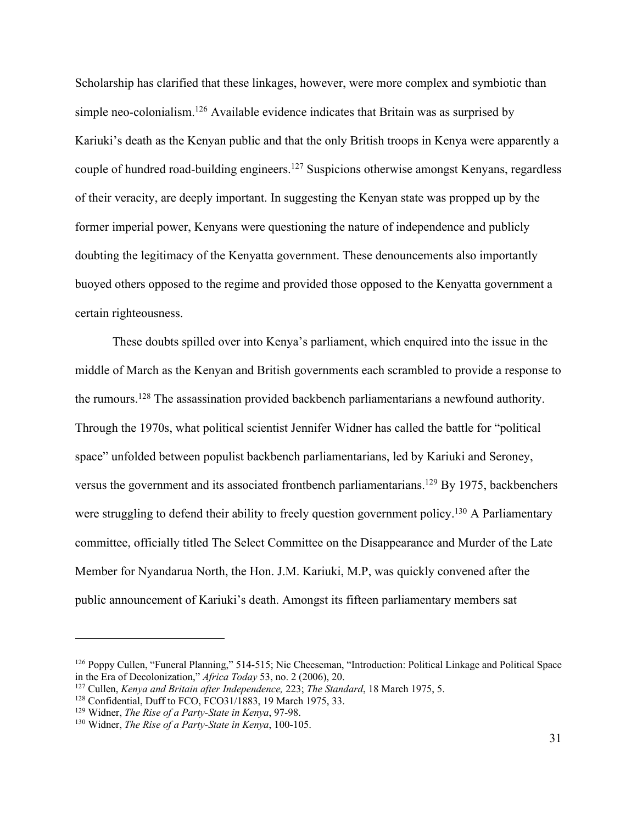Scholarship has clarified that these linkages, however, were more complex and symbiotic than simple neo-colonialism.<sup>126</sup> Available evidence indicates that Britain was as surprised by Kariuki's death as the Kenyan public and that the only British troops in Kenya were apparently a couple of hundred road-building engineers.<sup>127</sup> Suspicions otherwise amongst Kenyans, regardless of their veracity, are deeply important. In suggesting the Kenyan state was propped up by the former imperial power, Kenyans were questioning the nature of independence and publicly doubting the legitimacy of the Kenyatta government. These denouncements also importantly buoyed others opposed to the regime and provided those opposed to the Kenyatta government a certain righteousness.

These doubts spilled over into Kenya's parliament, which enquired into the issue in the middle of March as the Kenyan and British governments each scrambled to provide a response to the rumours.128 The assassination provided backbench parliamentarians a newfound authority. Through the 1970s, what political scientist Jennifer Widner has called the battle for "political space" unfolded between populist backbench parliamentarians, led by Kariuki and Seroney, versus the government and its associated frontbench parliamentarians.<sup>129</sup> By 1975, backbenchers were struggling to defend their ability to freely question government policy.<sup>130</sup> A Parliamentary committee, officially titled The Select Committee on the Disappearance and Murder of the Late Member for Nyandarua North, the Hon. J.M. Kariuki, M.P, was quickly convened after the public announcement of Kariuki's death. Amongst its fifteen parliamentary members sat

<sup>126</sup> Poppy Cullen, "Funeral Planning," 514-515; Nic Cheeseman, "Introduction: Political Linkage and Political Space in the Era of Decolonization," *Africa Today* 53, no. 2 (2006), 20.

<sup>&</sup>lt;sup>127</sup> Cullen, *Kenya and Britain after Independence*, 223; *The Standard*, 18 March 1975, 5.<br><sup>128</sup> Confidential, Duff to FCO, FCO31/1883, 19 March 1975, 33.<br><sup>129</sup> Widner, *The Rise of a Party-State in Kenya*, 97-98.<br><sup>130</sup>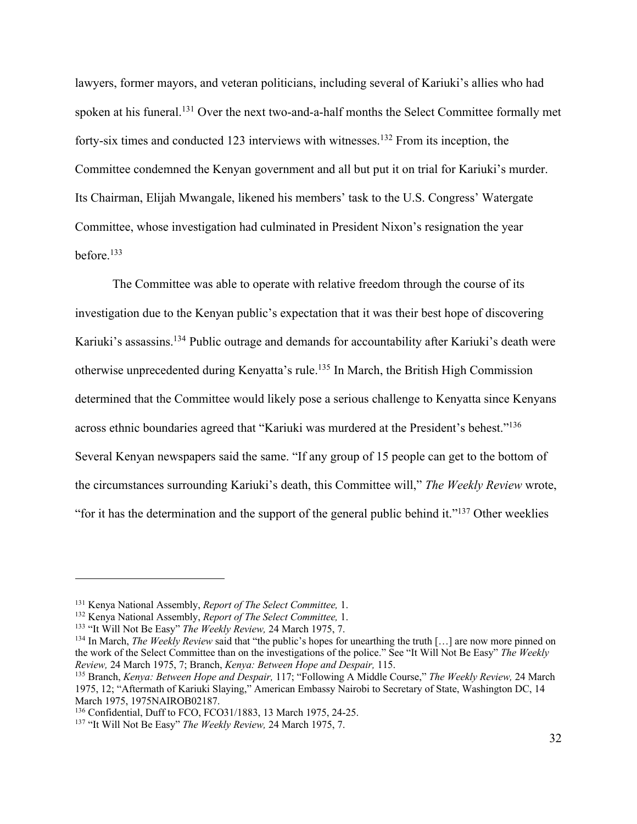lawyers, former mayors, and veteran politicians, including several of Kariuki's allies who had spoken at his funeral.131 Over the next two-and-a-half months the Select Committee formally met forty-six times and conducted 123 interviews with witnesses.132 From its inception, the Committee condemned the Kenyan government and all but put it on trial for Kariuki's murder. Its Chairman, Elijah Mwangale, likened his members' task to the U.S. Congress' Watergate Committee, whose investigation had culminated in President Nixon's resignation the year before.133

The Committee was able to operate with relative freedom through the course of its investigation due to the Kenyan public's expectation that it was their best hope of discovering Kariuki's assassins.<sup>134</sup> Public outrage and demands for accountability after Kariuki's death were otherwise unprecedented during Kenyatta's rule.135 In March, the British High Commission determined that the Committee would likely pose a serious challenge to Kenyatta since Kenyans across ethnic boundaries agreed that "Kariuki was murdered at the President's behest."136 Several Kenyan newspapers said the same. "If any group of 15 people can get to the bottom of the circumstances surrounding Kariuki's death, this Committee will," *The Weekly Review* wrote, "for it has the determination and the support of the general public behind it."137 Other weeklies

<sup>&</sup>lt;sup>131</sup> Kenya National Assembly, *Report of The Select Committee*, 1.<br><sup>132</sup> Kenya National Assembly, *Report of The Select Committee*, 1.<br><sup>133</sup> "It Will Not Be Easy" *The Weekly Review*, 24 March 1975, 7.<br><sup>134</sup> In March, *Th* the work of the Select Committee than on the investigations of the police." See "It Will Not Be Easy" *The Weekly Review,* <sup>24</sup> March 1975, 7; Branch, *Kenya: Between Hope and Despair,* 115. 135 Branch, *Kenya: Between Hope and Despair,* 117; "Following A Middle Course," *The Weekly Review,* 24 March

<sup>1975, 12; &</sup>quot;Aftermath of Kariuki Slaying," American Embassy Nairobi to Secretary of State, Washington DC, 14 March 1975, 1975NAIROB02187. 136 Confidential, Duff to FCO, FCO31/1883, 13 March 1975, 24-25. 137 "It Will Not Be Easy" *The Weekly Review,* <sup>24</sup> March 1975, 7.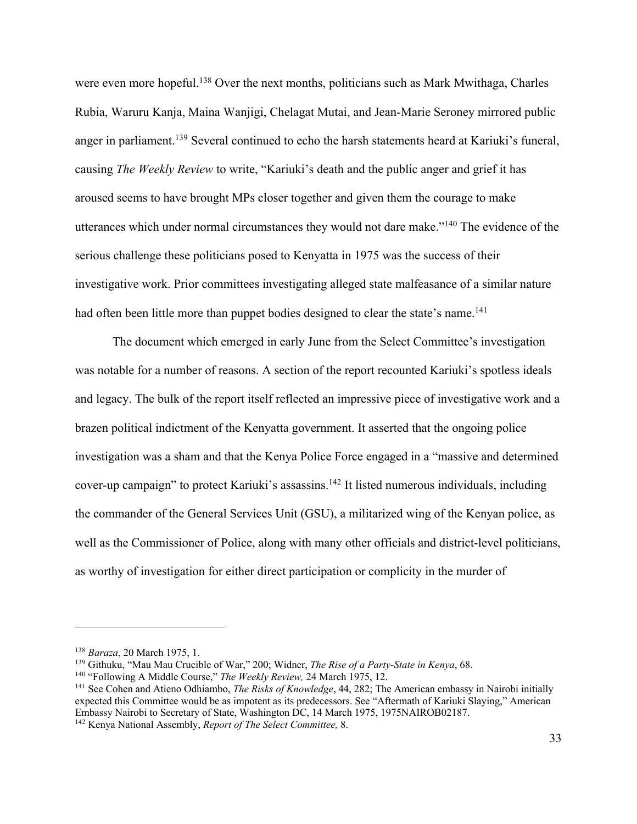were even more hopeful.<sup>138</sup> Over the next months, politicians such as Mark Mwithaga, Charles Rubia, Waruru Kanja, Maina Wanjigi, Chelagat Mutai, and Jean-Marie Seroney mirrored public anger in parliament.<sup>139</sup> Several continued to echo the harsh statements heard at Kariuki's funeral, causing *The Weekly Review* to write, "Kariuki's death and the public anger and grief it has aroused seems to have brought MPs closer together and given them the courage to make utterances which under normal circumstances they would not dare make."140 The evidence of the serious challenge these politicians posed to Kenyatta in 1975 was the success of their investigative work. Prior committees investigating alleged state malfeasance of a similar nature had often been little more than puppet bodies designed to clear the state's name.<sup>141</sup>

The document which emerged in early June from the Select Committee's investigation was notable for a number of reasons. A section of the report recounted Kariuki's spotless ideals and legacy. The bulk of the report itself reflected an impressive piece of investigative work and a brazen political indictment of the Kenyatta government. It asserted that the ongoing police investigation was a sham and that the Kenya Police Force engaged in a "massive and determined cover-up campaign" to protect Kariuki's assassins.142 It listed numerous individuals, including the commander of the General Services Unit (GSU), a militarized wing of the Kenyan police, as well as the Commissioner of Police, along with many other officials and district-level politicians, as worthy of investigation for either direct participation or complicity in the murder of

<sup>138</sup> *Baraza*, 20 March 1975, 1.

<sup>139</sup> Githuku, "Mau Mau Crucible of War," 200; Widner, *The Rise of a Party-State in Kenya*, 68. 140 "Following A Middle Course," *The Weekly Review,* 24 March 1975, 12.

<sup>141</sup> See Cohen and Atieno Odhiambo, *The Risks of Knowledge*, 44, 282; The American embassy in Nairobi initially expected this Committee would be as impotent as its predecessors. See "Aftermath of Kariuki Slaying," American Embassy Nairobi to Secretary of State, Washington DC, 14 March 1975, 1975NAIROB02187. 142 Kenya National Assembly, *Report of The Select Committee,* 8.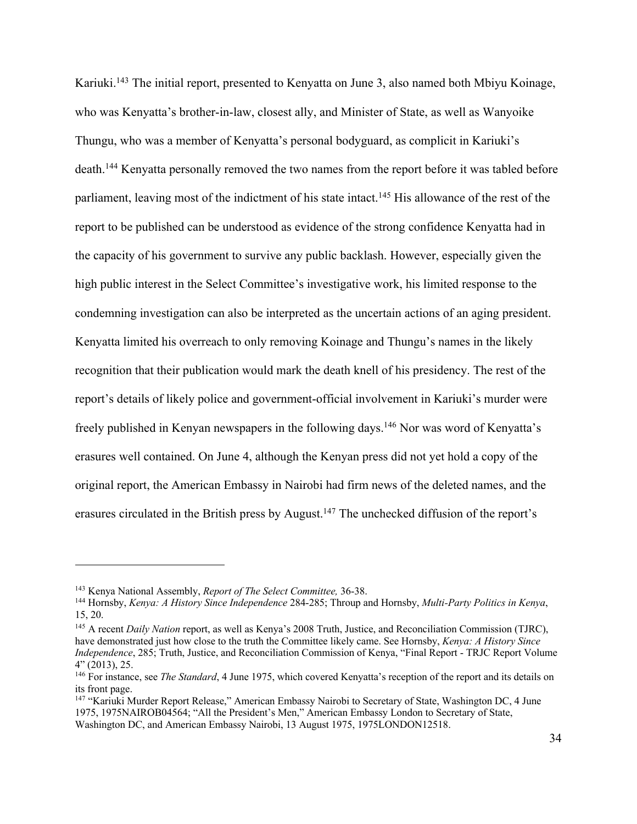Kariuki.143 The initial report, presented to Kenyatta on June 3, also named both Mbiyu Koinage, who was Kenyatta's brother-in-law, closest ally, and Minister of State, as well as Wanyoike Thungu, who was a member of Kenyatta's personal bodyguard, as complicit in Kariuki's death.144 Kenyatta personally removed the two names from the report before it was tabled before parliament, leaving most of the indictment of his state intact.<sup>145</sup> His allowance of the rest of the report to be published can be understood as evidence of the strong confidence Kenyatta had in the capacity of his government to survive any public backlash. However, especially given the high public interest in the Select Committee's investigative work, his limited response to the condemning investigation can also be interpreted as the uncertain actions of an aging president. Kenyatta limited his overreach to only removing Koinage and Thungu's names in the likely recognition that their publication would mark the death knell of his presidency. The rest of the report's details of likely police and government-official involvement in Kariuki's murder were freely published in Kenyan newspapers in the following days.146 Nor was word of Kenyatta's erasures well contained. On June 4, although the Kenyan press did not yet hold a copy of the original report, the American Embassy in Nairobi had firm news of the deleted names, and the erasures circulated in the British press by August.147 The unchecked diffusion of the report's

<sup>145</sup> A recent *Daily Nation* report, as well as Kenya's 2008 Truth, Justice, and Reconciliation Commission (TJRC), have demonstrated just how close to the truth the Committee likely came. See Hornsby, *Kenya: A History Since Independence*, 285; Truth, Justice, and Reconciliation Commission of Kenya, "Final Report - TRJC Report Volume 4" (2013), 25.

<sup>143</sup> Kenya National Assembly, *Report of The Select Committee,* 36-38. 144 Hornsby, *Kenya: A History Since Independence* 284-285; Throup and Hornsby, *Multi-Party Politics in Kenya*, 15, 20.

<sup>146</sup> For instance, see *The Standard*, 4 June 1975, which covered Kenyatta's reception of the report and its details on its front page.

<sup>&</sup>lt;sup>147</sup> "Kariuki Murder Report Release," American Embassy Nairobi to Secretary of State, Washington DC, 4 June 1975, 1975NAIROB04564; "All the President's Men," American Embassy London to Secretary of State, Washington DC, and American Embassy Nairobi, 13 August 1975, 1975LONDON12518.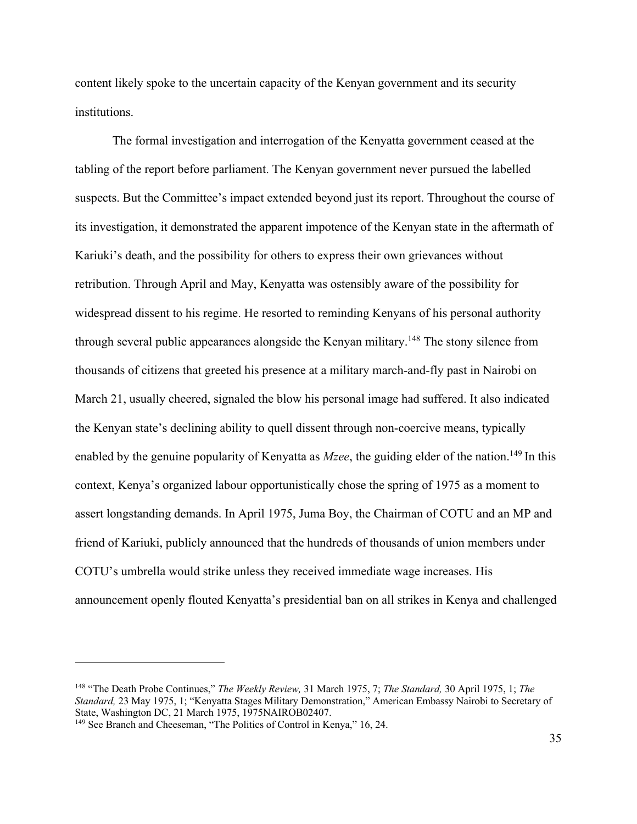content likely spoke to the uncertain capacity of the Kenyan government and its security institutions.

The formal investigation and interrogation of the Kenyatta government ceased at the tabling of the report before parliament. The Kenyan government never pursued the labelled suspects. But the Committee's impact extended beyond just its report. Throughout the course of its investigation, it demonstrated the apparent impotence of the Kenyan state in the aftermath of Kariuki's death, and the possibility for others to express their own grievances without retribution. Through April and May, Kenyatta was ostensibly aware of the possibility for widespread dissent to his regime. He resorted to reminding Kenyans of his personal authority through several public appearances alongside the Kenyan military.<sup>148</sup> The stony silence from thousands of citizens that greeted his presence at a military march-and-fly past in Nairobi on March 21, usually cheered, signaled the blow his personal image had suffered. It also indicated the Kenyan state's declining ability to quell dissent through non-coercive means, typically enabled by the genuine popularity of Kenyatta as *Mzee*, the guiding elder of the nation.<sup>149</sup> In this context, Kenya's organized labour opportunistically chose the spring of 1975 as a moment to assert longstanding demands. In April 1975, Juma Boy, the Chairman of COTU and an MP and friend of Kariuki, publicly announced that the hundreds of thousands of union members under COTU's umbrella would strike unless they received immediate wage increases. His announcement openly flouted Kenyatta's presidential ban on all strikes in Kenya and challenged

<sup>148</sup> "The Death Probe Continues," *The Weekly Review,* 31 March 1975, 7; *The Standard,* 30 April 1975, 1; *The Standard,* 23 May 1975, 1; "Kenyatta Stages Military Demonstration," American Embassy Nairobi to Secretary of State, Washington DC, 21 March 1975, 1975NAIROB02407.

<sup>&</sup>lt;sup>149</sup> See Branch and Cheeseman, "The Politics of Control in Kenya," 16, 24.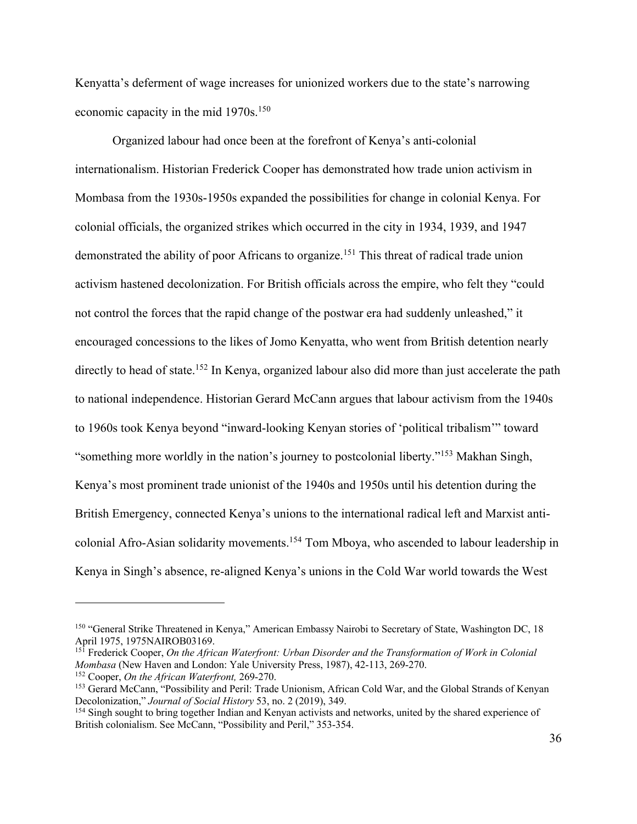Kenyatta's deferment of wage increases for unionized workers due to the state's narrowing economic capacity in the mid 1970s.<sup>150</sup>

Organized labour had once been at the forefront of Kenya's anti-colonial internationalism. Historian Frederick Cooper has demonstrated how trade union activism in Mombasa from the 1930s-1950s expanded the possibilities for change in colonial Kenya. For colonial officials, the organized strikes which occurred in the city in 1934, 1939, and 1947 demonstrated the ability of poor Africans to organize.<sup>151</sup> This threat of radical trade union activism hastened decolonization. For British officials across the empire, who felt they "could not control the forces that the rapid change of the postwar era had suddenly unleashed," it encouraged concessions to the likes of Jomo Kenyatta, who went from British detention nearly directly to head of state.<sup>152</sup> In Kenya, organized labour also did more than just accelerate the path to national independence. Historian Gerard McCann argues that labour activism from the 1940s to 1960s took Kenya beyond "inward-looking Kenyan stories of 'political tribalism'" toward "something more worldly in the nation's journey to postcolonial liberty."153 Makhan Singh, Kenya's most prominent trade unionist of the 1940s and 1950s until his detention during the British Emergency, connected Kenya's unions to the international radical left and Marxist anticolonial Afro-Asian solidarity movements.154 Tom Mboya, who ascended to labour leadership in Kenya in Singh's absence, re-aligned Kenya's unions in the Cold War world towards the West

<sup>&</sup>lt;sup>150</sup> "General Strike Threatened in Kenya," American Embassy Nairobi to Secretary of State, Washington DC, 18<br>April 1975, 1975NAIROB03169.

<sup>&</sup>lt;sup>151</sup> Frederick Cooper, *On the African Waterfront: Urban Disorder and the Transformation of Work in Colonial Mombasa (New Haven and London: Yale University Press, 1987), 42-113, 269-270.* 

 $^{152}$  Cooper, *On the African Waterfront*, 269-270.<br><sup>153</sup> Gerard McCann, "Possibility and Peril: Trade Unionism, African Cold War, and the Global Strands of Kenyan Decolonization," *Journal of Social History* 53, no. 2 (2019), 349.<br><sup>154</sup> Singh sought to bring together Indian and Kenyan activists and networks, united by the shared experience of

British colonialism. See McCann, "Possibility and Peril," 353-354.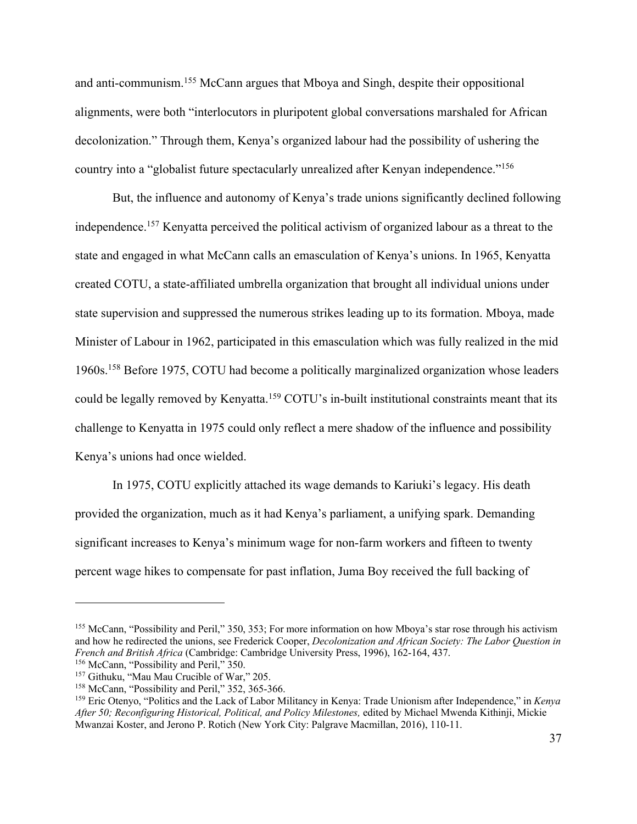and anti-communism.155 McCann argues that Mboya and Singh, despite their oppositional alignments, were both "interlocutors in pluripotent global conversations marshaled for African decolonization." Through them, Kenya's organized labour had the possibility of ushering the country into a "globalist future spectacularly unrealized after Kenyan independence."156

But, the influence and autonomy of Kenya's trade unions significantly declined following independence.157 Kenyatta perceived the political activism of organized labour as a threat to the state and engaged in what McCann calls an emasculation of Kenya's unions. In 1965, Kenyatta created COTU, a state-affiliated umbrella organization that brought all individual unions under state supervision and suppressed the numerous strikes leading up to its formation. Mboya, made Minister of Labour in 1962, participated in this emasculation which was fully realized in the mid 1960s.158 Before 1975, COTU had become a politically marginalized organization whose leaders could be legally removed by Kenyatta.<sup>159</sup> COTU's in-built institutional constraints meant that its challenge to Kenyatta in 1975 could only reflect a mere shadow of the influence and possibility Kenya's unions had once wielded.

In 1975, COTU explicitly attached its wage demands to Kariuki's legacy. His death provided the organization, much as it had Kenya's parliament, a unifying spark. Demanding significant increases to Kenya's minimum wage for non-farm workers and fifteen to twenty percent wage hikes to compensate for past inflation, Juma Boy received the full backing of

<sup>155</sup> McCann, "Possibility and Peril," 350, 353; For more information on how Mboya's star rose through his activism and how he redirected the unions, see Frederick Cooper, *Decolonization and African Society: The Labor Question in French and British Africa* (Cambridge: Cambridge University Press, 1996), 162-164, 437.<br><sup>156</sup> McCann, "Possibility and Peril," 350.

<sup>&</sup>lt;sup>157</sup> Githuku, "Mau Mau Crucible of War," 205.<br><sup>158</sup> McCann, "Possibility and Peril," 352, 365-366.<br><sup>159</sup> Eric Otenyo, "Politics and the Lack of Labor Militancy in Kenya: Trade Unionism after Independence," in *Kenya After 50; Reconfiguring Historical, Political, and Policy Milestones,* edited by Michael Mwenda Kithinji, Mickie Mwanzai Koster, and Jerono P. Rotich (New York City: Palgrave Macmillan, 2016), 110-11.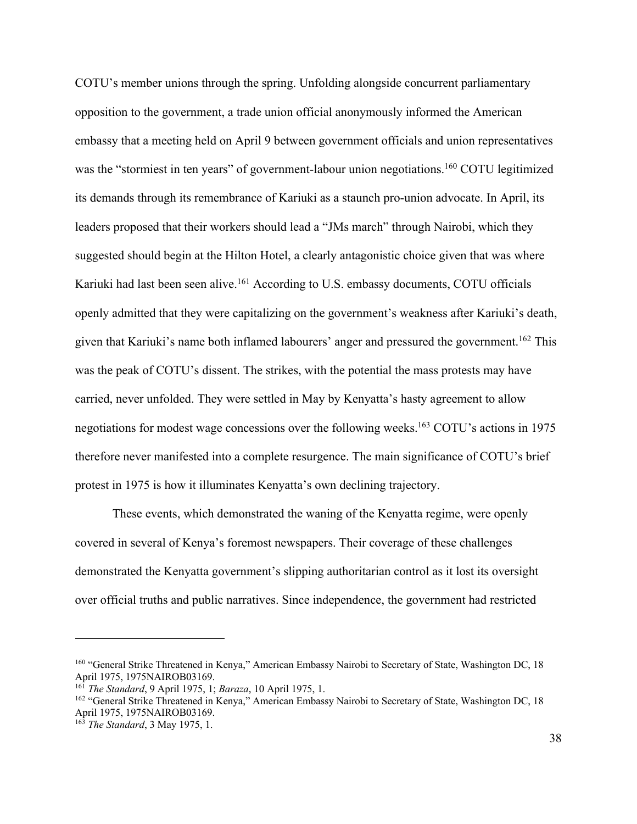COTU's member unions through the spring. Unfolding alongside concurrent parliamentary opposition to the government, a trade union official anonymously informed the American embassy that a meeting held on April 9 between government officials and union representatives was the "stormiest in ten years" of government-labour union negotiations.<sup>160</sup> COTU legitimized its demands through its remembrance of Kariuki as a staunch pro-union advocate. In April, its leaders proposed that their workers should lead a "JMs march" through Nairobi, which they suggested should begin at the Hilton Hotel, a clearly antagonistic choice given that was where Kariuki had last been seen alive.<sup>161</sup> According to U.S. embassy documents, COTU officials openly admitted that they were capitalizing on the government's weakness after Kariuki's death, given that Kariuki's name both inflamed labourers' anger and pressured the government.<sup>162</sup> This was the peak of COTU's dissent. The strikes, with the potential the mass protests may have carried, never unfolded. They were settled in May by Kenyatta's hasty agreement to allow negotiations for modest wage concessions over the following weeks.163 COTU's actions in 1975 therefore never manifested into a complete resurgence. The main significance of COTU's brief protest in 1975 is how it illuminates Kenyatta's own declining trajectory.

These events, which demonstrated the waning of the Kenyatta regime, were openly covered in several of Kenya's foremost newspapers. Their coverage of these challenges demonstrated the Kenyatta government's slipping authoritarian control as it lost its oversight over official truths and public narratives. Since independence, the government had restricted

<sup>&</sup>lt;sup>160</sup> "General Strike Threatened in Kenya," American Embassy Nairobi to Secretary of State, Washington DC, 18 April 1975, 1975NAIROB03169.

<sup>161</sup> *The Standard*, 9 April 1975, 1; *Baraza*, 10 April 1975, 1.

<sup>&</sup>lt;sup>162</sup> "General Strike Threatened in Kenya," American Embassy Nairobi to Secretary of State, Washington DC, 18 April 1975, 1975NAIROB03169.

<sup>163</sup> *The Standard*, 3 May 1975, 1.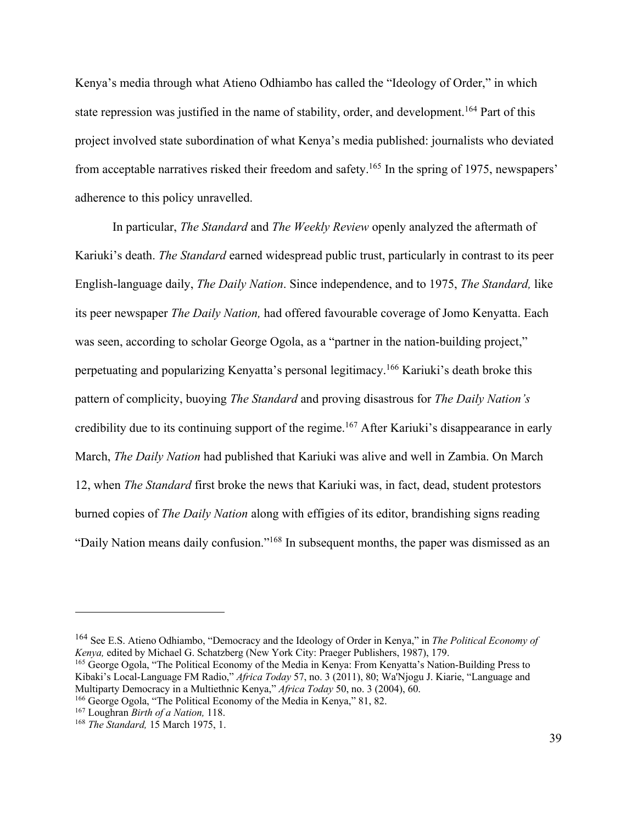Kenya's media through what Atieno Odhiambo has called the "Ideology of Order," in which state repression was justified in the name of stability, order, and development.<sup>164</sup> Part of this project involved state subordination of what Kenya's media published: journalists who deviated from acceptable narratives risked their freedom and safety.165 In the spring of 1975, newspapers' adherence to this policy unravelled.

In particular, *The Standard* and *The Weekly Review* openly analyzed the aftermath of Kariuki's death. *The Standard* earned widespread public trust, particularly in contrast to its peer English-language daily, *The Daily Nation*. Since independence, and to 1975, *The Standard,* like its peer newspaper *The Daily Nation,* had offered favourable coverage of Jomo Kenyatta. Each was seen, according to scholar George Ogola, as a "partner in the nation-building project," perpetuating and popularizing Kenyatta's personal legitimacy.166 Kariuki's death broke this pattern of complicity, buoying *The Standard* and proving disastrous for *The Daily Nation's*  credibility due to its continuing support of the regime.<sup>167</sup> After Kariuki's disappearance in early March, *The Daily Nation* had published that Kariuki was alive and well in Zambia. On March 12, when *The Standard* first broke the news that Kariuki was, in fact, dead, student protestors burned copies of *The Daily Nation* along with effigies of its editor, brandishing signs reading "Daily Nation means daily confusion."168 In subsequent months, the paper was dismissed as an

<sup>164</sup> See E.S. Atieno Odhiambo, "Democracy and the Ideology of Order in Kenya," in *The Political Economy of Kenya,* edited by Michael G. Schatzberg (New York City: Praeger Publishers, 1987), 179. <sup>165</sup> George Ogola, "The Political Economy of the Media in Kenya: From Kenyatta's Nation-Building Press to

Kibaki's Local-Language FM Radio," *Africa Today* 57, no. 3 (2011), 80; Wa'Njogu J. Kiarie, "Language and Multiparty Democracy in a Multiethnic Kenya," *Africa Today* 50, no. 3 (2004), 60.

<sup>166</sup> George Ogola, "The Political Economy of the Media in Kenya," 81, 82. 167 Loughran *Birth of a Nation,* 118. 168 *The Standard,* 15 March 1975, 1.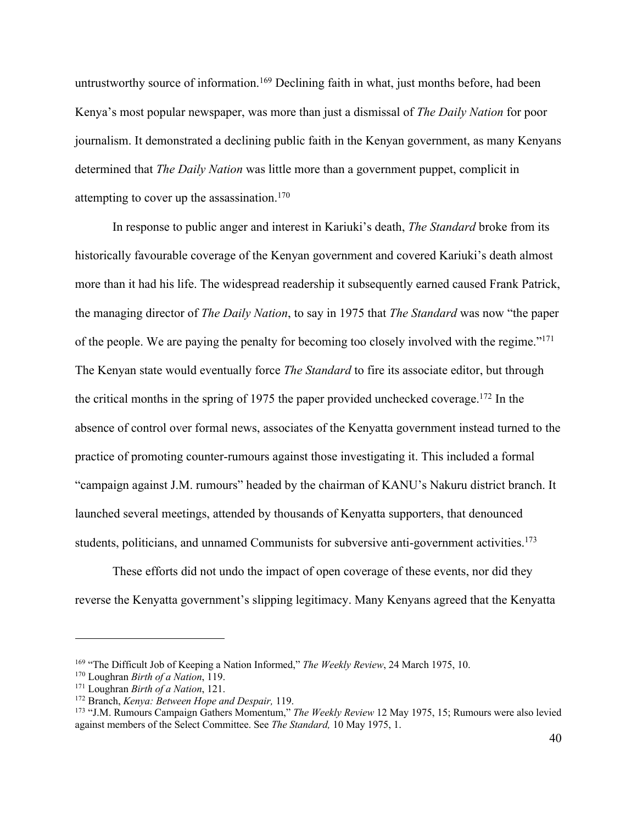untrustworthy source of information.<sup>169</sup> Declining faith in what, just months before, had been Kenya's most popular newspaper, was more than just a dismissal of *The Daily Nation* for poor journalism. It demonstrated a declining public faith in the Kenyan government, as many Kenyans determined that *The Daily Nation* was little more than a government puppet, complicit in attempting to cover up the assassination. $170$ 

In response to public anger and interest in Kariuki's death, *The Standard* broke from its historically favourable coverage of the Kenyan government and covered Kariuki's death almost more than it had his life. The widespread readership it subsequently earned caused Frank Patrick, the managing director of *The Daily Nation*, to say in 1975 that *The Standard* was now "the paper of the people. We are paying the penalty for becoming too closely involved with the regime."171 The Kenyan state would eventually force *The Standard* to fire its associate editor, but through the critical months in the spring of 1975 the paper provided unchecked coverage.172 In the absence of control over formal news, associates of the Kenyatta government instead turned to the practice of promoting counter-rumours against those investigating it. This included a formal "campaign against J.M. rumours" headed by the chairman of KANU's Nakuru district branch. It launched several meetings, attended by thousands of Kenyatta supporters, that denounced students, politicians, and unnamed Communists for subversive anti-government activities.<sup>173</sup>

These efforts did not undo the impact of open coverage of these events, nor did they reverse the Kenyatta government's slipping legitimacy. Many Kenyans agreed that the Kenyatta

<sup>&</sup>lt;sup>169</sup> "The Difficult Job of Keeping a Nation Informed," *The Weekly Review*, 24 March 1975, 10.<br><sup>170</sup> Loughran *Birth of a Nation*, 119.<br><sup>171</sup> Loughran *Birth of a Nation*, 121.<br><sup>172</sup> Branch, *Kenya: Between Hope and Despa* against members of the Select Committee. See *The Standard,* 10 May 1975, 1.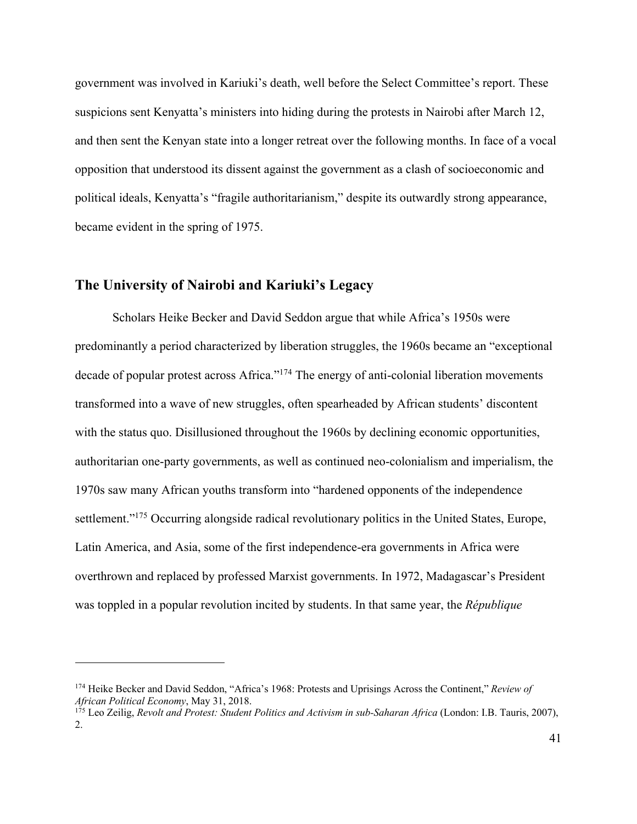government was involved in Kariuki's death, well before the Select Committee's report. These suspicions sent Kenyatta's ministers into hiding during the protests in Nairobi after March 12, and then sent the Kenyan state into a longer retreat over the following months. In face of a vocal opposition that understood its dissent against the government as a clash of socioeconomic and political ideals, Kenyatta's "fragile authoritarianism," despite its outwardly strong appearance, became evident in the spring of 1975.

## **The University of Nairobi and Kariuki's Legacy**

Scholars Heike Becker and David Seddon argue that while Africa's 1950s were predominantly a period characterized by liberation struggles, the 1960s became an "exceptional decade of popular protest across Africa."<sup>174</sup> The energy of anti-colonial liberation movements transformed into a wave of new struggles, often spearheaded by African students' discontent with the status quo. Disillusioned throughout the 1960s by declining economic opportunities, authoritarian one-party governments, as well as continued neo-colonialism and imperialism, the 1970s saw many African youths transform into "hardened opponents of the independence settlement."<sup>175</sup> Occurring alongside radical revolutionary politics in the United States, Europe, Latin America, and Asia, some of the first independence-era governments in Africa were overthrown and replaced by professed Marxist governments. In 1972, Madagascar's President was toppled in a popular revolution incited by students. In that same year, the *République* 

<sup>174</sup> Heike Becker and David Seddon, "Africa's 1968: Protests and Uprisings Across the Continent," *Review of African Political Economy*, May 31, 2018.

<sup>175</sup> Leo Zeilig, *Revolt and Protest: Student Politics and Activism in sub-Saharan Africa* (London: I.B. Tauris, 2007), 2.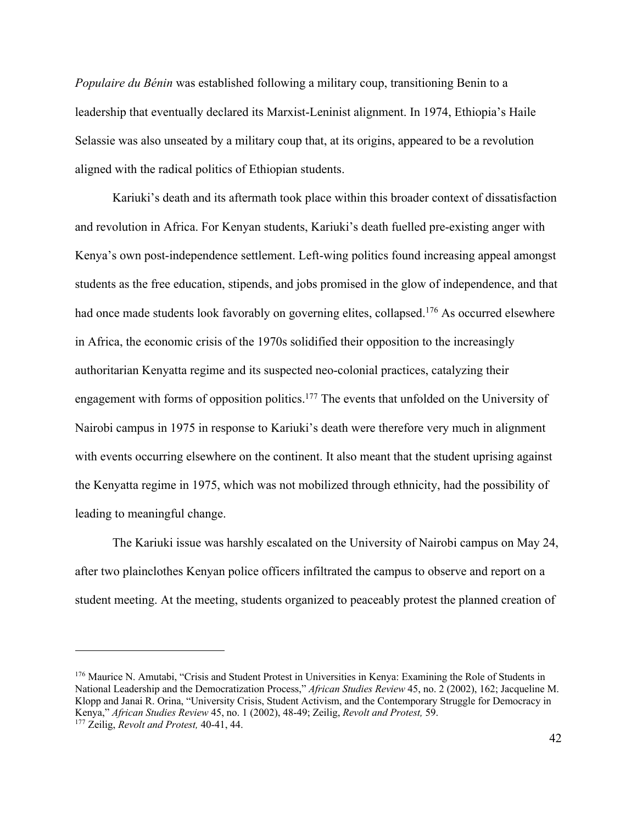*Populaire du Bénin* was established following a military coup, transitioning Benin to a leadership that eventually declared its Marxist-Leninist alignment. In 1974, Ethiopia's Haile Selassie was also unseated by a military coup that, at its origins, appeared to be a revolution aligned with the radical politics of Ethiopian students.

Kariuki's death and its aftermath took place within this broader context of dissatisfaction and revolution in Africa. For Kenyan students, Kariuki's death fuelled pre-existing anger with Kenya's own post-independence settlement. Left-wing politics found increasing appeal amongst students as the free education, stipends, and jobs promised in the glow of independence, and that had once made students look favorably on governing elites, collapsed.<sup>176</sup> As occurred elsewhere in Africa, the economic crisis of the 1970s solidified their opposition to the increasingly authoritarian Kenyatta regime and its suspected neo-colonial practices, catalyzing their engagement with forms of opposition politics.<sup>177</sup> The events that unfolded on the University of Nairobi campus in 1975 in response to Kariuki's death were therefore very much in alignment with events occurring elsewhere on the continent. It also meant that the student uprising against the Kenyatta regime in 1975, which was not mobilized through ethnicity, had the possibility of leading to meaningful change.

The Kariuki issue was harshly escalated on the University of Nairobi campus on May 24, after two plainclothes Kenyan police officers infiltrated the campus to observe and report on a student meeting. At the meeting, students organized to peaceably protest the planned creation of

<sup>176</sup> Maurice N. Amutabi, "Crisis and Student Protest in Universities in Kenya: Examining the Role of Students in National Leadership and the Democratization Process," *African Studies Review* 45, no. 2 (2002), 162; Jacqueline M. Klopp and Janai R. Orina, "University Crisis, Student Activism, and the Contemporary Struggle for Democracy in Kenya," *African Studies Review* 45, no. 1 (2002), 48-49; Zeilig, *Revolt and Protest,* 59. 177 Zeilig, *Revolt and Protest,* 40-41, 44.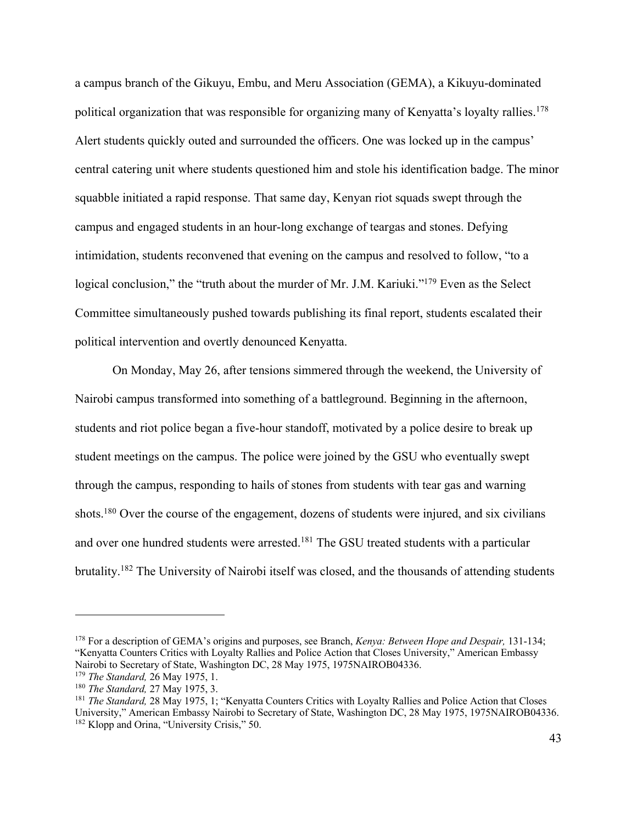a campus branch of the Gikuyu, Embu, and Meru Association (GEMA), a Kikuyu-dominated political organization that was responsible for organizing many of Kenyatta's loyalty rallies.<sup>178</sup> Alert students quickly outed and surrounded the officers. One was locked up in the campus' central catering unit where students questioned him and stole his identification badge. The minor squabble initiated a rapid response. That same day, Kenyan riot squads swept through the campus and engaged students in an hour-long exchange of teargas and stones. Defying intimidation, students reconvened that evening on the campus and resolved to follow, "to a logical conclusion," the "truth about the murder of Mr. J.M. Kariuki."<sup>179</sup> Even as the Select Committee simultaneously pushed towards publishing its final report, students escalated their political intervention and overtly denounced Kenyatta.

On Monday, May 26, after tensions simmered through the weekend, the University of Nairobi campus transformed into something of a battleground. Beginning in the afternoon, students and riot police began a five-hour standoff, motivated by a police desire to break up student meetings on the campus. The police were joined by the GSU who eventually swept through the campus, responding to hails of stones from students with tear gas and warning shots.<sup>180</sup> Over the course of the engagement, dozens of students were injured, and six civilians and over one hundred students were arrested.<sup>181</sup> The GSU treated students with a particular brutality.182 The University of Nairobi itself was closed, and the thousands of attending students

<sup>178</sup> For a description of GEMA's origins and purposes, see Branch, *Kenya: Between Hope and Despair,* 131-134; "Kenyatta Counters Critics with Loyalty Rallies and Police Action that Closes University," American Embassy Nairobi to Secretary of State, Washington DC, 28 May 1975, 1975NAIROB04336.<br><sup>179</sup> The Standard, 26 May 1975, 1.

<sup>&</sup>lt;sup>180</sup> *The Standard, 27 May 1975, 3.* 

<sup>181</sup> *The Standard,* 28 May 1975, 1; "Kenyatta Counters Critics with Loyalty Rallies and Police Action that Closes University," American Embassy Nairobi to Secretary of State, Washington DC, 28 May 1975, 1975NAIROB04336. <sup>182</sup> Klopp and Orina, "University Crisis," 50.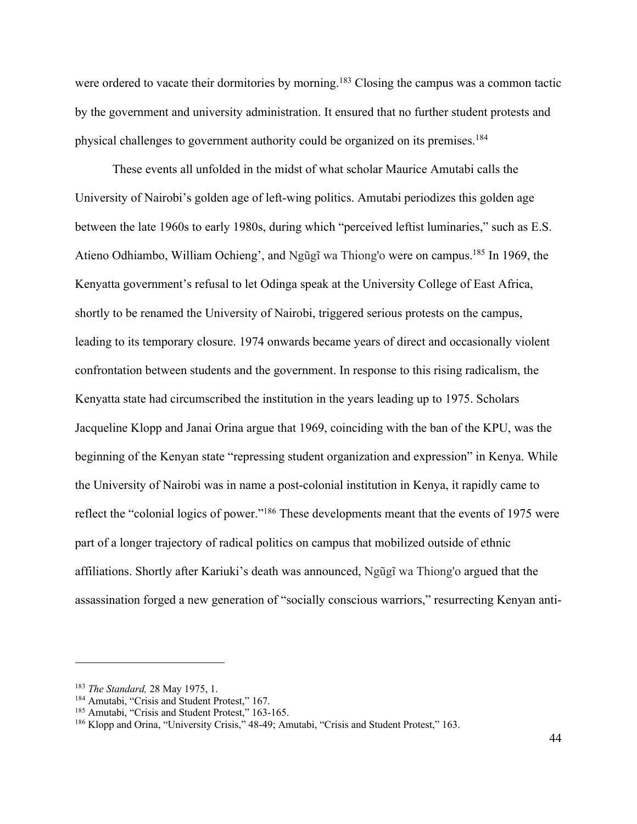were ordered to vacate their dormitories by morning.<sup>183</sup> Closing the campus was a common tactic by the government and university administration. It ensured that no further student protests and physical challenges to government authority could be organized on its premises.184

These events all unfolded in the midst of what scholar Maurice Amutabi calls the University of Nairobi's golden age of left-wing politics. Amutabi periodizes this golden age between the late 1960s to early 1980s, during which "perceived leftist luminaries," such as E.S. Atieno Odhiambo, William Ochieng', and Ngũgĩ wa Thiong'o were on campus.185 In 1969, the Kenyatta government's refusal to let Odinga speak at the University College of East Africa, shortly to be renamed the University of Nairobi, triggered serious protests on the campus, leading to its temporary closure. 1974 onwards became years of direct and occasionally violent confrontation between students and the government. In response to this rising radicalism, the Kenyatta state had circumscribed the institution in the years leading up to 1975. Scholars Jacqueline Klopp and Janai Orina argue that 1969, coinciding with the ban of the KPU, was the beginning of the Kenyan state "repressing student organization and expression" in Kenya. While the University of Nairobi was in name a post-colonial institution in Kenya, it rapidly came to reflect the "colonial logics of power."186 These developments meant that the events of 1975 were part of a longer trajectory of radical politics on campus that mobilized outside of ethnic affiliations. Shortly after Kariuki's death was announced, Ngũgĩ wa Thiong'o argued that the assassination forged a new generation of "socially conscious warriors," resurrecting Kenyan anti-

<sup>183</sup> *The Standard,* 28 May 1975, 1.

<sup>&</sup>lt;sup>184</sup> Amutabi, "Crisis and Student Protest," 167.

<sup>&</sup>lt;sup>185</sup> Amutabi, "Crisis and Student Protest," 163-165.

<sup>186</sup> Klopp and Orina, "University Crisis," 48-49; Amutabi, "Crisis and Student Protest," 163.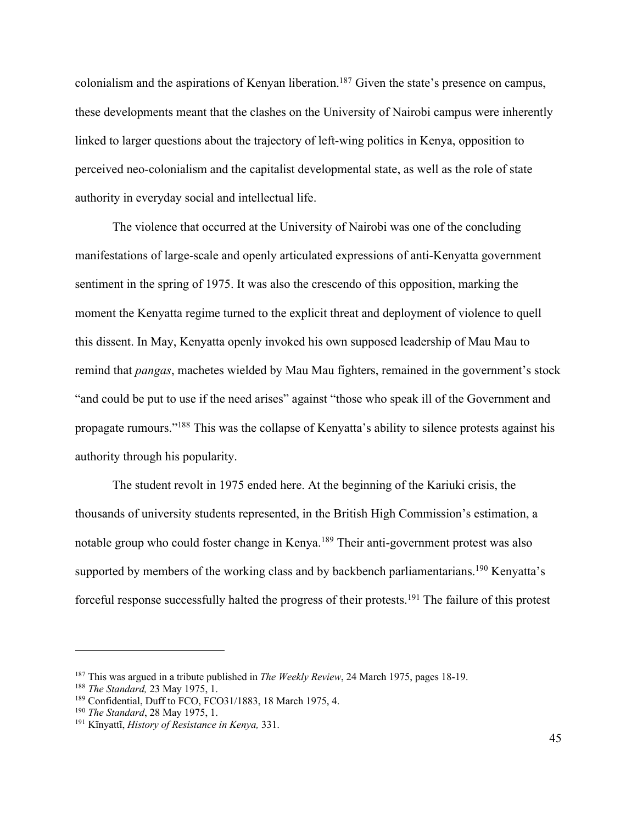colonialism and the aspirations of Kenyan liberation.<sup>187</sup> Given the state's presence on campus, these developments meant that the clashes on the University of Nairobi campus were inherently linked to larger questions about the trajectory of left-wing politics in Kenya, opposition to perceived neo-colonialism and the capitalist developmental state, as well as the role of state authority in everyday social and intellectual life.

The violence that occurred at the University of Nairobi was one of the concluding manifestations of large-scale and openly articulated expressions of anti-Kenyatta government sentiment in the spring of 1975. It was also the crescendo of this opposition, marking the moment the Kenyatta regime turned to the explicit threat and deployment of violence to quell this dissent. In May, Kenyatta openly invoked his own supposed leadership of Mau Mau to remind that *pangas*, machetes wielded by Mau Mau fighters, remained in the government's stock "and could be put to use if the need arises" against "those who speak ill of the Government and propagate rumours."188 This was the collapse of Kenyatta's ability to silence protests against his authority through his popularity.

The student revolt in 1975 ended here. At the beginning of the Kariuki crisis, the thousands of university students represented, in the British High Commission's estimation, a notable group who could foster change in Kenya.<sup>189</sup> Their anti-government protest was also supported by members of the working class and by backbench parliamentarians.<sup>190</sup> Kenyatta's forceful response successfully halted the progress of their protests.191 The failure of this protest

<sup>&</sup>lt;sup>187</sup> This was argued in a tribute published in *The Weekly Review*, 24 March 1975, pages 18-19.<br><sup>188</sup> *The Standard*, 23 May 1975, 1.

<sup>&</sup>lt;sup>189</sup> Confidential, Duff to FCO, FCO31/1883, 18 March 1975, 4.<br><sup>190</sup> The Standard, 28 May 1975, 1.

<sup>&</sup>lt;sup>191</sup> Kĩnyattĩ, *History of Resistance in Kenya*, 331.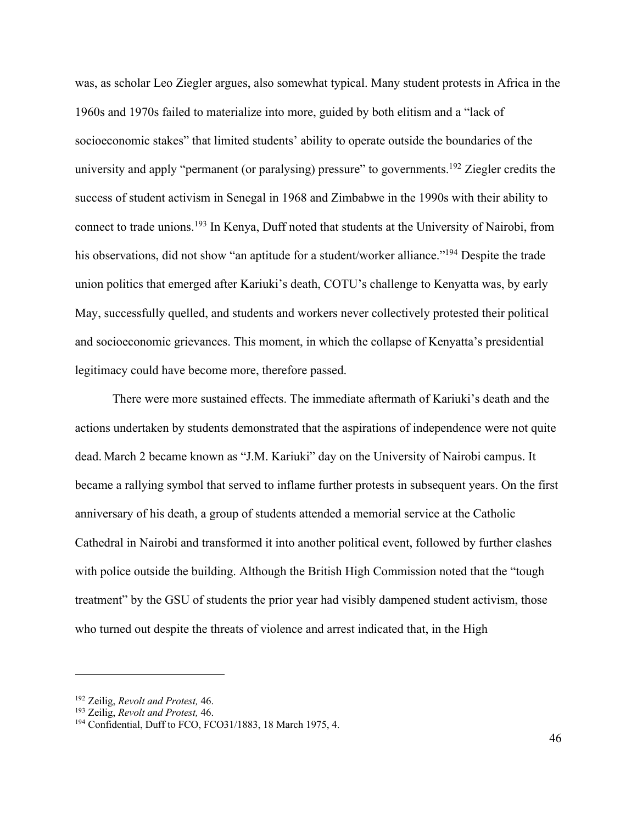was, as scholar Leo Ziegler argues, also somewhat typical. Many student protests in Africa in the 1960s and 1970s failed to materialize into more, guided by both elitism and a "lack of socioeconomic stakes" that limited students' ability to operate outside the boundaries of the university and apply "permanent (or paralysing) pressure" to governments.<sup>192</sup> Ziegler credits the success of student activism in Senegal in 1968 and Zimbabwe in the 1990s with their ability to connect to trade unions.193 In Kenya, Duff noted that students at the University of Nairobi, from his observations, did not show "an aptitude for a student/worker alliance."<sup>194</sup> Despite the trade union politics that emerged after Kariuki's death, COTU's challenge to Kenyatta was, by early May, successfully quelled, and students and workers never collectively protested their political and socioeconomic grievances. This moment, in which the collapse of Kenyatta's presidential legitimacy could have become more, therefore passed.

There were more sustained effects. The immediate aftermath of Kariuki's death and the actions undertaken by students demonstrated that the aspirations of independence were not quite dead. March 2 became known as "J.M. Kariuki" day on the University of Nairobi campus. It became a rallying symbol that served to inflame further protests in subsequent years. On the first anniversary of his death, a group of students attended a memorial service at the Catholic Cathedral in Nairobi and transformed it into another political event, followed by further clashes with police outside the building. Although the British High Commission noted that the "tough treatment" by the GSU of students the prior year had visibly dampened student activism, those who turned out despite the threats of violence and arrest indicated that, in the High

<sup>&</sup>lt;sup>192</sup> Zeilig, *Revolt and Protest*, 46.<br><sup>193</sup> Zeilig, *Revolt and Protest*, 46.<br><sup>194</sup> Confidential, Duff to FCO, FCO31/1883, 18 March 1975, 4.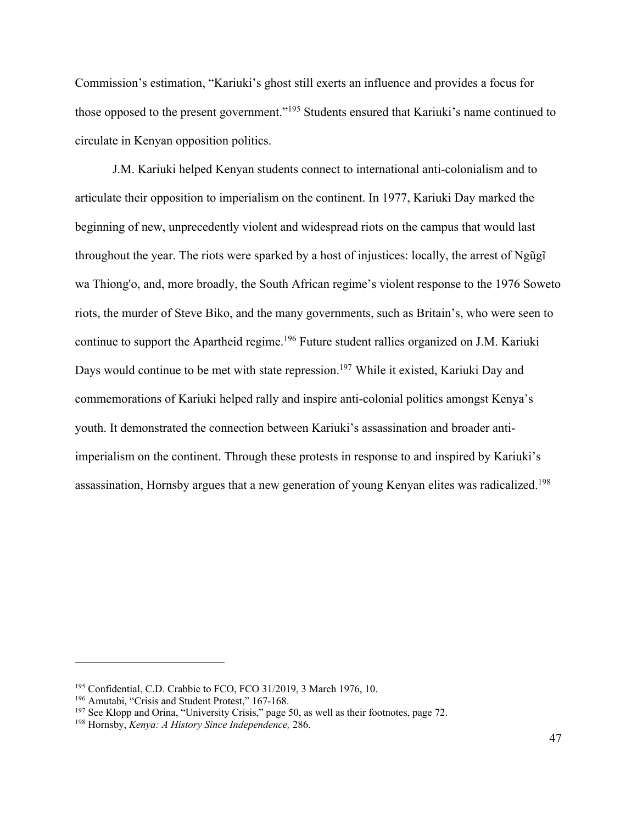Commission's estimation, "Kariuki's ghost still exerts an influence and provides a focus for those opposed to the present government."195 Students ensured that Kariuki's name continued to circulate in Kenyan opposition politics.

J.M. Kariuki helped Kenyan students connect to international anti-colonialism and to articulate their opposition to imperialism on the continent. In 1977, Kariuki Day marked the beginning of new, unprecedently violent and widespread riots on the campus that would last throughout the year. The riots were sparked by a host of injustices: locally, the arrest of Ngũgĩ wa Thiong'o, and, more broadly, the South African regime's violent response to the 1976 Soweto riots, the murder of Steve Biko, and the many governments, such as Britain's, who were seen to continue to support the Apartheid regime.<sup>196</sup> Future student rallies organized on J.M. Kariuki Days would continue to be met with state repression.<sup>197</sup> While it existed, Kariuki Day and commemorations of Kariuki helped rally and inspire anti-colonial politics amongst Kenya's youth. It demonstrated the connection between Kariuki's assassination and broader antiimperialism on the continent. Through these protests in response to and inspired by Kariuki's assassination, Hornsby argues that a new generation of young Kenyan elites was radicalized.<sup>198</sup>

<sup>195</sup> Confidential, C.D. Crabbie to FCO, FCO 31/2019, 3 March 1976, 10.

<sup>&</sup>lt;sup>196</sup> Amutabi, "Crisis and Student Protest," 167-168.

<sup>197</sup> See Klopp and Orina, "University Crisis," page 50, as well as their footnotes, page 72. 198 Hornsby, *Kenya: A History Since Independence,* 286.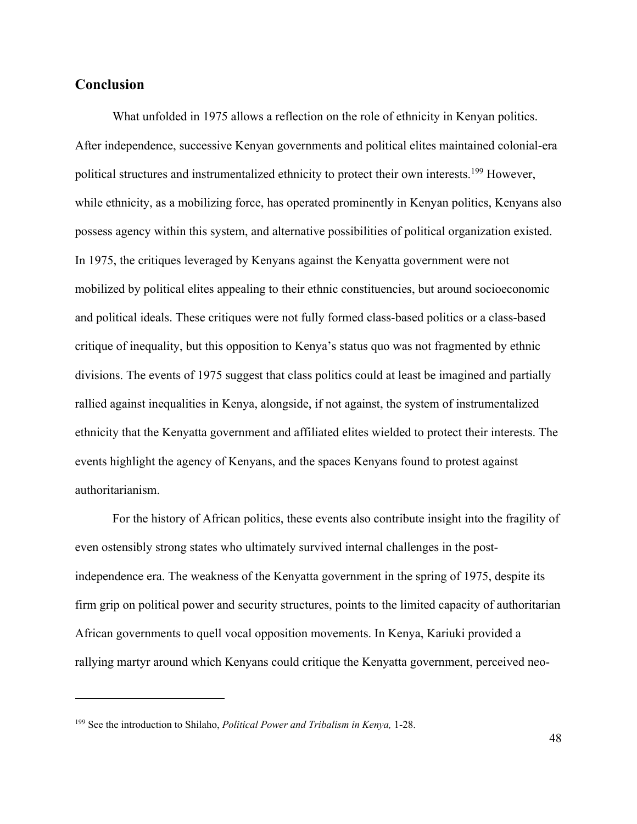## **Conclusion**

What unfolded in 1975 allows a reflection on the role of ethnicity in Kenyan politics. After independence, successive Kenyan governments and political elites maintained colonial-era political structures and instrumentalized ethnicity to protect their own interests.<sup>199</sup> However, while ethnicity, as a mobilizing force, has operated prominently in Kenyan politics, Kenyans also possess agency within this system, and alternative possibilities of political organization existed. In 1975, the critiques leveraged by Kenyans against the Kenyatta government were not mobilized by political elites appealing to their ethnic constituencies, but around socioeconomic and political ideals. These critiques were not fully formed class-based politics or a class-based critique of inequality, but this opposition to Kenya's status quo was not fragmented by ethnic divisions. The events of 1975 suggest that class politics could at least be imagined and partially rallied against inequalities in Kenya, alongside, if not against, the system of instrumentalized ethnicity that the Kenyatta government and affiliated elites wielded to protect their interests. The events highlight the agency of Kenyans, and the spaces Kenyans found to protest against authoritarianism.

For the history of African politics, these events also contribute insight into the fragility of even ostensibly strong states who ultimately survived internal challenges in the postindependence era. The weakness of the Kenyatta government in the spring of 1975, despite its firm grip on political power and security structures, points to the limited capacity of authoritarian African governments to quell vocal opposition movements. In Kenya, Kariuki provided a rallying martyr around which Kenyans could critique the Kenyatta government, perceived neo-

<sup>199</sup> See the introduction to Shilaho, *Political Power and Tribalism in Kenya,* 1-28.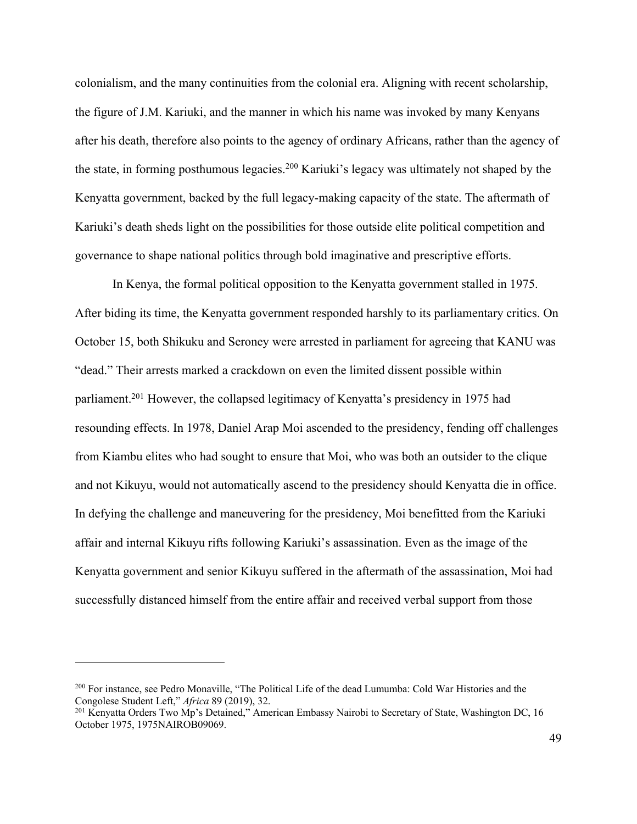colonialism, and the many continuities from the colonial era. Aligning with recent scholarship, the figure of J.M. Kariuki, and the manner in which his name was invoked by many Kenyans after his death, therefore also points to the agency of ordinary Africans, rather than the agency of the state, in forming posthumous legacies.200 Kariuki's legacy was ultimately not shaped by the Kenyatta government, backed by the full legacy-making capacity of the state. The aftermath of Kariuki's death sheds light on the possibilities for those outside elite political competition and governance to shape national politics through bold imaginative and prescriptive efforts.

In Kenya, the formal political opposition to the Kenyatta government stalled in 1975. After biding its time, the Kenyatta government responded harshly to its parliamentary critics. On October 15, both Shikuku and Seroney were arrested in parliament for agreeing that KANU was "dead." Their arrests marked a crackdown on even the limited dissent possible within parliament.201 However, the collapsed legitimacy of Kenyatta's presidency in 1975 had resounding effects. In 1978, Daniel Arap Moi ascended to the presidency, fending off challenges from Kiambu elites who had sought to ensure that Moi, who was both an outsider to the clique and not Kikuyu, would not automatically ascend to the presidency should Kenyatta die in office. In defying the challenge and maneuvering for the presidency, Moi benefitted from the Kariuki affair and internal Kikuyu rifts following Kariuki's assassination. Even as the image of the Kenyatta government and senior Kikuyu suffered in the aftermath of the assassination, Moi had successfully distanced himself from the entire affair and received verbal support from those

<sup>&</sup>lt;sup>200</sup> For instance, see Pedro Monaville, "The Political Life of the dead Lumumba: Cold War Histories and the Congolese Student Left," *Africa* 89 (2019), 32.

<sup>&</sup>lt;sup>201</sup> Kenyatta Orders Two Mp's Detained," American Embassy Nairobi to Secretary of State, Washington DC, 16 October 1975, 1975NAIROB09069.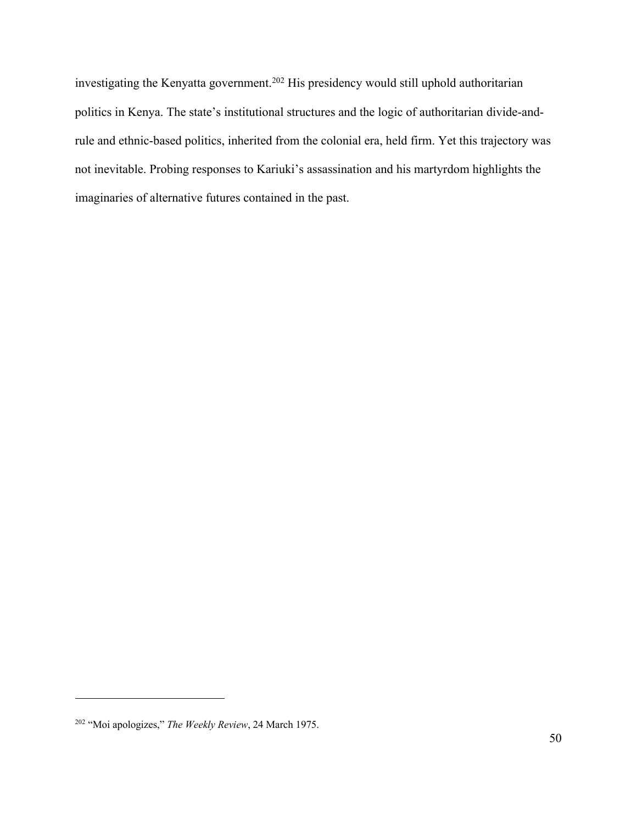investigating the Kenyatta government.202 His presidency would still uphold authoritarian politics in Kenya. The state's institutional structures and the logic of authoritarian divide-andrule and ethnic-based politics, inherited from the colonial era, held firm. Yet this trajectory was not inevitable. Probing responses to Kariuki's assassination and his martyrdom highlights the imaginaries of alternative futures contained in the past.

<sup>202</sup> "Moi apologizes," *The Weekly Review*, 24 March 1975.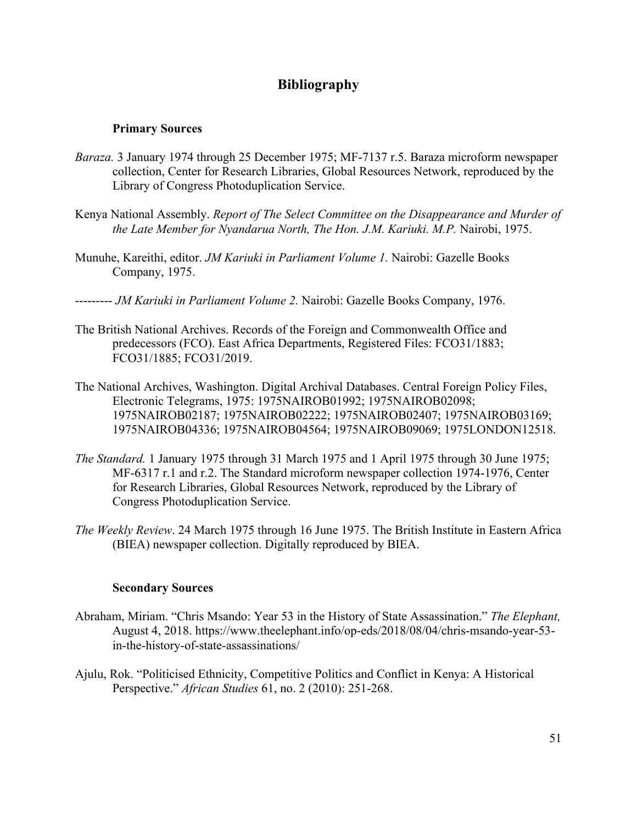# **Bibliography**

#### **Primary Sources**

- *Baraza.* 3 January 1974 through 25 December 1975; MF-7137 r.5. Baraza microform newspaper collection, Center for Research Libraries, Global Resources Network, reproduced by the Library of Congress Photoduplication Service.
- Kenya National Assembly. *Report of The Select Committee on the Disappearance and Murder of the Late Member for Nyandarua North, The Hon. J.M. Kariuki. M.P.* Nairobi, 1975.
- Munuhe, Kareithi, editor. *JM Kariuki in Parliament Volume 1.* Nairobi: Gazelle Books Company, 1975.
- --------- *JM Kariuki in Parliament Volume 2.* Nairobi: Gazelle Books Company, 1976.
- The British National Archives. Records of the Foreign and Commonwealth Office and predecessors (FCO). East Africa Departments, Registered Files: FCO31/1883; FCO31/1885; FCO31/2019.
- The National Archives, Washington. Digital Archival Databases. Central Foreign Policy Files, Electronic Telegrams, 1975: 1975NAIROB01992; 1975NAIROB02098; 1975NAIROB02187; 1975NAIROB02222; 1975NAIROB02407; 1975NAIROB03169; 1975NAIROB04336; 1975NAIROB04564; 1975NAIROB09069; 1975LONDON12518.
- *The Standard.* 1 January 1975 through 31 March 1975 and 1 April 1975 through 30 June 1975; MF-6317 r.1 and r.2. The Standard microform newspaper collection 1974-1976, Center for Research Libraries, Global Resources Network, reproduced by the Library of Congress Photoduplication Service.
- *The Weekly Review*. 24 March 1975 through 16 June 1975. The British Institute in Eastern Africa (BIEA) newspaper collection. Digitally reproduced by BIEA.

#### **Secondary Sources**

- Abraham, Miriam. "Chris Msando: Year 53 in the History of State Assassination." *The Elephant,*  August 4, 2018. https://www.theelephant.info/op-eds/2018/08/04/chris-msando-year-53 in-the-history-of-state-assassinations/
- Ajulu, Rok. "Politicised Ethnicity, Competitive Politics and Conflict in Kenya: A Historical Perspective." *African Studies* 61, no. 2 (2010): 251-268.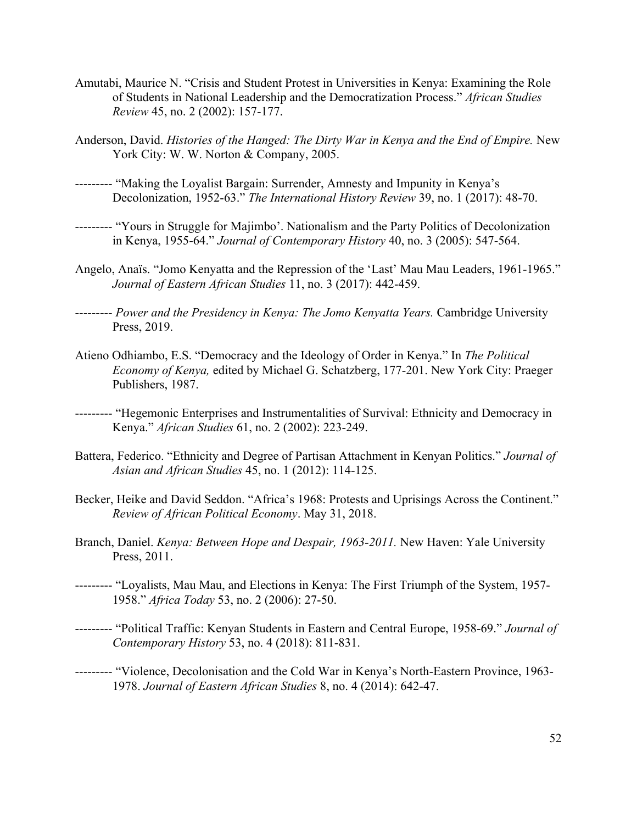- Amutabi, Maurice N. "Crisis and Student Protest in Universities in Kenya: Examining the Role of Students in National Leadership and the Democratization Process." *African Studies Review* 45, no. 2 (2002): 157-177.
- Anderson, David. *Histories of the Hanged: The Dirty War in Kenya and the End of Empire.* New York City: W. W. Norton & Company, 2005.
- --------- "Making the Loyalist Bargain: Surrender, Amnesty and Impunity in Kenya's Decolonization, 1952-63." *The International History Review* 39, no. 1 (2017): 48-70.
- --------- "Yours in Struggle for Majimbo'. Nationalism and the Party Politics of Decolonization in Kenya, 1955-64." *Journal of Contemporary History* 40, no. 3 (2005): 547-564.
- Angelo, Anaïs. "Jomo Kenyatta and the Repression of the 'Last' Mau Mau Leaders, 1961-1965." *Journal of Eastern African Studies* 11, no. 3 (2017): 442-459.
- --------- *Power and the Presidency in Kenya: The Jomo Kenyatta Years.* Cambridge University Press, 2019.
- Atieno Odhiambo, E.S. "Democracy and the Ideology of Order in Kenya." In *The Political Economy of Kenya,* edited by Michael G. Schatzberg, 177-201. New York City: Praeger Publishers, 1987.
- --------- "Hegemonic Enterprises and Instrumentalities of Survival: Ethnicity and Democracy in Kenya." *African Studies* 61, no. 2 (2002): 223-249.
- Battera, Federico. "Ethnicity and Degree of Partisan Attachment in Kenyan Politics." *Journal of Asian and African Studies* 45, no. 1 (2012): 114-125.
- Becker, Heike and David Seddon. "Africa's 1968: Protests and Uprisings Across the Continent." *Review of African Political Economy*. May 31, 2018.
- Branch, Daniel. *Kenya: Between Hope and Despair, 1963-2011.* New Haven: Yale University Press, 2011.
- --------- "Loyalists, Mau Mau, and Elections in Kenya: The First Triumph of the System, 1957- 1958." *Africa Today* 53, no. 2 (2006): 27-50.
- --------- "Political Traffic: Kenyan Students in Eastern and Central Europe, 1958-69." *Journal of Contemporary History* 53, no. 4 (2018): 811-831.
- --------- "Violence, Decolonisation and the Cold War in Kenya's North-Eastern Province, 1963- 1978. *Journal of Eastern African Studies* 8, no. 4 (2014): 642-47.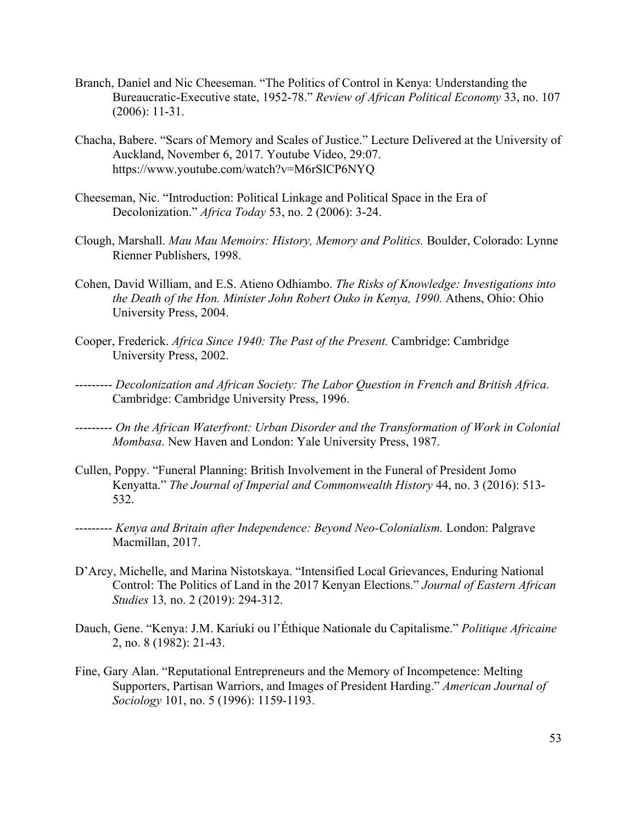- Branch, Daniel and Nic Cheeseman. "The Politics of Control in Kenya: Understanding the Bureaucratic-Executive state, 1952-78." *Review of African Political Economy* 33, no. 107 (2006): 11-31.
- Chacha, Babere. "Scars of Memory and Scales of Justice." Lecture Delivered at the University of Auckland, November 6, 2017. Youtube Video, 29:07. https://www.youtube.com/watch?v=M6rSlCP6NYQ
- Cheeseman, Nic. "Introduction: Political Linkage and Political Space in the Era of Decolonization." *Africa Today* 53, no. 2 (2006): 3-24.
- Clough, Marshall. *Mau Mau Memoirs: History, Memory and Politics.* Boulder, Colorado: Lynne Rienner Publishers, 1998.
- Cohen, David William, and E.S. Atieno Odhiambo. *The Risks of Knowledge: Investigations into the Death of the Hon. Minister John Robert Ouko in Kenya, 1990.* Athens, Ohio: Ohio University Press, 2004.
- Cooper, Frederick. *Africa Since 1940: The Past of the Present.* Cambridge: Cambridge University Press, 2002.
- --------- *Decolonization and African Society: The Labor Question in French and British Africa.* Cambridge: Cambridge University Press, 1996.
- --------- *On the African Waterfront: Urban Disorder and the Transformation of Work in Colonial Mombasa*. New Haven and London: Yale University Press, 1987.
- Cullen, Poppy. "Funeral Planning: British Involvement in the Funeral of President Jomo Kenyatta." *The Journal of Imperial and Commonwealth History* 44, no. 3 (2016): 513- 532.
- --------- *Kenya and Britain after Independence: Beyond Neo-Colonialism.* London: Palgrave Macmillan, 2017.
- D'Arcy, Michelle, and Marina Nistotskaya. "Intensified Local Grievances, Enduring National Control: The Politics of Land in the 2017 Kenyan Elections." *Journal of Eastern African Studies* 13*,* no. 2 (2019): 294-312.
- Dauch, Gene. "Kenya: J.M. Kariuki ou l'Éthique Nationale du Capitalisme." *Politique Africaine*  2, no. 8 (1982): 21-43.
- Fine, Gary Alan. "Reputational Entrepreneurs and the Memory of Incompetence: Melting Supporters, Partisan Warriors, and Images of President Harding." *American Journal of Sociology* 101, no. 5 (1996): 1159-1193.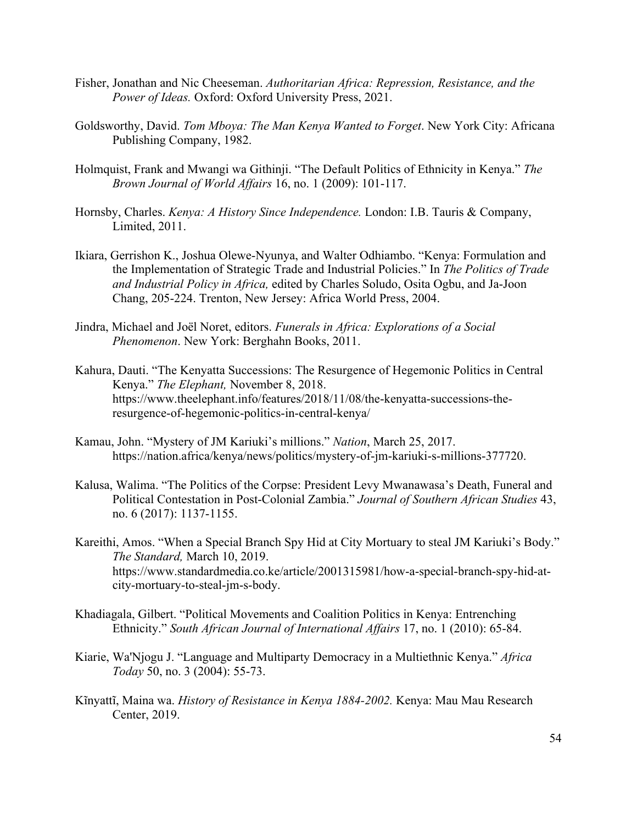- Fisher, Jonathan and Nic Cheeseman. *Authoritarian Africa: Repression, Resistance, and the Power of Ideas.* Oxford: Oxford University Press, 2021.
- Goldsworthy, David. *Tom Mboya: The Man Kenya Wanted to Forget*. New York City: Africana Publishing Company, 1982.
- Holmquist, Frank and Mwangi wa Githinji. "The Default Politics of Ethnicity in Kenya." *The Brown Journal of World Affairs* 16, no. 1 (2009): 101-117.
- Hornsby, Charles. *Kenya: A History Since Independence.* London: I.B. Tauris & Company, Limited, 2011.
- Ikiara, Gerrishon K., Joshua Olewe-Nyunya, and Walter Odhiambo. "Kenya: Formulation and the Implementation of Strategic Trade and Industrial Policies." In *The Politics of Trade and Industrial Policy in Africa,* edited by Charles Soludo, Osita Ogbu, and Ja-Joon Chang, 205-224. Trenton, New Jersey: Africa World Press, 2004.
- Jindra, Michael and Joël Noret, editors. *Funerals in Africa: Explorations of a Social Phenomenon*. New York: Berghahn Books, 2011.
- Kahura, Dauti. "The Kenyatta Successions: The Resurgence of Hegemonic Politics in Central Kenya." *The Elephant,* November 8, 2018. https://www.theelephant.info/features/2018/11/08/the-kenyatta-successions-theresurgence-of-hegemonic-politics-in-central-kenya/
- Kamau, John. "Mystery of JM Kariuki's millions." *Nation*, March 25, 2017. https://nation.africa/kenya/news/politics/mystery-of-jm-kariuki-s-millions-377720.
- Kalusa, Walima. "The Politics of the Corpse: President Levy Mwanawasa's Death, Funeral and Political Contestation in Post-Colonial Zambia." *Journal of Southern African Studies* 43, no. 6 (2017): 1137-1155.
- Kareithi, Amos. "When a Special Branch Spy Hid at City Mortuary to steal JM Kariuki's Body." *The Standard,* March 10, 2019. https://www.standardmedia.co.ke/article/2001315981/how-a-special-branch-spy-hid-atcity-mortuary-to-steal-jm-s-body.
- Khadiagala, Gilbert. "Political Movements and Coalition Politics in Kenya: Entrenching Ethnicity." *South African Journal of International Affairs* 17, no. 1 (2010): 65-84.
- Kiarie, Wa'Njogu J. "Language and Multiparty Democracy in a Multiethnic Kenya." *Africa Today* 50, no. 3 (2004): 55-73.
- Kĩnyattĩ, Maina wa. *History of Resistance in Kenya 1884-2002.* Kenya: Mau Mau Research Center, 2019.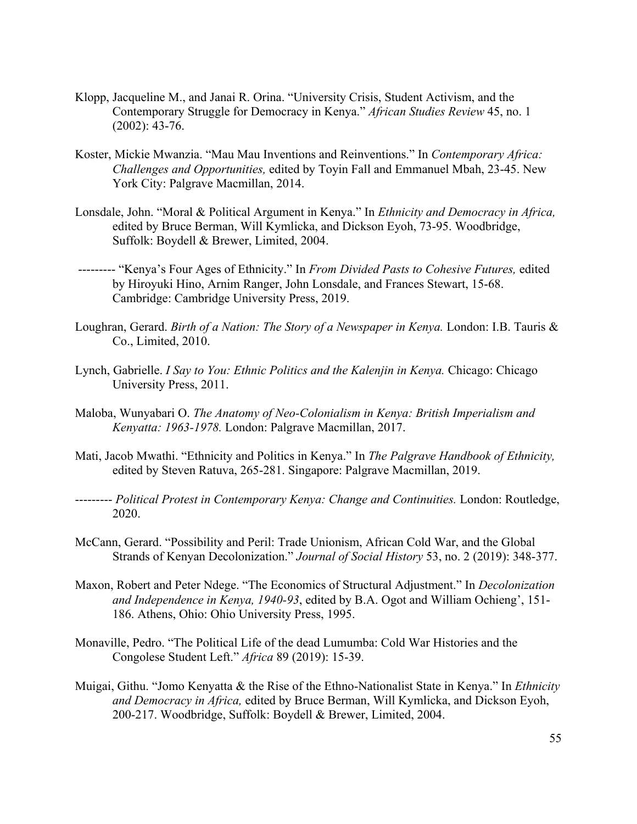- Klopp, Jacqueline M., and Janai R. Orina. "University Crisis, Student Activism, and the Contemporary Struggle for Democracy in Kenya." *African Studies Review* 45, no. 1 (2002): 43-76.
- Koster, Mickie Mwanzia. "Mau Mau Inventions and Reinventions." In *Contemporary Africa: Challenges and Opportunities,* edited by Toyin Fall and Emmanuel Mbah, 23-45. New York City: Palgrave Macmillan, 2014.
- Lonsdale, John. "Moral & Political Argument in Kenya." In *Ethnicity and Democracy in Africa,*  edited by Bruce Berman, Will Kymlicka, and Dickson Eyoh, 73-95. Woodbridge, Suffolk: Boydell & Brewer, Limited, 2004.
- --------- "Kenya's Four Ages of Ethnicity." In *From Divided Pasts to Cohesive Futures,* edited by Hiroyuki Hino, Arnim Ranger, John Lonsdale, and Frances Stewart, 15-68. Cambridge: Cambridge University Press, 2019.
- Loughran, Gerard. *Birth of a Nation: The Story of a Newspaper in Kenya.* London: I.B. Tauris & Co., Limited, 2010.
- Lynch, Gabrielle. *I Say to You: Ethnic Politics and the Kalenjin in Kenya*. Chicago: Chicago University Press, 2011.
- Maloba, Wunyabari O. *The Anatomy of Neo-Colonialism in Kenya: British Imperialism and Kenyatta: 1963-1978.* London: Palgrave Macmillan, 2017.
- Mati, Jacob Mwathi. "Ethnicity and Politics in Kenya." In *The Palgrave Handbook of Ethnicity,* edited by Steven Ratuva, 265-281. Singapore: Palgrave Macmillan, 2019.
- --------- *Political Protest in Contemporary Kenya: Change and Continuities.* London: Routledge, 2020.
- McCann, Gerard. "Possibility and Peril: Trade Unionism, African Cold War, and the Global Strands of Kenyan Decolonization." *Journal of Social History* 53, no. 2 (2019): 348-377.
- Maxon, Robert and Peter Ndege. "The Economics of Structural Adjustment." In *Decolonization and Independence in Kenya, 1940-93*, edited by B.A. Ogot and William Ochieng', 151- 186. Athens, Ohio: Ohio University Press, 1995.
- Monaville, Pedro. "The Political Life of the dead Lumumba: Cold War Histories and the Congolese Student Left." *Africa* 89 (2019): 15-39.
- Muigai, Githu. "Jomo Kenyatta & the Rise of the Ethno-Nationalist State in Kenya." In *Ethnicity and Democracy in Africa,* edited by Bruce Berman, Will Kymlicka, and Dickson Eyoh, 200-217. Woodbridge, Suffolk: Boydell & Brewer, Limited, 2004.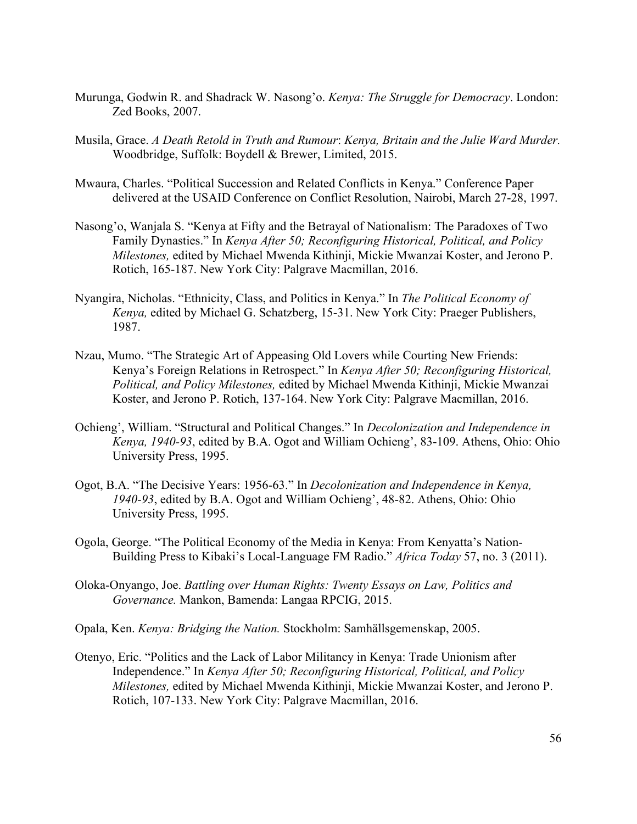- Murunga, Godwin R. and Shadrack W. Nasong'o. *Kenya: The Struggle for Democracy*. London: Zed Books, 2007.
- Musila, Grace. *A Death Retold in Truth and Rumour*: *Kenya, Britain and the Julie Ward Murder.*  Woodbridge, Suffolk: Boydell & Brewer, Limited, 2015.
- Mwaura, Charles. "Political Succession and Related Conflicts in Kenya." Conference Paper delivered at the USAID Conference on Conflict Resolution, Nairobi, March 27-28, 1997.
- Nasong'o, Wanjala S. "Kenya at Fifty and the Betrayal of Nationalism: The Paradoxes of Two Family Dynasties." In *Kenya After 50; Reconfiguring Historical, Political, and Policy Milestones,* edited by Michael Mwenda Kithinji, Mickie Mwanzai Koster, and Jerono P. Rotich, 165-187. New York City: Palgrave Macmillan, 2016.
- Nyangira, Nicholas. "Ethnicity, Class, and Politics in Kenya." In *The Political Economy of Kenya,* edited by Michael G. Schatzberg, 15-31. New York City: Praeger Publishers, 1987.
- Nzau, Mumo. "The Strategic Art of Appeasing Old Lovers while Courting New Friends: Kenya's Foreign Relations in Retrospect." In *Kenya After 50; Reconfiguring Historical, Political, and Policy Milestones,* edited by Michael Mwenda Kithinji, Mickie Mwanzai Koster, and Jerono P. Rotich, 137-164. New York City: Palgrave Macmillan, 2016.
- Ochieng', William. "Structural and Political Changes." In *Decolonization and Independence in Kenya, 1940-93*, edited by B.A. Ogot and William Ochieng', 83-109. Athens, Ohio: Ohio University Press, 1995.
- Ogot, B.A. "The Decisive Years: 1956-63." In *Decolonization and Independence in Kenya, 1940-93*, edited by B.A. Ogot and William Ochieng', 48-82. Athens, Ohio: Ohio University Press, 1995.
- Ogola, George. "The Political Economy of the Media in Kenya: From Kenyatta's Nation-Building Press to Kibaki's Local-Language FM Radio." *Africa Today* 57, no. 3 (2011).
- Oloka-Onyango, Joe. *Battling over Human Rights: Twenty Essays on Law, Politics and Governance.* Mankon, Bamenda: Langaa RPCIG, 2015.
- Opala, Ken. *Kenya: Bridging the Nation.* Stockholm: Samhällsgemenskap, 2005.
- Otenyo, Eric. "Politics and the Lack of Labor Militancy in Kenya: Trade Unionism after Independence." In *Kenya After 50; Reconfiguring Historical, Political, and Policy Milestones,* edited by Michael Mwenda Kithinji, Mickie Mwanzai Koster, and Jerono P. Rotich, 107-133. New York City: Palgrave Macmillan, 2016.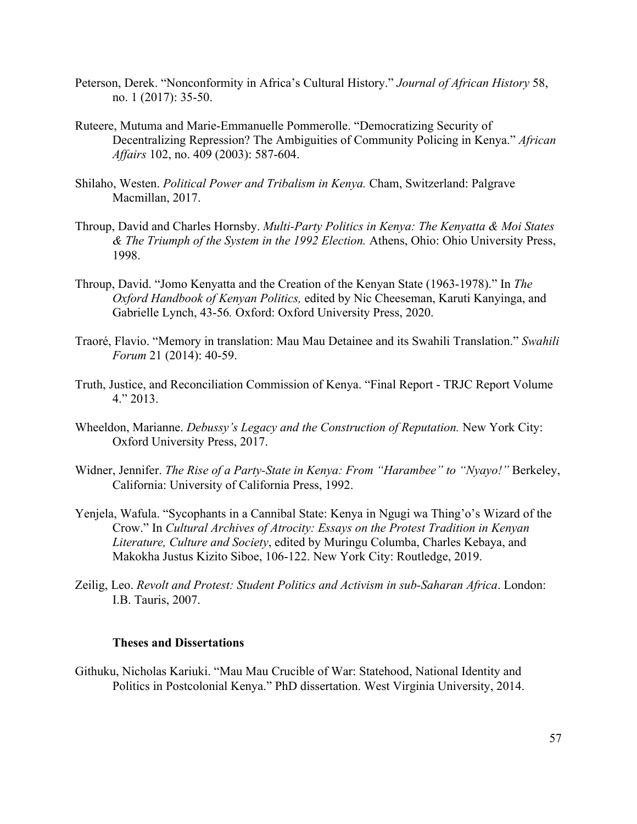- Peterson, Derek. "Nonconformity in Africa's Cultural History." *Journal of African History* 58, no. 1 (2017): 35-50.
- Ruteere, Mutuma and Marie-Emmanuelle Pommerolle. "Democratizing Security of Decentralizing Repression? The Ambiguities of Community Policing in Kenya." *African Affairs* 102, no. 409 (2003): 587-604.
- Shilaho, Westen. *Political Power and Tribalism in Kenya.* Cham, Switzerland: Palgrave Macmillan, 2017.
- Throup, David and Charles Hornsby. *Multi-Party Politics in Kenya: The Kenyatta & Moi States & The Triumph of the System in the 1992 Election.* Athens, Ohio: Ohio University Press, 1998.
- Throup, David. "Jomo Kenyatta and the Creation of the Kenyan State (1963-1978)." In *The Oxford Handbook of Kenyan Politics,* edited by Nic Cheeseman, Karuti Kanyinga, and Gabrielle Lynch, 43-56*.* Oxford: Oxford University Press, 2020.
- Traoré, Flavio. "Memory in translation: Mau Mau Detainee and its Swahili Translation." *Swahili Forum* 21 (2014): 40-59.
- Truth, Justice, and Reconciliation Commission of Kenya. "Final Report TRJC Report Volume  $4.$ " $2013.$
- Wheeldon, Marianne. *Debussy's Legacy and the Construction of Reputation.* New York City: Oxford University Press, 2017.
- Widner, Jennifer. *The Rise of a Party-State in Kenya: From "Harambee" to "Nyayo!"* Berkeley, California: University of California Press, 1992.
- Yenjela, Wafula. "Sycophants in a Cannibal State: Kenya in Ngugi wa Thing'o's Wizard of the Crow." In *Cultural Archives of Atrocity: Essays on the Protest Tradition in Kenyan Literature, Culture and Society*, edited by Muringu Columba, Charles Kebaya, and Makokha Justus Kizito Siboe, 106-122. New York City: Routledge, 2019.
- Zeilig, Leo. *Revolt and Protest: Student Politics and Activism in sub-Saharan Africa*. London: I.B. Tauris, 2007.

#### **Theses and Dissertations**

Githuku, Nicholas Kariuki. "Mau Mau Crucible of War: Statehood, National Identity and Politics in Postcolonial Kenya." PhD dissertation. West Virginia University, 2014.